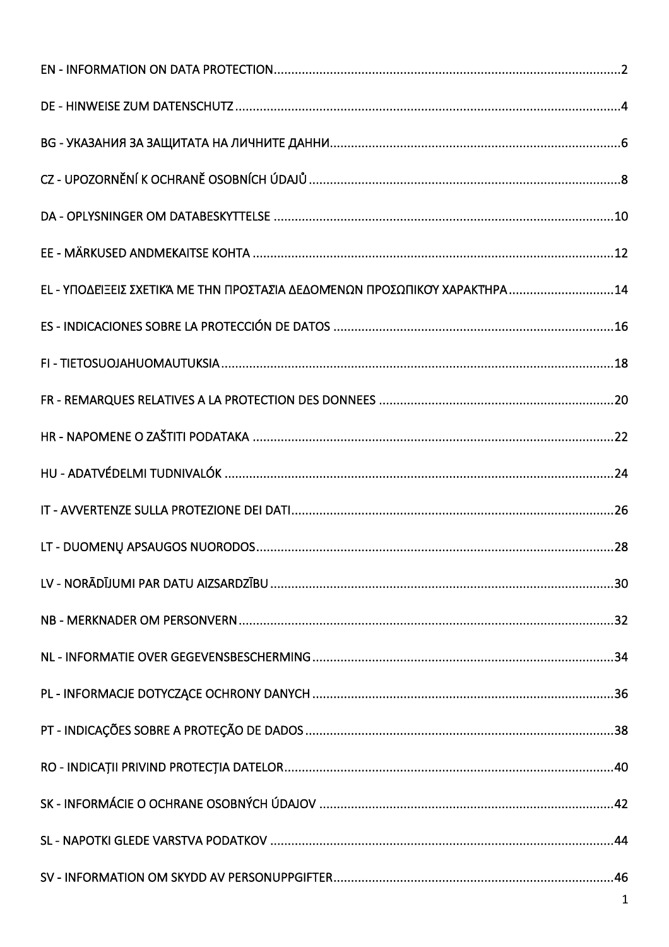| ΕL - ΥΠΟΔΕΊΞΕΙΣ ΣΧΕΤΙΚΆ ΜΕ ΤΗΝ ΠΡΟΣΤΑΣΊΑ ΔΕΔΟΜΈΝΩΝ ΠΡΟΣΩΠΙΚΟΎ ΧΑΡΑΚΤΉΡΑ14 |
|---------------------------------------------------------------------------|
|                                                                           |
|                                                                           |
|                                                                           |
|                                                                           |
|                                                                           |
|                                                                           |
|                                                                           |
|                                                                           |
|                                                                           |
|                                                                           |
|                                                                           |
|                                                                           |
|                                                                           |
|                                                                           |
|                                                                           |
|                                                                           |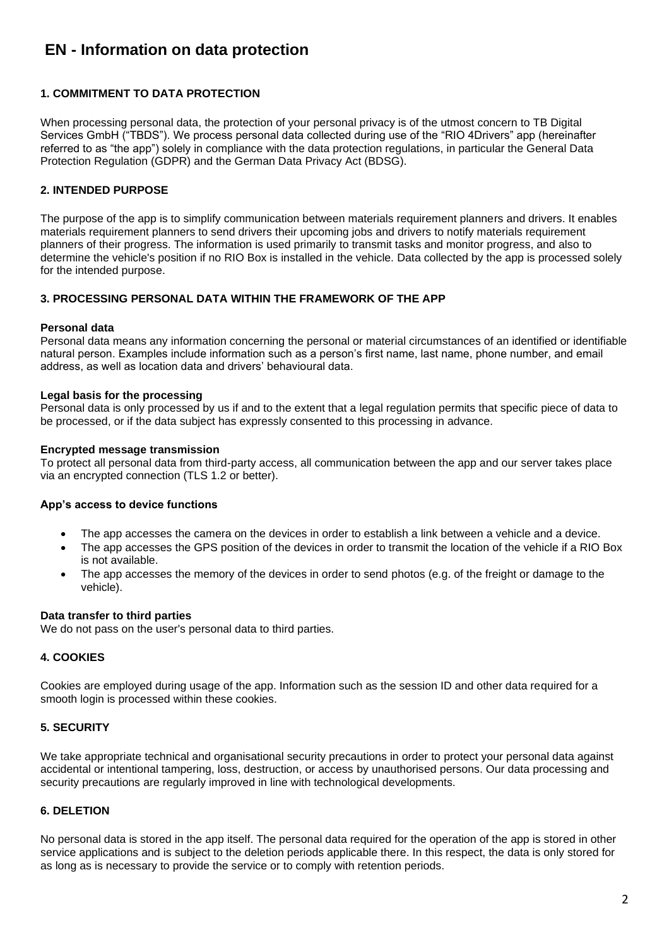# <span id="page-1-0"></span>**EN - Information on data protection**

## **1. COMMITMENT TO DATA PROTECTION**

When processing personal data, the protection of your personal privacy is of the utmost concern to TB Digital Services GmbH ("TBDS"). We process personal data collected during use of the "RIO 4Drivers" app (hereinafter referred to as "the app") solely in compliance with the data protection regulations, in particular the General Data Protection Regulation (GDPR) and the German Data Privacy Act (BDSG).

## **2. INTENDED PURPOSE**

The purpose of the app is to simplify communication between materials requirement planners and drivers. It enables materials requirement planners to send drivers their upcoming jobs and drivers to notify materials requirement planners of their progress. The information is used primarily to transmit tasks and monitor progress, and also to determine the vehicle's position if no RIO Box is installed in the vehicle. Data collected by the app is processed solely for the intended purpose.

## **3. PROCESSING PERSONAL DATA WITHIN THE FRAMEWORK OF THE APP**

#### **Personal data**

Personal data means any information concerning the personal or material circumstances of an identified or identifiable natural person. Examples include information such as a person's first name, last name, phone number, and email address, as well as location data and drivers' behavioural data.

#### **Legal basis for the processing**

Personal data is only processed by us if and to the extent that a legal regulation permits that specific piece of data to be processed, or if the data subject has expressly consented to this processing in advance.

#### **Encrypted message transmission**

To protect all personal data from third-party access, all communication between the app and our server takes place via an encrypted connection (TLS 1.2 or better).

#### **App's access to device functions**

- The app accesses the camera on the devices in order to establish a link between a vehicle and a device.
- The app accesses the GPS position of the devices in order to transmit the location of the vehicle if a RIO Box is not available.
- The app accesses the memory of the devices in order to send photos (e.g. of the freight or damage to the vehicle).

#### **Data transfer to third parties**

We do not pass on the user's personal data to third parties.

## **4. COOKIES**

Cookies are employed during usage of the app. Information such as the session ID and other data required for a smooth login is processed within these cookies.

## **5. SECURITY**

We take appropriate technical and organisational security precautions in order to protect your personal data against accidental or intentional tampering, loss, destruction, or access by unauthorised persons. Our data processing and security precautions are regularly improved in line with technological developments.

## **6. DELETION**

No personal data is stored in the app itself. The personal data required for the operation of the app is stored in other service applications and is subject to the deletion periods applicable there. In this respect, the data is only stored for as long as is necessary to provide the service or to comply with retention periods.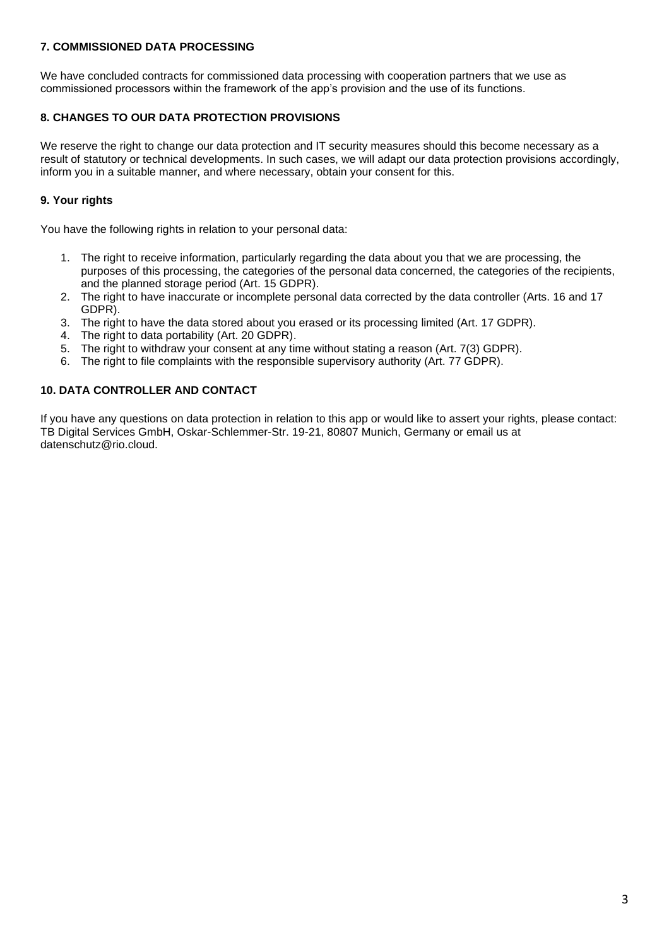## **7. COMMISSIONED DATA PROCESSING**

We have concluded contracts for commissioned data processing with cooperation partners that we use as commissioned processors within the framework of the app's provision and the use of its functions.

# **8. CHANGES TO OUR DATA PROTECTION PROVISIONS**

We reserve the right to change our data protection and IT security measures should this become necessary as a result of statutory or technical developments. In such cases, we will adapt our data protection provisions accordingly, inform you in a suitable manner, and where necessary, obtain your consent for this.

# **9. Your rights**

You have the following rights in relation to your personal data:

- 1. The right to receive information, particularly regarding the data about you that we are processing, the purposes of this processing, the categories of the personal data concerned, the categories of the recipients, and the planned storage period (Art. 15 GDPR).
- 2. The right to have inaccurate or incomplete personal data corrected by the data controller (Arts. 16 and 17 GDPR).
- 3. The right to have the data stored about you erased or its processing limited (Art. 17 GDPR).
- 4. The right to data portability (Art. 20 GDPR).
- 5. The right to withdraw your consent at any time without stating a reason (Art. 7(3) GDPR).
- 6. The right to file complaints with the responsible supervisory authority (Art. 77 GDPR).

# **10. DATA CONTROLLER AND CONTACT**

If you have any questions on data protection in relation to this app or would like to assert your rights, please contact: TB Digital Services GmbH, Oskar-Schlemmer-Str. 19-21, 80807 Munich, Germany or email us at datenschutz@rio.cloud.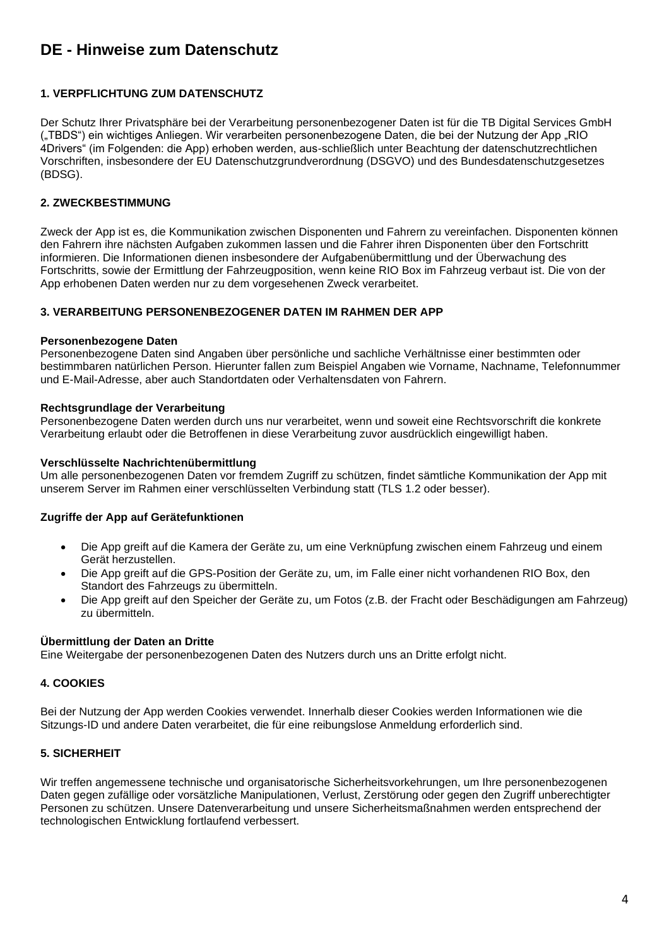# <span id="page-3-0"></span>**DE - Hinweise zum Datenschutz**

## **1. VERPFLICHTUNG ZUM DATENSCHUTZ**

Der Schutz Ihrer Privatsphäre bei der Verarbeitung personenbezogener Daten ist für die TB Digital Services GmbH ("TBDS") ein wichtiges Anliegen. Wir verarbeiten personenbezogene Daten, die bei der Nutzung der App "RIO 4Drivers" (im Folgenden: die App) erhoben werden, aus-schließlich unter Beachtung der datenschutzrechtlichen Vorschriften, insbesondere der EU Datenschutzgrundverordnung (DSGVO) und des Bundesdatenschutzgesetzes (BDSG).

## **2. ZWECKBESTIMMUNG**

Zweck der App ist es, die Kommunikation zwischen Disponenten und Fahrern zu vereinfachen. Disponenten können den Fahrern ihre nächsten Aufgaben zukommen lassen und die Fahrer ihren Disponenten über den Fortschritt informieren. Die Informationen dienen insbesondere der Aufgabenübermittlung und der Überwachung des Fortschritts, sowie der Ermittlung der Fahrzeugposition, wenn keine RIO Box im Fahrzeug verbaut ist. Die von der App erhobenen Daten werden nur zu dem vorgesehenen Zweck verarbeitet.

## **3. VERARBEITUNG PERSONENBEZOGENER DATEN IM RAHMEN DER APP**

#### **Personenbezogene Daten**

Personenbezogene Daten sind Angaben über persönliche und sachliche Verhältnisse einer bestimmten oder bestimmbaren natürlichen Person. Hierunter fallen zum Beispiel Angaben wie Vorname, Nachname, Telefonnummer und E-Mail-Adresse, aber auch Standortdaten oder Verhaltensdaten von Fahrern.

#### **Rechtsgrundlage der Verarbeitung**

Personenbezogene Daten werden durch uns nur verarbeitet, wenn und soweit eine Rechtsvorschrift die konkrete Verarbeitung erlaubt oder die Betroffenen in diese Verarbeitung zuvor ausdrücklich eingewilligt haben.

#### **Verschlüsselte Nachrichtenübermittlung**

Um alle personenbezogenen Daten vor fremdem Zugriff zu schützen, findet sämtliche Kommunikation der App mit unserem Server im Rahmen einer verschlüsselten Verbindung statt (TLS 1.2 oder besser).

## **Zugriffe der App auf Gerätefunktionen**

- Die App greift auf die Kamera der Geräte zu, um eine Verknüpfung zwischen einem Fahrzeug und einem Gerät herzustellen.
- Die App greift auf die GPS-Position der Geräte zu, um, im Falle einer nicht vorhandenen RIO Box, den Standort des Fahrzeugs zu übermitteln.
- Die App greift auf den Speicher der Geräte zu, um Fotos (z.B. der Fracht oder Beschädigungen am Fahrzeug) zu übermitteln.

## **Übermittlung der Daten an Dritte**

Eine Weitergabe der personenbezogenen Daten des Nutzers durch uns an Dritte erfolgt nicht.

## **4. COOKIES**

Bei der Nutzung der App werden Cookies verwendet. Innerhalb dieser Cookies werden Informationen wie die Sitzungs-ID und andere Daten verarbeitet, die für eine reibungslose Anmeldung erforderlich sind.

## **5. SICHERHEIT**

Wir treffen angemessene technische und organisatorische Sicherheitsvorkehrungen, um Ihre personenbezogenen Daten gegen zufällige oder vorsätzliche Manipulationen, Verlust, Zerstörung oder gegen den Zugriff unberechtigter Personen zu schützen. Unsere Datenverarbeitung und unsere Sicherheitsmaßnahmen werden entsprechend der technologischen Entwicklung fortlaufend verbessert.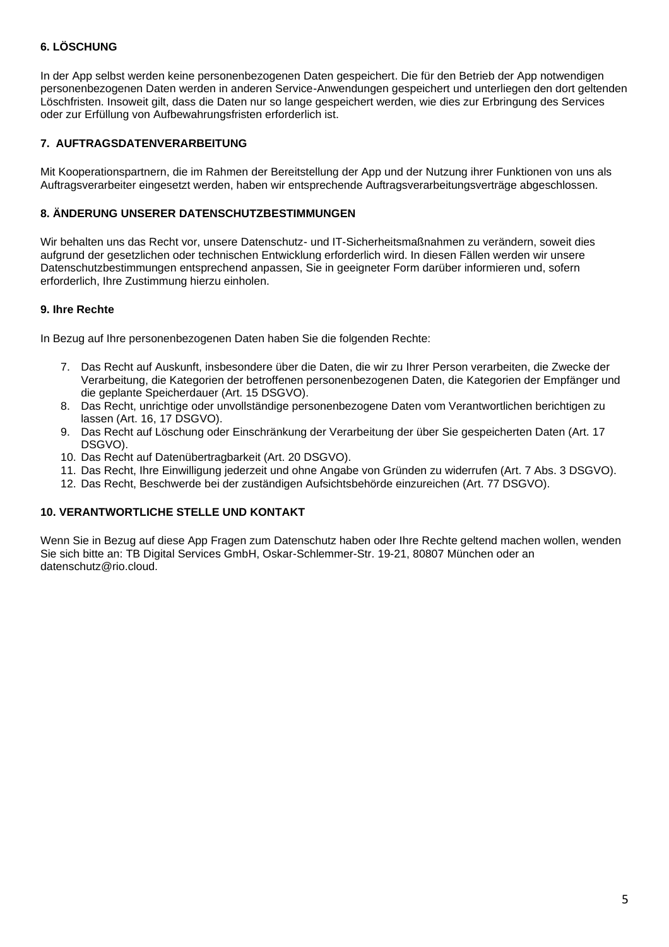# **6. LÖSCHUNG**

In der App selbst werden keine personenbezogenen Daten gespeichert. Die für den Betrieb der App notwendigen personenbezogenen Daten werden in anderen Service-Anwendungen gespeichert und unterliegen den dort geltenden Löschfristen. Insoweit gilt, dass die Daten nur so lange gespeichert werden, wie dies zur Erbringung des Services oder zur Erfüllung von Aufbewahrungsfristen erforderlich ist.

## **7. AUFTRAGSDATENVERARBEITUNG**

Mit Kooperationspartnern, die im Rahmen der Bereitstellung der App und der Nutzung ihrer Funktionen von uns als Auftragsverarbeiter eingesetzt werden, haben wir entsprechende Auftragsverarbeitungsverträge abgeschlossen.

# **8. ÄNDERUNG UNSERER DATENSCHUTZBESTIMMUNGEN**

Wir behalten uns das Recht vor, unsere Datenschutz- und IT-Sicherheitsmaßnahmen zu verändern, soweit dies aufgrund der gesetzlichen oder technischen Entwicklung erforderlich wird. In diesen Fällen werden wir unsere Datenschutzbestimmungen entsprechend anpassen, Sie in geeigneter Form darüber informieren und, sofern erforderlich, Ihre Zustimmung hierzu einholen.

## **9. Ihre Rechte**

In Bezug auf Ihre personenbezogenen Daten haben Sie die folgenden Rechte:

- 7. Das Recht auf Auskunft, insbesondere über die Daten, die wir zu Ihrer Person verarbeiten, die Zwecke der Verarbeitung, die Kategorien der betroffenen personenbezogenen Daten, die Kategorien der Empfänger und die geplante Speicherdauer (Art. 15 DSGVO).
- 8. Das Recht, unrichtige oder unvollständige personenbezogene Daten vom Verantwortlichen berichtigen zu lassen (Art. 16, 17 DSGVO).
- 9. Das Recht auf Löschung oder Einschränkung der Verarbeitung der über Sie gespeicherten Daten (Art. 17 DSGVO).
- 10. Das Recht auf Datenübertragbarkeit (Art. 20 DSGVO).
- 11. Das Recht, Ihre Einwilligung jederzeit und ohne Angabe von Gründen zu widerrufen (Art. 7 Abs. 3 DSGVO).
- 12. Das Recht, Beschwerde bei der zuständigen Aufsichtsbehörde einzureichen (Art. 77 DSGVO).

## **10. VERANTWORTLICHE STELLE UND KONTAKT**

Wenn Sie in Bezug auf diese App Fragen zum Datenschutz haben oder Ihre Rechte geltend machen wollen, wenden Sie sich bitte an: TB Digital Services GmbH, Oskar-Schlemmer-Str. 19-21, 80807 München oder an datenschutz@rio.cloud.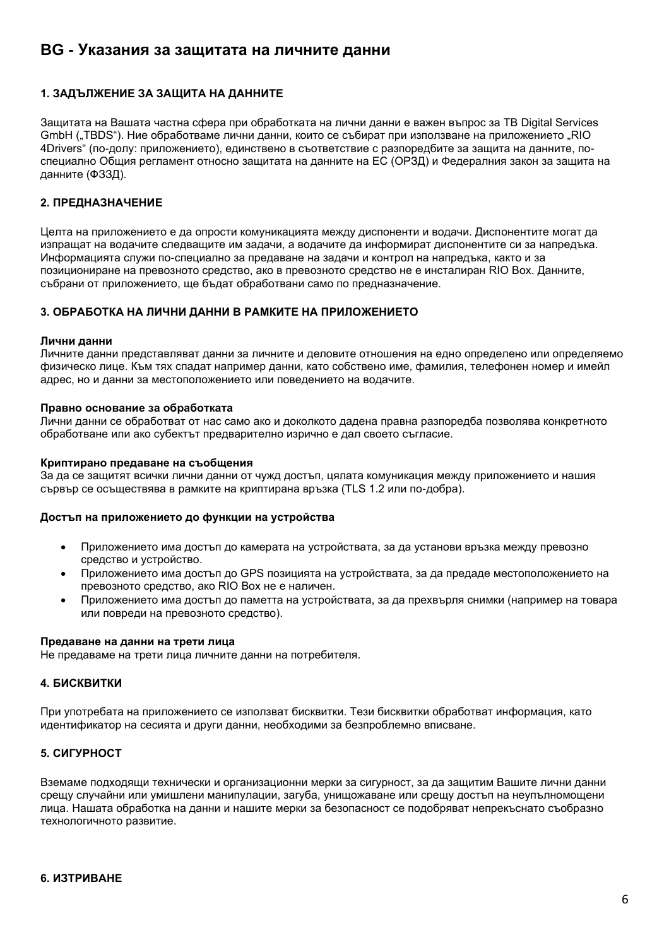# <span id="page-5-0"></span>**BG - Указания за защитата на личните данни**

# **1. ЗАДЪЛЖЕНИЕ ЗА ЗАЩИТА НА ДАННИТЕ**

Защитата на Вашата частна сфера при обработката на лични данни е важен въпрос за TB Digital Services GmbH ("TBDS"). Ние обработваме лични данни, които се събират при използване на приложението "RIO 4Drivers" (по-долу: приложението), единствено в съответствие с разпоредбите за защита на данните, поспециално Общия регламент относно защитата на данните на ЕС (ОРЗД) и Федералния закон за защита на данните (ФЗЗД).

## **2. ПРЕДНАЗНАЧЕНИЕ**

Целта на приложението е да опрости комуникацията между диспоненти и водачи. Диспонентите могат да изпращат на водачите следващите им задачи, а водачите да информират диспонентите си за напредъка. Информацията служи по-специално за предаване на задачи и контрол на напредъка, както и за позициониране на превозното средство, ако в превозното средство не е инсталиран RIO Box. Данните, събрани от приложението, ще бъдат обработвани само по предназначение.

#### **3. ОБРАБОТКА НА ЛИЧНИ ДАННИ В РАМКИТЕ НА ПРИЛОЖЕНИЕТО**

#### **Лични данни**

Личните данни представляват данни за личните и деловите отношения на едно определено или определяемо физическо лице. Към тях спадат например данни, като собствено име, фамилия, телефонен номер и имейл адрес, но и данни за местоположението или поведението на водачите.

#### **Правно основание за обработката**

Лични данни се обработват от нас само ако и доколкото дадена правна разпоредба позволява конкретното обработване или ако субектът предварително изрично е дал своето съгласие.

#### **Криптирано предаване на съобщения**

За да се защитят всички лични данни от чужд достъп, цялата комуникация между приложението и нашия сървър се осъществява в рамките на криптирана връзка (TLS 1.2 или по-добра).

#### **Достъп на приложението до функции на устройства**

- Приложението има достъп до камерата на устройствата, за да установи връзка между превозно средство и устройство.
- Приложението има достъп до GPS позицията на устройствата, за да предаде местоположението на превозното средство, ако RIO Box не е наличен.
- Приложението има достъп до паметта на устройствата, за да прехвърля снимки (например на товара или повреди на превозното средство).

#### **Предаване на данни на трети лица**

Не предаваме на трети лица личните данни на потребителя.

## **4. БИСКВИТКИ**

При употребата на приложението се използват бисквитки. Тези бисквитки обработват информация, като идентификатор на сесията и други данни, необходими за безпроблемно вписване.

## **5. СИГУРНОСТ**

Вземаме подходящи технически и организационни мерки за сигурност, за да защитим Вашите лични данни срещу случайни или умишлени манипулации, загуба, унищожаване или срещу достъп на неупълномощени лица. Нашата обработка на данни и нашите мерки за безопасност се подобряват непрекъснато съобразно технологичното развитие.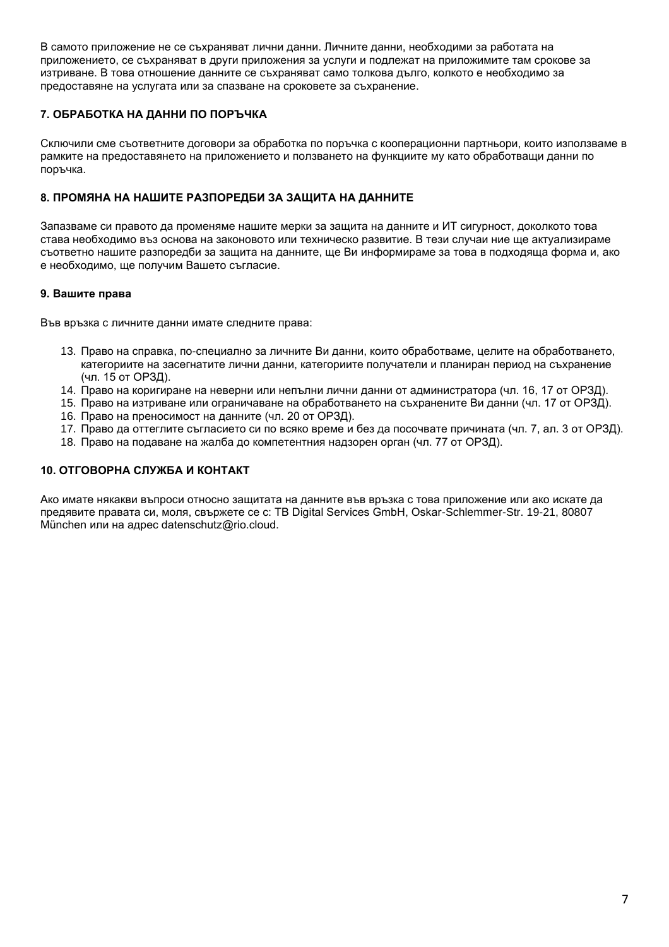В самото приложение не се съхраняват лични данни. Личните данни, необходими за работата на приложението, се съхраняват в други приложения за услуги и подлежат на приложимите там срокове за изтриване. В това отношение данните се съхраняват само толкова дълго, колкото е необходимо за предоставяне на услугата или за спазване на сроковете за съхранение.

# **7. ОБРАБОТКА НА ДАННИ ПО ПОРЪЧКА**

Сключили сме съответните договори за обработка по поръчка с кооперационни партньори, които използваме в рамките на предоставянето на приложението и ползването на функциите му като обработващи данни по поръчка.

# **8. ПРОМЯНА НА НАШИТЕ РАЗПОРЕДБИ ЗА ЗАЩИТА НА ДАННИТЕ**

Запазваме си правото да променяме нашите мерки за защита на данните и ИТ сигурност, доколкото това става необходимо въз основа на законовото или техническо развитие. В тези случаи ние ще актуализираме съответно нашите разпоредби за защита на данните, ще Ви информираме за това в подходяща форма и, ако е необходимо, ще получим Вашето съгласие.

## **9. Вашите права**

Във връзка с личните данни имате следните права:

- 13. Право на справка, по-специално за личните Ви данни, които обработваме, целите на обработването, категориите на засегнатите лични данни, категориите получатели и планиран период на съхранение (чл. 15 от ОРЗД).
- 14. Право на коригиране на неверни или непълни лични данни от администратора (чл. 16, 17 от ОРЗД).
- 15. Право на изтриване или ограничаване на обработването на съхранените Ви данни (чл. 17 от ОРЗД).
- 16. Право на преносимост на данните (чл. 20 от ОРЗД).
- 17. Право да оттеглите съгласието си по всяко време и без да посочвате причината (чл. 7, ал. 3 от ОРЗД).
- 18. Право на подаване на жалба до компетентния надзорен орган (чл. 77 от ОРЗД).

## **10. ОТГОВОРНА СЛУЖБА И КОНТАКТ**

Ако имате някакви въпроси относно защитата на данните във връзка с това приложение или ако искате да предявите правата си, моля, свържете се с: TB Digital Services GmbH, Oskar-Schlemmer-Str. 19-21, 80807 München или на адрес datenschutz@rio.cloud.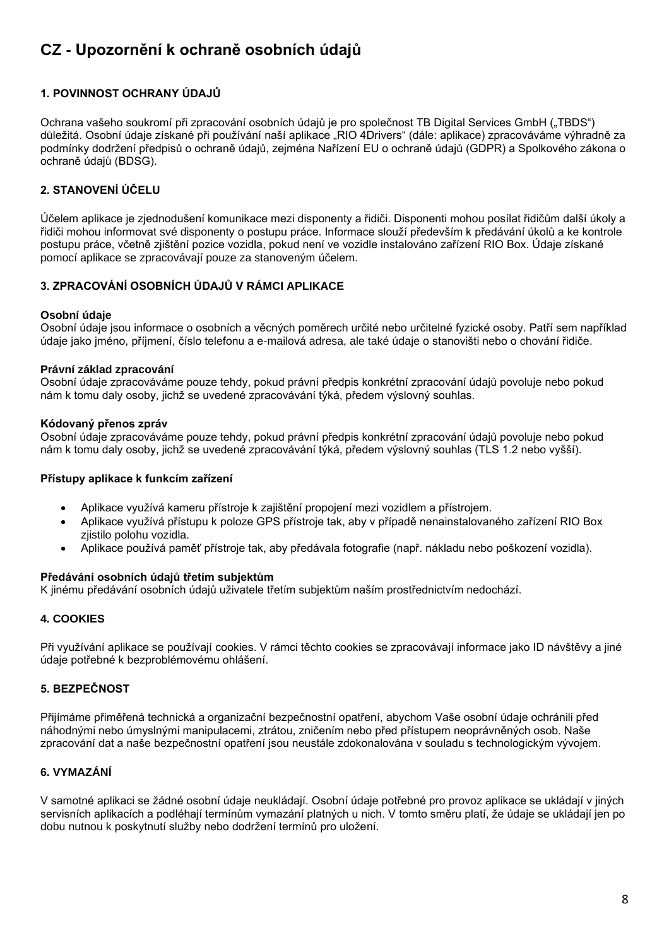# <span id="page-7-0"></span>**CZ - Upozornění k ochraně osobních údajů**

# **1. POVINNOST OCHRANY ÚDAJŮ**

Ochrana vašeho soukromí při zpracování osobních údajů je pro společnost TB Digital Services GmbH ("TBDS") důležitá. Osobní údaje získané při používání naší aplikace "RIO 4Drivers" (dále: aplikace) zpracováváme výhradně za podmínky dodržení předpisů o ochraně údajů, zejména Nařízení EU o ochraně údajů (GDPR) a Spolkového zákona o ochraně údajů (BDSG).

# **2. STANOVENÍ ÚČELU**

Účelem aplikace je zjednodušení komunikace mezi disponenty a řidiči. Disponenti mohou posílat řidičům další úkoly a řidiči mohou informovat své disponenty o postupu práce. Informace slouží především k předávání úkolů a ke kontrole postupu práce, včetně zjištění pozice vozidla, pokud není ve vozidle instalováno zařízení RIO Box. Údaje získané pomocí aplikace se zpracovávají pouze za stanoveným účelem.

## **3. ZPRACOVÁNÍ OSOBNÍCH ÚDAJŮ V RÁMCI APLIKACE**

#### **Osobní údaje**

Osobní údaje jsou informace o osobních a věcných poměrech určité nebo určitelné fyzické osoby. Patří sem například údaje jako jméno, příjmení, číslo telefonu a e-mailová adresa, ale také údaje o stanovišti nebo o chování řidiče.

#### **Právní základ zpracování**

Osobní údaje zpracováváme pouze tehdy, pokud právní předpis konkrétní zpracování údajů povoluje nebo pokud nám k tomu daly osoby, jichž se uvedené zpracovávání týká, předem výslovný souhlas.

#### **Kódovaný přenos zpráv**

Osobní údaje zpracováváme pouze tehdy, pokud právní předpis konkrétní zpracování údajů povoluje nebo pokud nám k tomu daly osoby, jichž se uvedené zpracovávání týká, předem výslovný souhlas (TLS 1.2 nebo vyšší).

#### **Přístupy aplikace k funkcím zařízení**

- Aplikace využívá kameru přístroje k zajištění propojení mezi vozidlem a přístrojem.
- Aplikace využívá přístupu k poloze GPS přístroje tak, aby v případě nenainstalovaného zařízení RIO Box zjistilo polohu vozidla.
- Aplikace používá paměť přístroje tak, aby předávala fotografie (např. nákladu nebo poškození vozidla).

## **Předávání osobních údajů třetím subjektům**

K jinému předávání osobních údajů uživatele třetím subjektům naším prostřednictvím nedochází.

## **4. COOKIES**

Při využívání aplikace se používají cookies. V rámci těchto cookies se zpracovávají informace jako ID návštěvy a jiné údaje potřebné k bezproblémovému ohlášení.

## **5. BEZPEČNOST**

Přijímáme přiměřená technická a organizační bezpečnostní opatření, abychom Vaše osobní údaje ochránili před náhodnými nebo úmyslnými manipulacemi, ztrátou, zničením nebo před přístupem neoprávněných osob. Naše zpracování dat a naše bezpečnostní opatření jsou neustále zdokonalována v souladu s technologickým vývojem.

## **6. VYMAZÁNÍ**

V samotné aplikaci se žádné osobní údaje neukládají. Osobní údaje potřebné pro provoz aplikace se ukládají v jiných servisních aplikacích a podléhají termínům vymazání platných u nich. V tomto směru platí, že údaje se ukládají jen po dobu nutnou k poskytnutí služby nebo dodržení termínů pro uložení.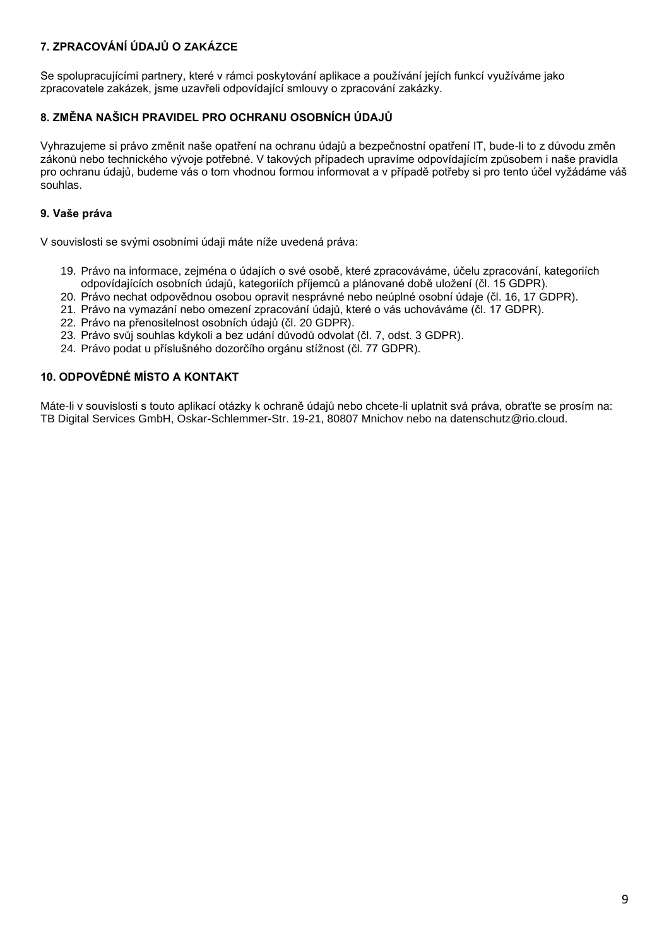# **7. ZPRACOVÁNÍ ÚDAJŮ O ZAKÁZCE**

Se spolupracujícími partnery, které v rámci poskytování aplikace a používání jejích funkcí využíváme jako zpracovatele zakázek, jsme uzavřeli odpovídající smlouvy o zpracování zakázky.

# **8. ZMĚNA NAŠICH PRAVIDEL PRO OCHRANU OSOBNÍCH ÚDAJŮ**

Vyhrazujeme si právo změnit naše opatření na ochranu údajů a bezpečnostní opatření IT, bude-li to z důvodu změn zákonů nebo technického vývoje potřebné. V takových případech upravíme odpovídajícím způsobem i naše pravidla pro ochranu údajů, budeme vás o tom vhodnou formou informovat a v případě potřeby si pro tento účel vyžádáme váš souhlas.

# **9. Vaše práva**

V souvislosti se svými osobními údaji máte níže uvedená práva:

- 19. Právo na informace, zejména o údajích o své osobě, které zpracováváme, účelu zpracování, kategoriích odpovídajících osobních údajů, kategoriích příjemců a plánované době uložení (čl. 15 GDPR).
- 20. Právo nechat odpovědnou osobou opravit nesprávné nebo neúplné osobní údaje (čl. 16, 17 GDPR).
- 21. Právo na vymazání nebo omezení zpracování údajů, které o vás uchováváme (čl. 17 GDPR).
- 22. Právo na přenositelnost osobních údajů (čl. 20 GDPR).
- 23. Právo svůj souhlas kdykoli a bez udání důvodů odvolat (čl. 7, odst. 3 GDPR).
- 24. Právo podat u příslušného dozorčího orgánu stížnost (čl. 77 GDPR).

## **10. ODPOVĚDNÉ MÍSTO A KONTAKT**

Máte-li v souvislosti s touto aplikací otázky k ochraně údajů nebo chcete-li uplatnit svá práva, obraťte se prosím na: TB Digital Services GmbH, Oskar-Schlemmer-Str. 19-21, 80807 Mnichov nebo na datenschutz@rio.cloud.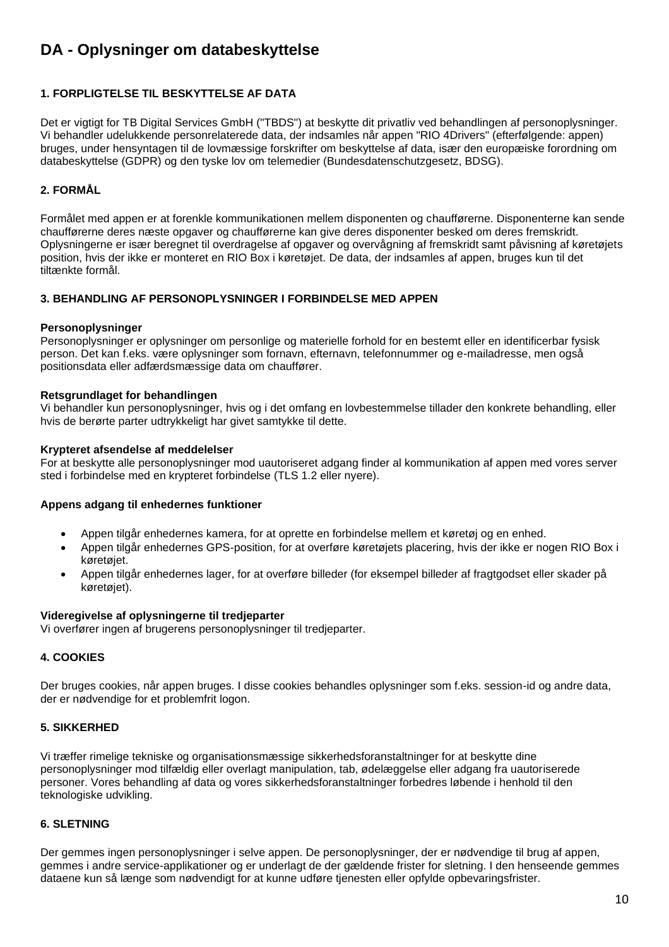# <span id="page-9-0"></span>**DA - Oplysninger om databeskyttelse**

## **1. FORPLIGTELSE TIL BESKYTTELSE AF DATA**

Det er vigtigt for TB Digital Services GmbH ("TBDS") at beskytte dit privatliv ved behandlingen af personoplysninger. Vi behandler udelukkende personrelaterede data, der indsamles når appen "RIO 4Drivers" (efterfølgende: appen) bruges, under hensyntagen til de lovmæssige forskrifter om beskyttelse af data, især den europæiske forordning om databeskyttelse (GDPR) og den tyske lov om telemedier (Bundesdatenschutzgesetz, BDSG).

# **2. FORMÅL**

Formålet med appen er at forenkle kommunikationen mellem disponenten og chaufførerne. Disponenterne kan sende chaufførerne deres næste opgaver og chaufførerne kan give deres disponenter besked om deres fremskridt. Oplysningerne er især beregnet til overdragelse af opgaver og overvågning af fremskridt samt påvisning af køretøjets position, hvis der ikke er monteret en RIO Box i køretøjet. De data, der indsamles af appen, bruges kun til det tiltænkte formål.

## **3. BEHANDLING AF PERSONOPLYSNINGER I FORBINDELSE MED APPEN**

## **Personoplysninger**

Personoplysninger er oplysninger om personlige og materielle forhold for en bestemt eller en identificerbar fysisk person. Det kan f.eks. være oplysninger som fornavn, efternavn, telefonnummer og e-mailadresse, men også positionsdata eller adfærdsmæssige data om chauffører.

#### **Retsgrundlaget for behandlingen**

Vi behandler kun personoplysninger, hvis og i det omfang en lovbestemmelse tillader den konkrete behandling, eller hvis de berørte parter udtrykkeligt har givet samtykke til dette.

#### **Krypteret afsendelse af meddelelser**

For at beskytte alle personoplysninger mod uautoriseret adgang finder al kommunikation af appen med vores server sted i forbindelse med en krypteret forbindelse (TLS 1.2 eller nyere).

## **Appens adgang til enhedernes funktioner**

- Appen tilgår enhedernes kamera, for at oprette en forbindelse mellem et køretøj og en enhed.
- Appen tilgår enhedernes GPS-position, for at overføre køretøjets placering, hvis der ikke er nogen RIO Box i køretøjet.
- Appen tilgår enhedernes lager, for at overføre billeder (for eksempel billeder af fragtgodset eller skader på køretøjet).

#### **Videregivelse af oplysningerne til tredjeparter**

Vi overfører ingen af brugerens personoplysninger til tredjeparter.

## **4. COOKIES**

Der bruges cookies, når appen bruges. I disse cookies behandles oplysninger som f.eks. session-id og andre data, der er nødvendige for et problemfrit logon.

## **5. SIKKERHED**

Vi træffer rimelige tekniske og organisationsmæssige sikkerhedsforanstaltninger for at beskytte dine personoplysninger mod tilfældig eller overlagt manipulation, tab, ødelæggelse eller adgang fra uautoriserede personer. Vores behandling af data og vores sikkerhedsforanstaltninger forbedres løbende i henhold til den teknologiske udvikling.

## **6. SLETNING**

Der gemmes ingen personoplysninger i selve appen. De personoplysninger, der er nødvendige til brug af appen, gemmes i andre service-applikationer og er underlagt de der gældende frister for sletning. I den henseende gemmes dataene kun så længe som nødvendigt for at kunne udføre tjenesten eller opfylde opbevaringsfrister.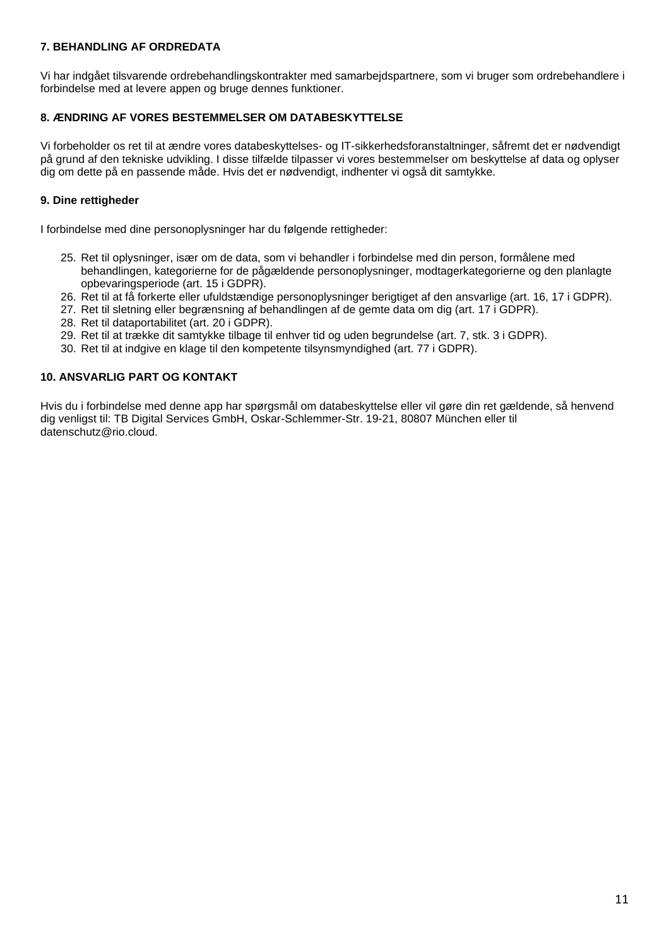# **7. BEHANDLING AF ORDREDATA**

Vi har indgået tilsvarende ordrebehandlingskontrakter med samarbejdspartnere, som vi bruger som ordrebehandlere i forbindelse med at levere appen og bruge dennes funktioner.

## **8. ÆNDRING AF VORES BESTEMMELSER OM DATABESKYTTELSE**

Vi forbeholder os ret til at ændre vores databeskyttelses- og IT-sikkerhedsforanstaltninger, såfremt det er nødvendigt på grund af den tekniske udvikling. I disse tilfælde tilpasser vi vores bestemmelser om beskyttelse af data og oplyser dig om dette på en passende måde. Hvis det er nødvendigt, indhenter vi også dit samtykke.

# **9. Dine rettigheder**

I forbindelse med dine personoplysninger har du følgende rettigheder:

- 25. Ret til oplysninger, især om de data, som vi behandler i forbindelse med din person, formålene med behandlingen, kategorierne for de pågældende personoplysninger, modtagerkategorierne og den planlagte opbevaringsperiode (art. 15 i GDPR).
- 26. Ret til at få forkerte eller ufuldstændige personoplysninger berigtiget af den ansvarlige (art. 16, 17 i GDPR).
- 27. Ret til sletning eller begrænsning af behandlingen af de gemte data om dig (art. 17 i GDPR).
- 28. Ret til dataportabilitet (art. 20 i GDPR).
- 29. Ret til at trække dit samtykke tilbage til enhver tid og uden begrundelse (art. 7, stk. 3 i GDPR).
- 30. Ret til at indgive en klage til den kompetente tilsynsmyndighed (art. 77 i GDPR).

## **10. ANSVARLIG PART OG KONTAKT**

Hvis du i forbindelse med denne app har spørgsmål om databeskyttelse eller vil gøre din ret gældende, så henvend dig venligst til: TB Digital Services GmbH, Oskar-Schlemmer-Str. 19-21, 80807 München eller til datenschutz@rio.cloud.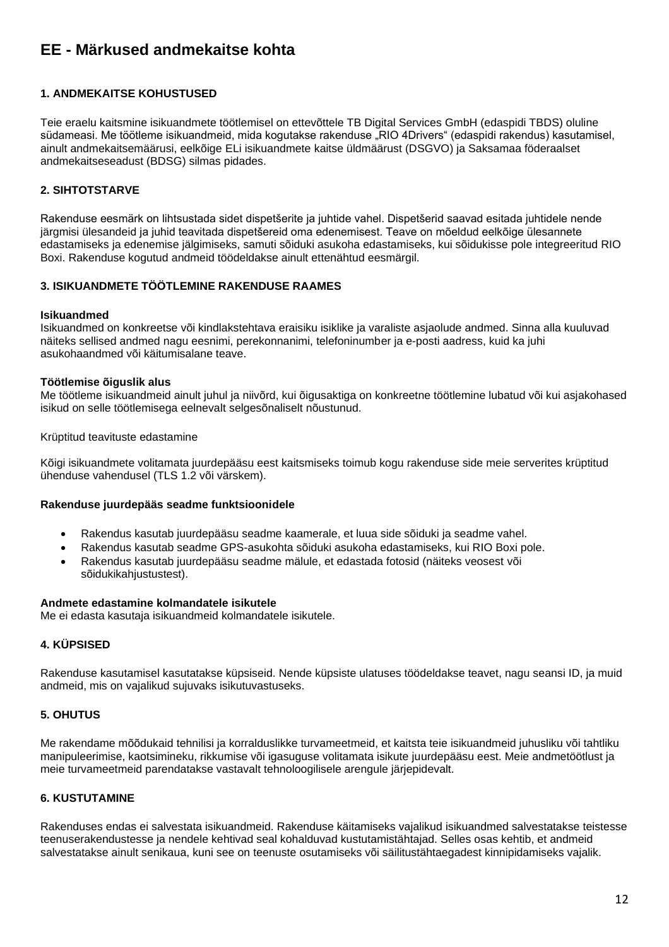# <span id="page-11-0"></span>**EE - Märkused andmekaitse kohta**

## **1. ANDMEKAITSE KOHUSTUSED**

Teie eraelu kaitsmine isikuandmete töötlemisel on ettevõttele TB Digital Services GmbH (edaspidi TBDS) oluline südameasi. Me töötleme isikuandmeid, mida kogutakse rakenduse "RIO 4Drivers" (edaspidi rakendus) kasutamisel, ainult andmekaitsemäärusi, eelkõige ELi isikuandmete kaitse üldmäärust (DSGVO) ja Saksamaa föderaalset andmekaitseseadust (BDSG) silmas pidades.

# **2. SIHTOTSTARVE**

Rakenduse eesmärk on lihtsustada sidet dispetšerite ja juhtide vahel. Dispetšerid saavad esitada juhtidele nende järgmisi ülesandeid ja juhid teavitada dispetšereid oma edenemisest. Teave on mõeldud eelkõige ülesannete edastamiseks ja edenemise jälgimiseks, samuti sõiduki asukoha edastamiseks, kui sõidukisse pole integreeritud RIO Boxi. Rakenduse kogutud andmeid töödeldakse ainult ettenähtud eesmärgil.

## **3. ISIKUANDMETE TÖÖTLEMINE RAKENDUSE RAAMES**

#### **Isikuandmed**

Isikuandmed on konkreetse või kindlakstehtava eraisiku isiklike ja varaliste asjaolude andmed. Sinna alla kuuluvad näiteks sellised andmed nagu eesnimi, perekonnanimi, telefoninumber ja e-posti aadress, kuid ka juhi asukohaandmed või käitumisalane teave.

#### **Töötlemise õiguslik alus**

Me töötleme isikuandmeid ainult juhul ja niivõrd, kui õigusaktiga on konkreetne töötlemine lubatud või kui asjakohased isikud on selle töötlemisega eelnevalt selgesõnaliselt nõustunud.

#### Krüptitud teavituste edastamine

Kõigi isikuandmete volitamata juurdepääsu eest kaitsmiseks toimub kogu rakenduse side meie serverites krüptitud ühenduse vahendusel (TLS 1.2 või värskem).

#### **Rakenduse juurdepääs seadme funktsioonidele**

- Rakendus kasutab juurdepääsu seadme kaamerale, et luua side sõiduki ja seadme vahel.
- Rakendus kasutab seadme GPS-asukohta sõiduki asukoha edastamiseks, kui RIO Boxi pole.
- Rakendus kasutab juurdepääsu seadme mälule, et edastada fotosid (näiteks veosest või sõidukikahjustustest).

#### **Andmete edastamine kolmandatele isikutele**

Me ei edasta kasutaja isikuandmeid kolmandatele isikutele.

## **4. KÜPSISED**

Rakenduse kasutamisel kasutatakse küpsiseid. Nende küpsiste ulatuses töödeldakse teavet, nagu seansi ID, ja muid andmeid, mis on vajalikud sujuvaks isikutuvastuseks.

#### **5. OHUTUS**

Me rakendame mõõdukaid tehnilisi ja korralduslikke turvameetmeid, et kaitsta teie isikuandmeid juhusliku või tahtliku manipuleerimise, kaotsimineku, rikkumise või igasuguse volitamata isikute juurdepääsu eest. Meie andmetöötlust ja meie turvameetmeid parendatakse vastavalt tehnoloogilisele arengule järjepidevalt.

#### **6. KUSTUTAMINE**

Rakenduses endas ei salvestata isikuandmeid. Rakenduse käitamiseks vajalikud isikuandmed salvestatakse teistesse teenuserakendustesse ja nendele kehtivad seal kohalduvad kustutamistähtajad. Selles osas kehtib, et andmeid salvestatakse ainult senikaua, kuni see on teenuste osutamiseks või säilitustähtaegadest kinnipidamiseks vajalik.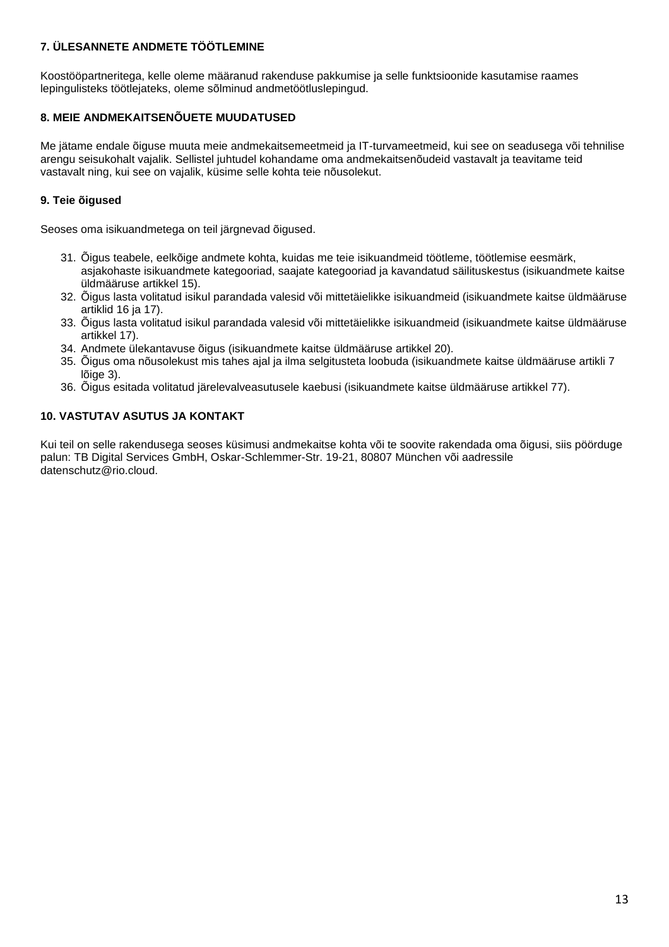## **7. ÜLESANNETE ANDMETE TÖÖTLEMINE**

Koostööpartneritega, kelle oleme määranud rakenduse pakkumise ja selle funktsioonide kasutamise raames lepingulisteks töötlejateks, oleme sõlminud andmetöötluslepingud.

# **8. MEIE ANDMEKAITSENÕUETE MUUDATUSED**

Me jätame endale õiguse muuta meie andmekaitsemeetmeid ja IT-turvameetmeid, kui see on seadusega või tehnilise arengu seisukohalt vajalik. Sellistel juhtudel kohandame oma andmekaitsenõudeid vastavalt ja teavitame teid vastavalt ning, kui see on vajalik, küsime selle kohta teie nõusolekut.

# **9. Teie õigused**

Seoses oma isikuandmetega on teil järgnevad õigused.

- 31. Õigus teabele, eelkõige andmete kohta, kuidas me teie isikuandmeid töötleme, töötlemise eesmärk, asjakohaste isikuandmete kategooriad, saajate kategooriad ja kavandatud säilituskestus (isikuandmete kaitse üldmääruse artikkel 15).
- 32. Õigus lasta volitatud isikul parandada valesid või mittetäielikke isikuandmeid (isikuandmete kaitse üldmääruse artiklid 16 ja 17).
- 33. Õigus lasta volitatud isikul parandada valesid või mittetäielikke isikuandmeid (isikuandmete kaitse üldmääruse artikkel 17).
- 34. Andmete ülekantavuse õigus (isikuandmete kaitse üldmääruse artikkel 20).
- 35. Õigus oma nõusolekust mis tahes ajal ja ilma selgitusteta loobuda (isikuandmete kaitse üldmääruse artikli 7 lõige 3).
- 36. Õigus esitada volitatud järelevalveasutusele kaebusi (isikuandmete kaitse üldmääruse artikkel 77).

## **10. VASTUTAV ASUTUS JA KONTAKT**

Kui teil on selle rakendusega seoses küsimusi andmekaitse kohta või te soovite rakendada oma õigusi, siis pöörduge palun: TB Digital Services GmbH, Oskar-Schlemmer-Str. 19-21, 80807 München või aadressile datenschutz@rio.cloud.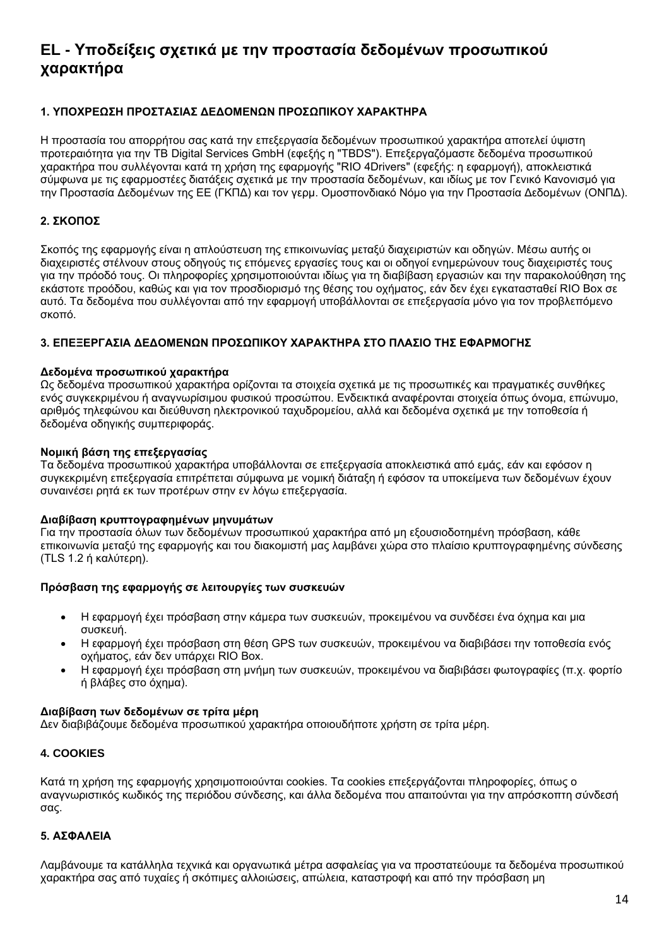# <span id="page-13-0"></span>**EL - Υποδείξεις σχετικά με την προστασία δεδομένων προσωπικού χαρακτήρα**

# **1. ΥΠΟΧΡΕΩΣΗ ΠΡΟΣΤΑΣΙΑΣ ΔΕΔΟΜΕΝΩΝ ΠΡΟΣΩΠΙΚΟΥ ΧΑΡΑΚΤΗΡΑ**

Η προστασία του απορρήτου σας κατά την επεξεργασία δεδομένων προσωπικού χαρακτήρα αποτελεί ύψιστη προτεραιότητα για την TB Digital Services GmbH (εφεξής η "TBDS"). Επεξεργαζόμαστε δεδομένα προσωπικού χαρακτήρα που συλλέγονται κατά τη χρήση της εφαρμογής "RIO 4Drivers" (εφεξής: η εφαρμογή), αποκλειστικά σύμφωνα με τις εφαρμοστέες διατάξεις σχετικά με την προστασία δεδομένων, και ιδίως με τον Γενικό Κανονισμό για την Προστασία Δεδομένων της ΕΕ (ΓΚΠΔ) και τον γερμ. Ομοσπονδιακό Νόμο για την Προστασία Δεδομένων (ΟΝΠΔ).

## **2. ΣΚΟΠΟΣ**

Σκοπός της εφαρμογής είναι η απλούστευση της επικοινωνίας μεταξύ διαχειριστών και οδηγών. Μέσω αυτής οι διαχειριστές στέλνουν στους οδηγούς τις επόμενες εργασίες τους και οι οδηγοί ενημερώνουν τους διαχειριστές τους για την πρόοδό τους. Οι πληροφορίες χρησιμοποιούνται ιδίως για τη διαβίβαση εργασιών και την παρακολούθηση της εκάστοτε προόδου, καθώς και για τον προσδιορισμό της θέσης του οχήματος, εάν δεν έχει εγκατασταθεί RIO Box σε αυτό. Τα δεδομένα που συλλέγονται από την εφαρμογή υποβάλλονται σε επεξεργασία μόνο για τον προβλεπόμενο σκοπό.

## **3. ΕΠΕΞΕΡΓΑΣΙΑ ΔΕΔΟΜΕΝΩΝ ΠΡΟΣΩΠΙΚΟΥ ΧΑΡΑΚΤΗΡΑ ΣΤΟ ΠΛΑΣΙΟ ΤΗΣ ΕΦΑΡΜΟΓΗΣ**

#### **Δεδομένα προσωπικού χαρακτήρα**

Ως δεδομένα προσωπικού χαρακτήρα ορίζονται τα στοιχεία σχετικά με τις προσωπικές και πραγματικές συνθήκες ενός συγκεκριμένου ή αναγνωρίσιμου φυσικού προσώπου. Ενδεικτικά αναφέρονται στοιχεία όπως όνομα, επώνυμο, αριθμός τηλεφώνου και διεύθυνση ηλεκτρονικού ταχυδρομείου, αλλά και δεδομένα σχετικά με την τοποθεσία ή δεδομένα οδηγικής συμπεριφοράς.

#### **Νομική βάση της επεξεργασίας**

Τα δεδομένα προσωπικού χαρακτήρα υποβάλλονται σε επεξεργασία αποκλειστικά από εμάς, εάν και εφόσον η συγκεκριμένη επεξεργασία επιτρέπεται σύμφωνα με νομική διάταξη ή εφόσον τα υποκείμενα των δεδομένων έχουν συναινέσει ρητά εκ των προτέρων στην εν λόγω επεξεργασία.

#### **Διαβίβαση κρυπτογραφημένων μηνυμάτων**

Για την προστασία όλων των δεδομένων προσωπικού χαρακτήρα από μη εξουσιοδοτημένη πρόσβαση, κάθε επικοινωνία μεταξύ της εφαρμογής και του διακομιστή μας λαμβάνει χώρα στο πλαίσιο κρυπτογραφημένης σύνδεσης (TLS 1.2 ή καλύτερη).

## **Πρόσβαση της εφαρμογής σε λειτουργίες των συσκευών**

- Η εφαρμογή έχει πρόσβαση στην κάμερα των συσκευών, προκειμένου να συνδέσει ένα όχημα και μια συσκευή.
- Η εφαρμογή έχει πρόσβαση στη θέση GPS των συσκευών, προκειμένου να διαβιβάσει την τοποθεσία ενός οχήματος, εάν δεν υπάρχει RIO Box.
- Η εφαρμογή έχει πρόσβαση στη μνήμη των συσκευών, προκειμένου να διαβιβάσει φωτογραφίες (π.χ. φορτίο ή βλάβες στο όχημα).

## **Διαβίβαση των δεδομένων σε τρίτα μέρη**

Δεν διαβιβάζουμε δεδομένα προσωπικού χαρακτήρα οποιουδήποτε χρήστη σε τρίτα μέρη.

#### **4. COOKIES**

Κατά τη χρήση της εφαρμογής χρησιμοποιούνται cookies. Τα cookies επεξεργάζονται πληροφορίες, όπως ο αναγνωριστικός κωδικός της περιόδου σύνδεσης, και άλλα δεδομένα που απαιτούνται για την απρόσκοπτη σύνδεσή σας.

#### **5. ΑΣΦΑΛΕΙΑ**

Λαμβάνουμε τα κατάλληλα τεχνικά και οργανωτικά μέτρα ασφαλείας για να προστατεύουμε τα δεδομένα προσωπικού χαρακτήρα σας από τυχαίες ή σκόπιμες αλλοιώσεις, απώλεια, καταστροφή και από την πρόσβαση μη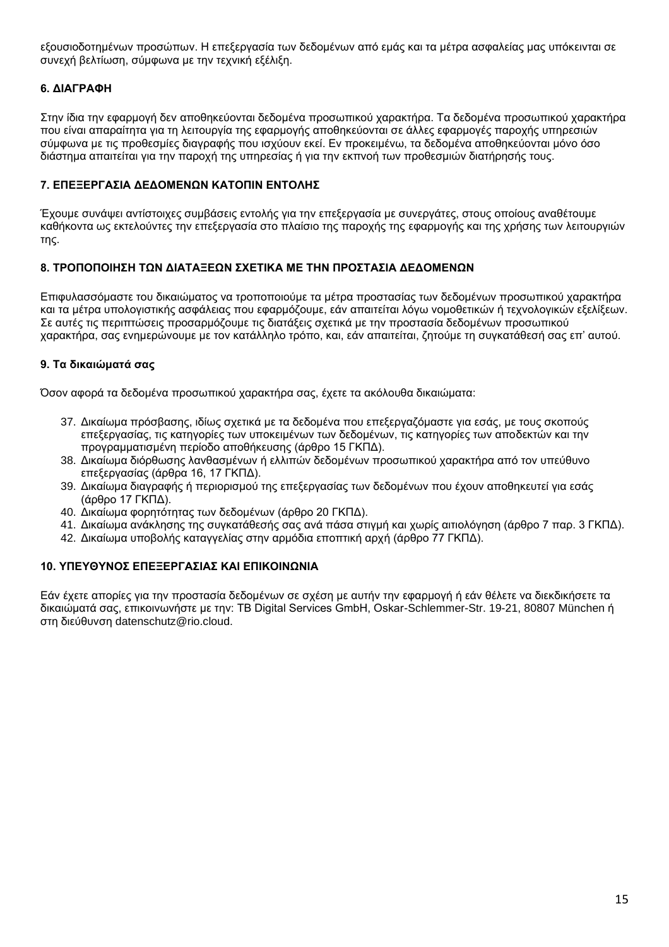εξουσιοδοτημένων προσώπων. Η επεξεργασία των δεδομένων από εμάς και τα μέτρα ασφαλείας μας υπόκεινται σε συνεχή βελτίωση, σύμφωνα με την τεχνική εξέλιξη.

# **6. ΔΙΑΓΡΑΦΗ**

Στην ίδια την εφαρμογή δεν αποθηκεύονται δεδομένα προσωπικού χαρακτήρα. Τα δεδομένα προσωπικού χαρακτήρα που είναι απαραίτητα για τη λειτουργία της εφαρμογής αποθηκεύονται σε άλλες εφαρμογές παροχής υπηρεσιών σύμφωνα με τις προθεσμίες διαγραφής που ισχύουν εκεί. Εν προκειμένω, τα δεδομένα αποθηκεύονται μόνο όσο διάστημα απαιτείται για την παροχή της υπηρεσίας ή για την εκπνοή των προθεσμιών διατήρησής τους.

## **7. ΕΠΕΞΕΡΓΑΣΙΑ ΔΕΔΟΜΕΝΩΝ ΚΑΤΟΠΙΝ ΕΝΤΟΛΗΣ**

Έχουμε συνάψει αντίστοιχες συμβάσεις εντολής για την επεξεργασία με συνεργάτες, στους οποίους αναθέτουμε καθήκοντα ως εκτελούντες την επεξεργασία στο πλαίσιο της παροχής της εφαρμογής και της χρήσης των λειτουργιών της.

## **8. ΤΡΟΠΟΠΟΙΗΣΗ ΤΩΝ ΔΙΑΤΑΞΕΩΝ ΣΧΕΤΙΚΑ ΜΕ ΤΗΝ ΠΡΟΣΤΑΣΙΑ ΔΕΔΟΜΕΝΩΝ**

Επιφυλασσόμαστε του δικαιώματος να τροποποιούμε τα μέτρα προστασίας των δεδομένων προσωπικού χαρακτήρα και τα μέτρα υπολογιστικής ασφάλειας που εφαρμόζουμε, εάν απαιτείται λόγω νομοθετικών ή τεχνολογικών εξελίξεων. Σε αυτές τις περιπτώσεις προσαρμόζουμε τις διατάξεις σχετικά με την προστασία δεδομένων προσωπικού χαρακτήρα, σας ενημερώνουμε με τον κατάλληλο τρόπο, και, εάν απαιτείται, ζητούμε τη συγκατάθεσή σας επ' αυτού.

# **9. Τα δικαιώματά σας**

Όσον αφορά τα δεδομένα προσωπικού χαρακτήρα σας, έχετε τα ακόλουθα δικαιώματα:

- 37. Δικαίωμα πρόσβασης, ιδίως σχετικά με τα δεδομένα που επεξεργαζόμαστε για εσάς, με τους σκοπούς επεξεργασίας, τις κατηγορίες των υποκειμένων των δεδομένων, τις κατηγορίες των αποδεκτών και την προγραμματισμένη περίοδο αποθήκευσης (άρθρο 15 ΓΚΠΔ).
- 38. Δικαίωμα διόρθωσης λανθασμένων ή ελλιπών δεδομένων προσωπικού χαρακτήρα από τον υπεύθυνο επεξεργασίας (άρθρα 16, 17 ΓΚΠΔ).
- 39. Δικαίωμα διαγραφής ή περιορισμού της επεξεργασίας των δεδομένων που έχουν αποθηκευτεί για εσάς (άρθρο 17 ΓΚΠΔ).
- 40. Δικαίωμα φορητότητας των δεδομένων (άρθρο 20 ΓΚΠΔ).
- 41. Δικαίωμα ανάκλησης της συγκατάθεσής σας ανά πάσα στιγμή και χωρίς αιτιολόγηση (άρθρο 7 παρ. 3 ΓΚΠΔ).
- 42. Δικαίωμα υποβολής καταγγελίας στην αρμόδια εποπτική αρχή (άρθρο 77 ΓΚΠΔ).

## **10. ΥΠΕΥΘΥΝΟΣ ΕΠΕΞΕΡΓΑΣΙΑΣ ΚΑΙ ΕΠΙΚΟΙΝΩΝΙΑ**

Εάν έχετε απορίες για την προστασία δεδομένων σε σχέση με αυτήν την εφαρμογή ή εάν θέλετε να διεκδικήσετε τα δικαιώματά σας, επικοινωνήστε με την: TB Digital Services GmbH, Oskar-Schlemmer-Str. 19-21, 80807 München ή στη διεύθυνση datenschutz@rio.cloud.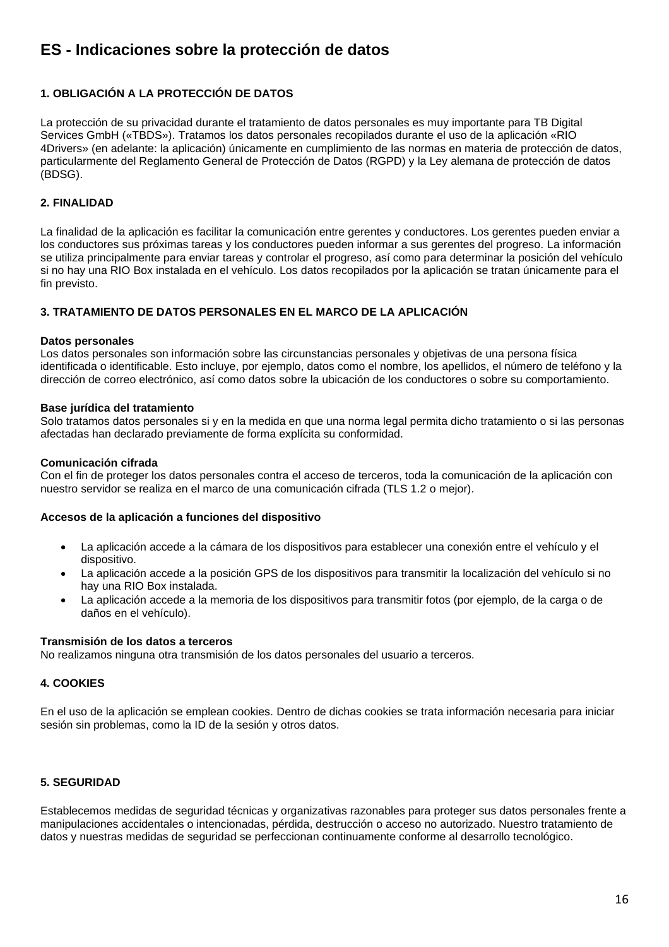# <span id="page-15-0"></span>**ES - Indicaciones sobre la protección de datos**

# **1. OBLIGACIÓN A LA PROTECCIÓN DE DATOS**

La protección de su privacidad durante el tratamiento de datos personales es muy importante para TB Digital Services GmbH («TBDS»). Tratamos los datos personales recopilados durante el uso de la aplicación «RIO 4Drivers» (en adelante: la aplicación) únicamente en cumplimiento de las normas en materia de protección de datos, particularmente del Reglamento General de Protección de Datos (RGPD) y la Ley alemana de protección de datos (BDSG).

## **2. FINALIDAD**

La finalidad de la aplicación es facilitar la comunicación entre gerentes y conductores. Los gerentes pueden enviar a los conductores sus próximas tareas y los conductores pueden informar a sus gerentes del progreso. La información se utiliza principalmente para enviar tareas y controlar el progreso, así como para determinar la posición del vehículo si no hay una RIO Box instalada en el vehículo. Los datos recopilados por la aplicación se tratan únicamente para el fin previsto.

## **3. TRATAMIENTO DE DATOS PERSONALES EN EL MARCO DE LA APLICACIÓN**

#### **Datos personales**

Los datos personales son información sobre las circunstancias personales y objetivas de una persona física identificada o identificable. Esto incluye, por ejemplo, datos como el nombre, los apellidos, el número de teléfono y la dirección de correo electrónico, así como datos sobre la ubicación de los conductores o sobre su comportamiento.

#### **Base jurídica del tratamiento**

Solo tratamos datos personales si y en la medida en que una norma legal permita dicho tratamiento o si las personas afectadas han declarado previamente de forma explícita su conformidad.

#### **Comunicación cifrada**

Con el fin de proteger los datos personales contra el acceso de terceros, toda la comunicación de la aplicación con nuestro servidor se realiza en el marco de una comunicación cifrada (TLS 1.2 o mejor).

#### **Accesos de la aplicación a funciones del dispositivo**

- La aplicación accede a la cámara de los dispositivos para establecer una conexión entre el vehículo y el dispositivo.
- La aplicación accede a la posición GPS de los dispositivos para transmitir la localización del vehículo si no hay una RIO Box instalada.
- La aplicación accede a la memoria de los dispositivos para transmitir fotos (por ejemplo, de la carga o de daños en el vehículo).

#### **Transmisión de los datos a terceros**

No realizamos ninguna otra transmisión de los datos personales del usuario a terceros.

#### **4. COOKIES**

En el uso de la aplicación se emplean cookies. Dentro de dichas cookies se trata información necesaria para iniciar sesión sin problemas, como la ID de la sesión y otros datos.

## **5. SEGURIDAD**

Establecemos medidas de seguridad técnicas y organizativas razonables para proteger sus datos personales frente a manipulaciones accidentales o intencionadas, pérdida, destrucción o acceso no autorizado. Nuestro tratamiento de datos y nuestras medidas de seguridad se perfeccionan continuamente conforme al desarrollo tecnológico.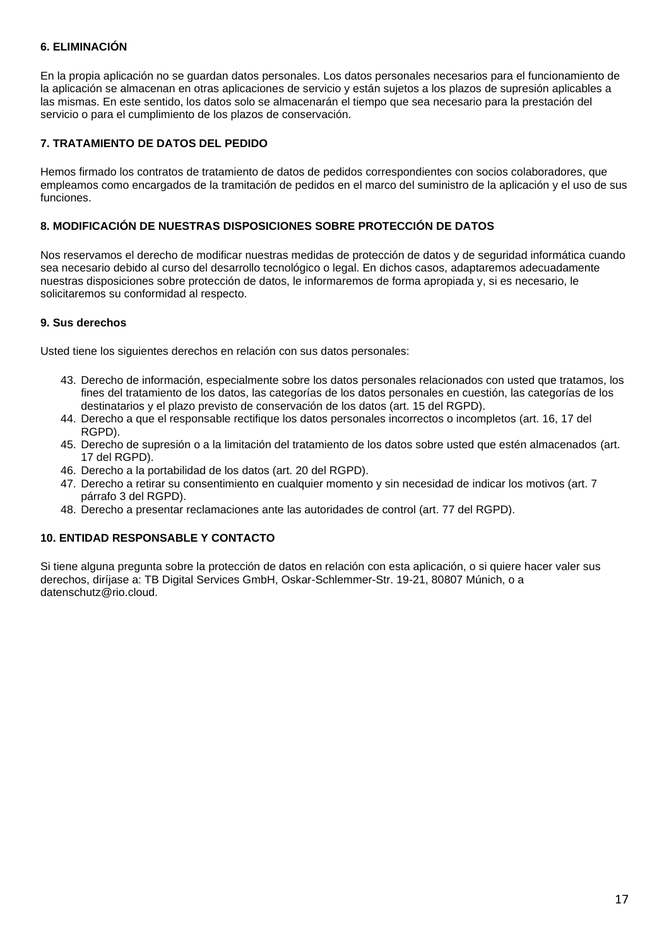## **6. ELIMINACIÓN**

En la propia aplicación no se guardan datos personales. Los datos personales necesarios para el funcionamiento de la aplicación se almacenan en otras aplicaciones de servicio y están sujetos a los plazos de supresión aplicables a las mismas. En este sentido, los datos solo se almacenarán el tiempo que sea necesario para la prestación del servicio o para el cumplimiento de los plazos de conservación.

## **7. TRATAMIENTO DE DATOS DEL PEDIDO**

Hemos firmado los contratos de tratamiento de datos de pedidos correspondientes con socios colaboradores, que empleamos como encargados de la tramitación de pedidos en el marco del suministro de la aplicación y el uso de sus funciones.

## **8. MODIFICACIÓN DE NUESTRAS DISPOSICIONES SOBRE PROTECCIÓN DE DATOS**

Nos reservamos el derecho de modificar nuestras medidas de protección de datos y de seguridad informática cuando sea necesario debido al curso del desarrollo tecnológico o legal. En dichos casos, adaptaremos adecuadamente nuestras disposiciones sobre protección de datos, le informaremos de forma apropiada y, si es necesario, le solicitaremos su conformidad al respecto.

#### **9. Sus derechos**

Usted tiene los siguientes derechos en relación con sus datos personales:

- 43. Derecho de información, especialmente sobre los datos personales relacionados con usted que tratamos, los fines del tratamiento de los datos, las categorías de los datos personales en cuestión, las categorías de los destinatarios y el plazo previsto de conservación de los datos (art. 15 del RGPD).
- 44. Derecho a que el responsable rectifique los datos personales incorrectos o incompletos (art. 16, 17 del RGPD).
- 45. Derecho de supresión o a la limitación del tratamiento de los datos sobre usted que estén almacenados (art. 17 del RGPD).
- 46. Derecho a la portabilidad de los datos (art. 20 del RGPD).
- 47. Derecho a retirar su consentimiento en cualquier momento y sin necesidad de indicar los motivos (art. 7 párrafo 3 del RGPD).
- 48. Derecho a presentar reclamaciones ante las autoridades de control (art. 77 del RGPD).

## **10. ENTIDAD RESPONSABLE Y CONTACTO**

Si tiene alguna pregunta sobre la protección de datos en relación con esta aplicación, o si quiere hacer valer sus derechos, diríjase a: TB Digital Services GmbH, Oskar-Schlemmer-Str. 19-21, 80807 Múnich, o a datenschutz@rio.cloud.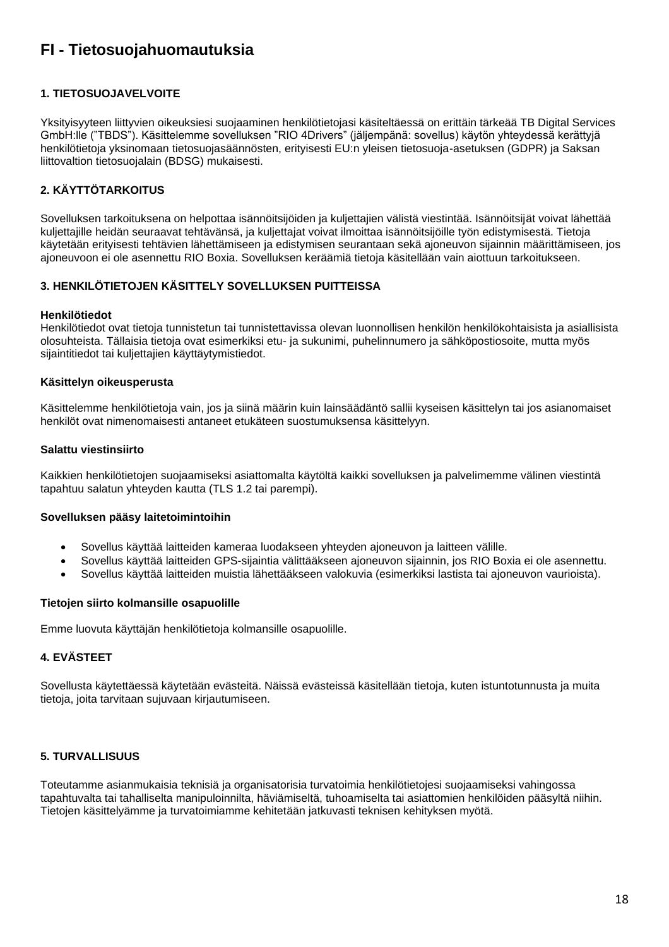# <span id="page-17-0"></span>**FI - Tietosuojahuomautuksia**

## **1. TIETOSUOJAVELVOITE**

Yksityisyyteen liittyvien oikeuksiesi suojaaminen henkilötietojasi käsiteltäessä on erittäin tärkeää TB Digital Services GmbH:lle ("TBDS"). Käsittelemme sovelluksen "RIO 4Drivers" (jäljempänä: sovellus) käytön yhteydessä kerättyjä henkilötietoja yksinomaan tietosuojasäännösten, erityisesti EU:n yleisen tietosuoja-asetuksen (GDPR) ja Saksan liittovaltion tietosuojalain (BDSG) mukaisesti.

# **2. KÄYTTÖTARKOITUS**

Sovelluksen tarkoituksena on helpottaa isännöitsijöiden ja kuljettajien välistä viestintää. Isännöitsijät voivat lähettää kuljettajille heidän seuraavat tehtävänsä, ja kuljettajat voivat ilmoittaa isännöitsijöille työn edistymisestä. Tietoja käytetään erityisesti tehtävien lähettämiseen ja edistymisen seurantaan sekä ajoneuvon sijainnin määrittämiseen, jos ajoneuvoon ei ole asennettu RIO Boxia. Sovelluksen keräämiä tietoja käsitellään vain aiottuun tarkoitukseen.

## **3. HENKILÖTIETOJEN KÄSITTELY SOVELLUKSEN PUITTEISSA**

#### **Henkilötiedot**

Henkilötiedot ovat tietoja tunnistetun tai tunnistettavissa olevan luonnollisen henkilön henkilökohtaisista ja asiallisista olosuhteista. Tällaisia tietoja ovat esimerkiksi etu- ja sukunimi, puhelinnumero ja sähköpostiosoite, mutta myös sijaintitiedot tai kuljettajien käyttäytymistiedot.

#### **Käsittelyn oikeusperusta**

Käsittelemme henkilötietoja vain, jos ja siinä määrin kuin lainsäädäntö sallii kyseisen käsittelyn tai jos asianomaiset henkilöt ovat nimenomaisesti antaneet etukäteen suostumuksensa käsittelyyn.

#### **Salattu viestinsiirto**

Kaikkien henkilötietojen suojaamiseksi asiattomalta käytöltä kaikki sovelluksen ja palvelimemme välinen viestintä tapahtuu salatun yhteyden kautta (TLS 1.2 tai parempi).

## **Sovelluksen pääsy laitetoimintoihin**

- Sovellus käyttää laitteiden kameraa luodakseen yhteyden ajoneuvon ja laitteen välille.
- Sovellus käyttää laitteiden GPS-sijaintia välittääkseen ajoneuvon sijainnin, jos RIO Boxia ei ole asennettu.
- Sovellus käyttää laitteiden muistia lähettääkseen valokuvia (esimerkiksi lastista tai ajoneuvon vaurioista).

## **Tietojen siirto kolmansille osapuolille**

Emme luovuta käyttäjän henkilötietoja kolmansille osapuolille.

## **4. EVÄSTEET**

Sovellusta käytettäessä käytetään evästeitä. Näissä evästeissä käsitellään tietoja, kuten istuntotunnusta ja muita tietoja, joita tarvitaan sujuvaan kirjautumiseen.

## **5. TURVALLISUUS**

Toteutamme asianmukaisia teknisiä ja organisatorisia turvatoimia henkilötietojesi suojaamiseksi vahingossa tapahtuvalta tai tahalliselta manipuloinnilta, häviämiseltä, tuhoamiselta tai asiattomien henkilöiden pääsyltä niihin. Tietojen käsittelyämme ja turvatoimiamme kehitetään jatkuvasti teknisen kehityksen myötä.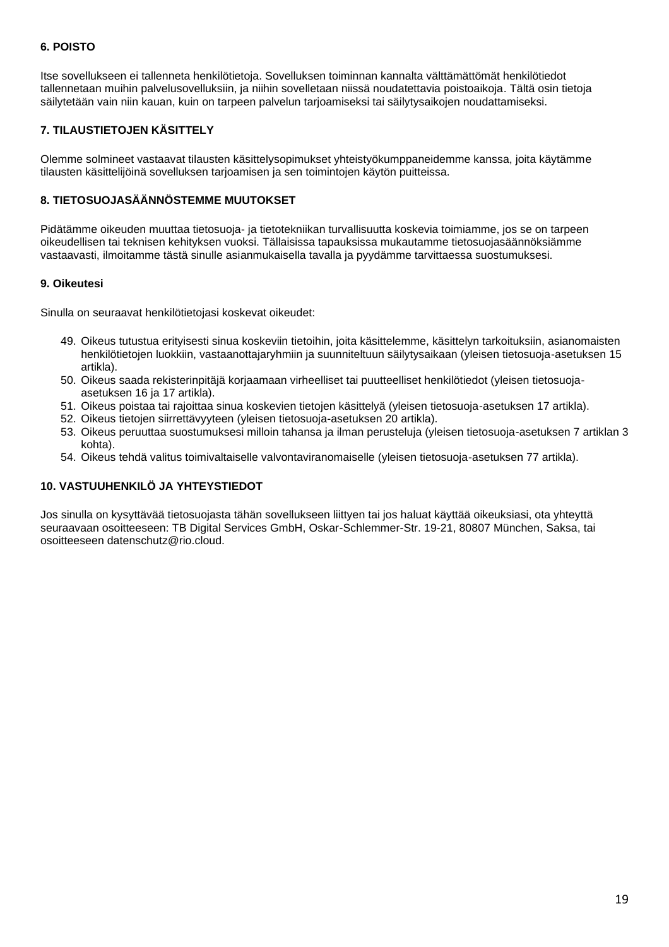## **6. POISTO**

Itse sovellukseen ei tallenneta henkilötietoja. Sovelluksen toiminnan kannalta välttämättömät henkilötiedot tallennetaan muihin palvelusovelluksiin, ja niihin sovelletaan niissä noudatettavia poistoaikoja. Tältä osin tietoja säilytetään vain niin kauan, kuin on tarpeen palvelun tarjoamiseksi tai säilytysaikojen noudattamiseksi.

# **7. TILAUSTIETOJEN KÄSITTELY**

Olemme solmineet vastaavat tilausten käsittelysopimukset yhteistyökumppaneidemme kanssa, joita käytämme tilausten käsittelijöinä sovelluksen tarjoamisen ja sen toimintojen käytön puitteissa.

## **8. TIETOSUOJASÄÄNNÖSTEMME MUUTOKSET**

Pidätämme oikeuden muuttaa tietosuoja- ja tietotekniikan turvallisuutta koskevia toimiamme, jos se on tarpeen oikeudellisen tai teknisen kehityksen vuoksi. Tällaisissa tapauksissa mukautamme tietosuojasäännöksiämme vastaavasti, ilmoitamme tästä sinulle asianmukaisella tavalla ja pyydämme tarvittaessa suostumuksesi.

## **9. Oikeutesi**

Sinulla on seuraavat henkilötietojasi koskevat oikeudet:

- 49. Oikeus tutustua erityisesti sinua koskeviin tietoihin, joita käsittelemme, käsittelyn tarkoituksiin, asianomaisten henkilötietojen luokkiin, vastaanottajaryhmiin ja suunniteltuun säilytysaikaan (yleisen tietosuoja-asetuksen 15 artikla).
- 50. Oikeus saada rekisterinpitäjä korjaamaan virheelliset tai puutteelliset henkilötiedot (yleisen tietosuojaasetuksen 16 ja 17 artikla).
- 51. Oikeus poistaa tai rajoittaa sinua koskevien tietojen käsittelyä (yleisen tietosuoja-asetuksen 17 artikla).
- 52. Oikeus tietojen siirrettävyyteen (yleisen tietosuoja-asetuksen 20 artikla).
- 53. Oikeus peruuttaa suostumuksesi milloin tahansa ja ilman perusteluja (yleisen tietosuoja-asetuksen 7 artiklan 3 kohta).
- 54. Oikeus tehdä valitus toimivaltaiselle valvontaviranomaiselle (yleisen tietosuoja-asetuksen 77 artikla).

# **10. VASTUUHENKILÖ JA YHTEYSTIEDOT**

Jos sinulla on kysyttävää tietosuojasta tähän sovellukseen liittyen tai jos haluat käyttää oikeuksiasi, ota yhteyttä seuraavaan osoitteeseen: TB Digital Services GmbH, Oskar-Schlemmer-Str. 19-21, 80807 München, Saksa, tai osoitteeseen datenschutz@rio.cloud.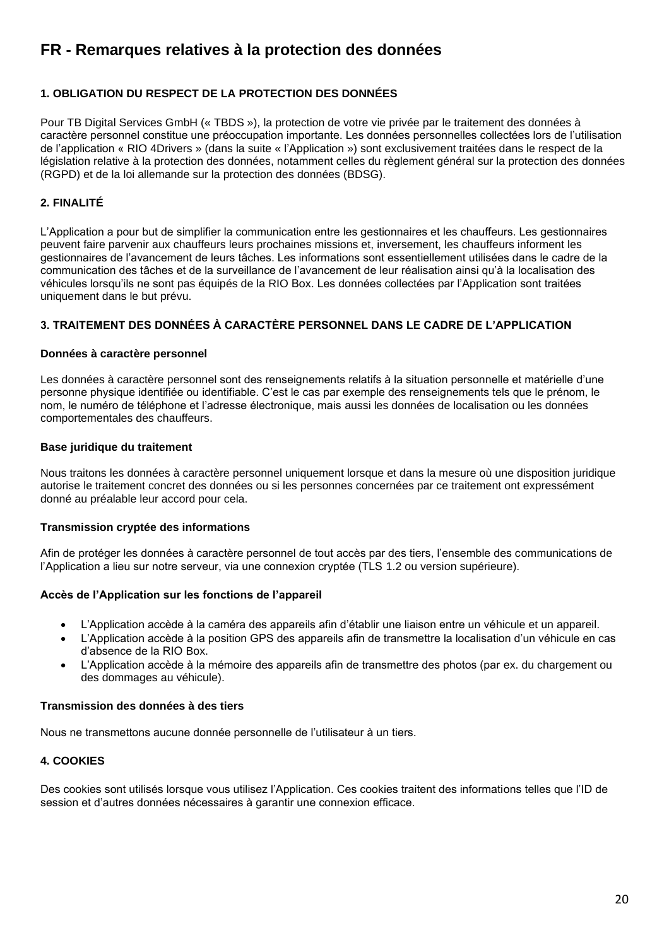# <span id="page-19-0"></span>**FR - Remarques relatives à la protection des données**

# **1. OBLIGATION DU RESPECT DE LA PROTECTION DES DONNÉES**

Pour TB Digital Services GmbH (« TBDS »), la protection de votre vie privée par le traitement des données à caractère personnel constitue une préoccupation importante. Les données personnelles collectées lors de l'utilisation de l'application « RIO 4Drivers » (dans la suite « l'Application ») sont exclusivement traitées dans le respect de la législation relative à la protection des données, notamment celles du règlement général sur la protection des données (RGPD) et de la loi allemande sur la protection des données (BDSG).

## **2. FINALITÉ**

L'Application a pour but de simplifier la communication entre les gestionnaires et les chauffeurs. Les gestionnaires peuvent faire parvenir aux chauffeurs leurs prochaines missions et, inversement, les chauffeurs informent les gestionnaires de l'avancement de leurs tâches. Les informations sont essentiellement utilisées dans le cadre de la communication des tâches et de la surveillance de l'avancement de leur réalisation ainsi qu'à la localisation des véhicules lorsqu'ils ne sont pas équipés de la RIO Box. Les données collectées par l'Application sont traitées uniquement dans le but prévu.

## **3. TRAITEMENT DES DONNÉES À CARACTÈRE PERSONNEL DANS LE CADRE DE L'APPLICATION**

#### **Données à caractère personnel**

Les données à caractère personnel sont des renseignements relatifs à la situation personnelle et matérielle d'une personne physique identifiée ou identifiable. C'est le cas par exemple des renseignements tels que le prénom, le nom, le numéro de téléphone et l'adresse électronique, mais aussi les données de localisation ou les données comportementales des chauffeurs.

#### **Base juridique du traitement**

Nous traitons les données à caractère personnel uniquement lorsque et dans la mesure où une disposition juridique autorise le traitement concret des données ou si les personnes concernées par ce traitement ont expressément donné au préalable leur accord pour cela.

## **Transmission cryptée des informations**

Afin de protéger les données à caractère personnel de tout accès par des tiers, l'ensemble des communications de l'Application a lieu sur notre serveur, via une connexion cryptée (TLS 1.2 ou version supérieure).

## **Accès de l'Application sur les fonctions de l'appareil**

- L'Application accède à la caméra des appareils afin d'établir une liaison entre un véhicule et un appareil.
- L'Application accède à la position GPS des appareils afin de transmettre la localisation d'un véhicule en cas d'absence de la RIO Box.
- L'Application accède à la mémoire des appareils afin de transmettre des photos (par ex. du chargement ou des dommages au véhicule).

#### **Transmission des données à des tiers**

Nous ne transmettons aucune donnée personnelle de l'utilisateur à un tiers.

## **4. COOKIES**

Des cookies sont utilisés lorsque vous utilisez l'Application. Ces cookies traitent des informations telles que l'ID de session et d'autres données nécessaires à garantir une connexion efficace.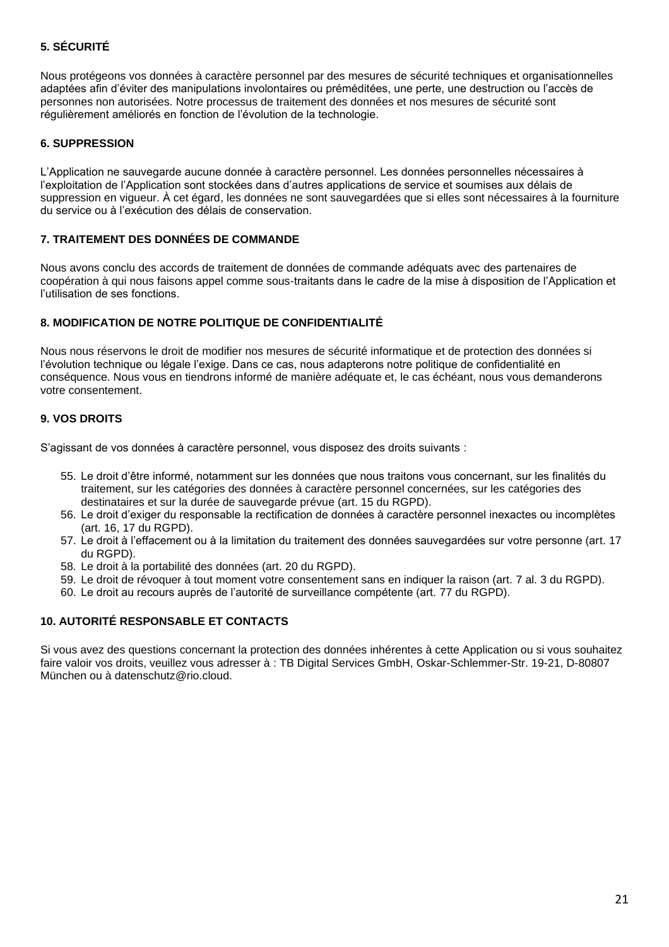# **5. SÉCURITÉ**

Nous protégeons vos données à caractère personnel par des mesures de sécurité techniques et organisationnelles adaptées afin d'éviter des manipulations involontaires ou préméditées, une perte, une destruction ou l'accès de personnes non autorisées. Notre processus de traitement des données et nos mesures de sécurité sont régulièrement améliorés en fonction de l'évolution de la technologie.

## **6. SUPPRESSION**

L'Application ne sauvegarde aucune donnée à caractère personnel. Les données personnelles nécessaires à l'exploitation de l'Application sont stockées dans d'autres applications de service et soumises aux délais de suppression en vigueur. À cet égard, les données ne sont sauvegardées que si elles sont nécessaires à la fourniture du service ou à l'exécution des délais de conservation.

#### **7. TRAITEMENT DES DONNÉES DE COMMANDE**

Nous avons conclu des accords de traitement de données de commande adéquats avec des partenaires de coopération à qui nous faisons appel comme sous-traitants dans le cadre de la mise à disposition de l'Application et l'utilisation de ses fonctions.

## **8. MODIFICATION DE NOTRE POLITIQUE DE CONFIDENTIALITÉ**

Nous nous réservons le droit de modifier nos mesures de sécurité informatique et de protection des données si l'évolution technique ou légale l'exige. Dans ce cas, nous adapterons notre politique de confidentialité en conséquence. Nous vous en tiendrons informé de manière adéquate et, le cas échéant, nous vous demanderons votre consentement.

## **9. VOS DROITS**

S'agissant de vos données à caractère personnel, vous disposez des droits suivants :

- 55. Le droit d'être informé, notamment sur les données que nous traitons vous concernant, sur les finalités du traitement, sur les catégories des données à caractère personnel concernées, sur les catégories des destinataires et sur la durée de sauvegarde prévue (art. 15 du RGPD).
- 56. Le droit d'exiger du responsable la rectification de données à caractère personnel inexactes ou incomplètes (art. 16, 17 du RGPD).
- 57. Le droit à l'effacement ou à la limitation du traitement des données sauvegardées sur votre personne (art. 17 du RGPD).
- 58. Le droit à la portabilité des données (art. 20 du RGPD).
- 59. Le droit de révoquer à tout moment votre consentement sans en indiquer la raison (art. 7 al. 3 du RGPD).
- 60. Le droit au recours auprès de l'autorité de surveillance compétente (art. 77 du RGPD).

# **10. AUTORITÉ RESPONSABLE ET CONTACTS**

Si vous avez des questions concernant la protection des données inhérentes à cette Application ou si vous souhaitez faire valoir vos droits, veuillez vous adresser à : TB Digital Services GmbH, Oskar-Schlemmer-Str. 19-21, D-80807 München ou à datenschutz@rio.cloud.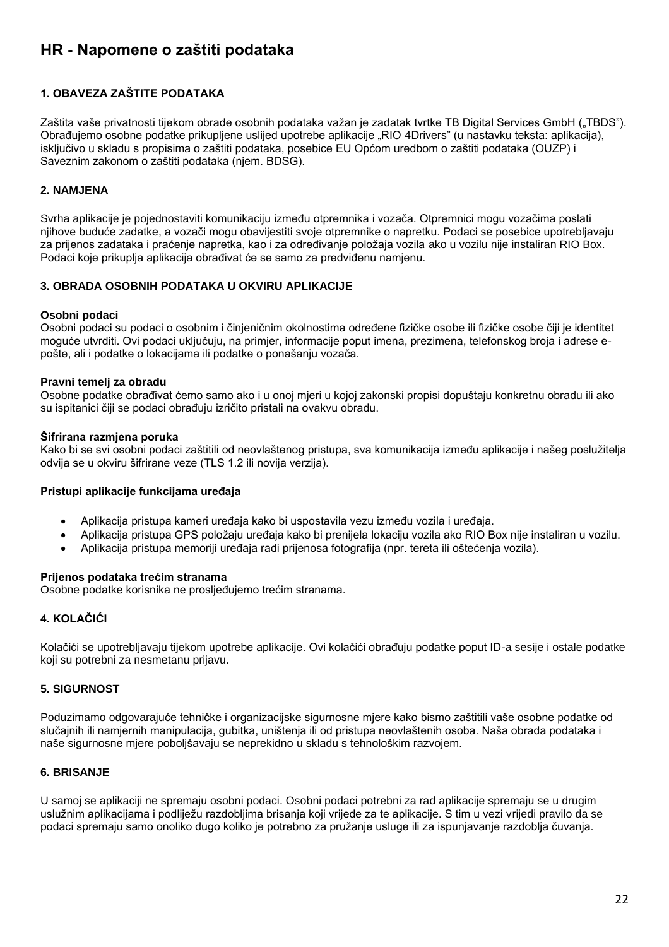# <span id="page-21-0"></span>**HR - Napomene o zaštiti podataka**

# **1. OBAVEZA ZAŠTITE PODATAKA**

Zaštita vaše privatnosti tijekom obrade osobnih podataka važan je zadatak tvrtke TB Digital Services GmbH ("TBDS"). Obrađujemo osobne podatke prikupljene uslijed upotrebe aplikacije "RIO 4Drivers" (u nastavku teksta: aplikacija), isključivo u skladu s propisima o zaštiti podataka, posebice EU Općom uredbom o zaštiti podataka (OUZP) i Saveznim zakonom o zaštiti podataka (njem. BDSG).

## **2. NAMJENA**

Svrha aplikacije je pojednostaviti komunikaciju između otpremnika i vozača. Otpremnici mogu vozačima poslati njihove buduće zadatke, a vozači mogu obavijestiti svoje otpremnike o napretku. Podaci se posebice upotrebljavaju za prijenos zadataka i praćenje napretka, kao i za određivanje položaja vozila ako u vozilu nije instaliran RIO Box. Podaci koje prikuplja aplikacija obrađivat će se samo za predviđenu namjenu.

## **3. OBRADA OSOBNIH PODATAKA U OKVIRU APLIKACIJE**

#### **Osobni podaci**

Osobni podaci su podaci o osobnim i činjeničnim okolnostima određene fizičke osobe ili fizičke osobe čiji je identitet moguće utvrditi. Ovi podaci uključuju, na primjer, informacije poput imena, prezimena, telefonskog broja i adrese epošte, ali i podatke o lokacijama ili podatke o ponašanju vozača.

#### **Pravni temelj za obradu**

Osobne podatke obrađivat ćemo samo ako i u onoj mjeri u kojoj zakonski propisi dopuštaju konkretnu obradu ili ako su ispitanici čiji se podaci obrađuju izričito pristali na ovakvu obradu.

#### **Šifrirana razmjena poruka**

Kako bi se svi osobni podaci zaštitili od neovlaštenog pristupa, sva komunikacija između aplikacije i našeg poslužitelja odvija se u okviru šifrirane veze (TLS 1.2 ili novija verzija).

## **Pristupi aplikacije funkcijama uređaja**

- Aplikacija pristupa kameri uređaja kako bi uspostavila vezu između vozila i uređaja.
- Aplikacija pristupa GPS položaju uređaja kako bi prenijela lokaciju vozila ako RIO Box nije instaliran u vozilu.
- Aplikacija pristupa memoriji uređaja radi prijenosa fotografija (npr. tereta ili oštećenja vozila).

## **Prijenos podataka trećim stranama**

Osobne podatke korisnika ne prosljeđujemo trećim stranama.

## **4. KOLAČIĆI**

Kolačići se upotrebljavaju tijekom upotrebe aplikacije. Ovi kolačići obrađuju podatke poput ID-a sesije i ostale podatke koji su potrebni za nesmetanu prijavu.

## **5. SIGURNOST**

Poduzimamo odgovarajuće tehničke i organizacijske sigurnosne mjere kako bismo zaštitili vaše osobne podatke od slučajnih ili namjernih manipulacija, gubitka, uništenja ili od pristupa neovlaštenih osoba. Naša obrada podataka i naše sigurnosne mjere poboljšavaju se neprekidno u skladu s tehnološkim razvojem.

## **6. BRISANJE**

U samoj se aplikaciji ne spremaju osobni podaci. Osobni podaci potrebni za rad aplikacije spremaju se u drugim uslužnim aplikacijama i podliježu razdobljima brisanja koji vrijede za te aplikacije. S tim u vezi vrijedi pravilo da se podaci spremaju samo onoliko dugo koliko je potrebno za pružanje usluge ili za ispunjavanje razdoblja čuvanja.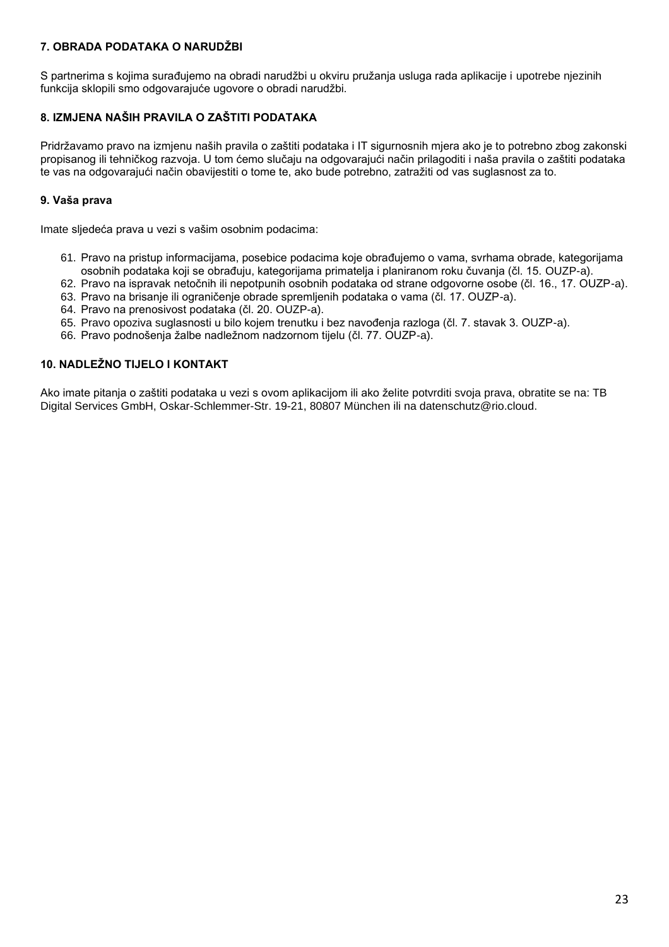# **7. OBRADA PODATAKA O NARUDŽBI**

S partnerima s kojima surađujemo na obradi narudžbi u okviru pružanja usluga rada aplikacije i upotrebe njezinih funkcija sklopili smo odgovarajuće ugovore o obradi narudžbi.

# **8. IZMJENA NAŠIH PRAVILA O ZAŠTITI PODATAKA**

Pridržavamo pravo na izmjenu naših pravila o zaštiti podataka i IT sigurnosnih mjera ako je to potrebno zbog zakonski propisanog ili tehničkog razvoja. U tom ćemo slučaju na odgovarajući način prilagoditi i naša pravila o zaštiti podataka te vas na odgovarajući način obavijestiti o tome te, ako bude potrebno, zatražiti od vas suglasnost za to.

# **9. Vaša prava**

Imate sljedeća prava u vezi s vašim osobnim podacima:

- 61. Pravo na pristup informacijama, posebice podacima koje obrađujemo o vama, svrhama obrade, kategorijama osobnih podataka koji se obrađuju, kategorijama primatelja i planiranom roku čuvanja (čl. 15. OUZP-a).
- 62. Pravo na ispravak netočnih ili nepotpunih osobnih podataka od strane odgovorne osobe (čl. 16., 17. OUZP-a).
- 63. Pravo na brisanje ili ograničenje obrade spremljenih podataka o vama (čl. 17. OUZP-a).
- 64. Pravo na prenosivost podataka (čl. 20. OUZP-a).
- 65. Pravo opoziva suglasnosti u bilo kojem trenutku i bez navođenja razloga (čl. 7. stavak 3. OUZP-a).
- 66. Pravo podnošenja žalbe nadležnom nadzornom tijelu (čl. 77. OUZP-a).

# **10. NADLEŽNO TIJELO I KONTAKT**

Ako imate pitanja o zaštiti podataka u vezi s ovom aplikacijom ili ako želite potvrditi svoja prava, obratite se na: TB Digital Services GmbH, Oskar-Schlemmer-Str. 19-21, 80807 München ili na datenschutz@rio.cloud.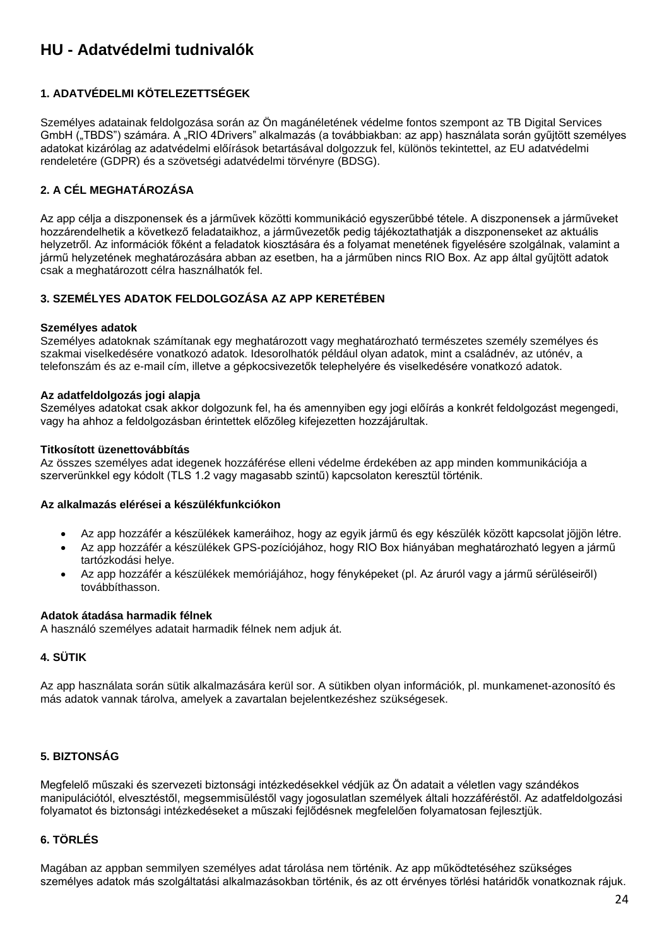# <span id="page-23-0"></span>**HU - Adatvédelmi tudnivalók**

# **1. ADATVÉDELMI KÖTELEZETTSÉGEK**

Személyes adatainak feldolgozása során az Ön magánéletének védelme fontos szempont az TB Digital Services GmbH ("TBDS") számára. A "RIO 4Drivers" alkalmazás (a továbbiakban: az app) használata során gyűjtött személyes adatokat kizárólag az adatvédelmi előírások betartásával dolgozzuk fel, különös tekintettel, az EU adatvédelmi rendeletére (GDPR) és a szövetségi adatvédelmi törvényre (BDSG).

# **2. A CÉL MEGHATÁROZÁSA**

Az app célja a diszponensek és a járművek közötti kommunikáció egyszerűbbé tétele. A diszponensek a járműveket hozzárendelhetik a következő feladataikhoz, a járművezetők pedig tájékoztathatják a diszponenseket az aktuális helyzetről. Az információk főként a feladatok kiosztására és a folyamat menetének figyelésére szolgálnak, valamint a jármű helyzetének meghatározására abban az esetben, ha a járműben nincs RIO Box. Az app által gyűjtött adatok csak a meghatározott célra használhatók fel.

# **3. SZEMÉLYES ADATOK FELDOLGOZÁSA AZ APP KERETÉBEN**

## **Személyes adatok**

Személyes adatoknak számítanak egy meghatározott vagy meghatározható természetes személy személyes és szakmai viselkedésére vonatkozó adatok. Idesorolhatók például olyan adatok, mint a családnév, az utónév, a telefonszám és az e-mail cím, illetve a gépkocsivezetők telephelyére és viselkedésére vonatkozó adatok.

#### **Az adatfeldolgozás jogi alapja**

Személyes adatokat csak akkor dolgozunk fel, ha és amennyiben egy jogi előírás a konkrét feldolgozást megengedi, vagy ha ahhoz a feldolgozásban érintettek előzőleg kifejezetten hozzájárultak.

#### **Titkosított üzenettovábbítás**

Az összes személyes adat idegenek hozzáférése elleni védelme érdekében az app minden kommunikációja a szerverünkkel egy kódolt (TLS 1.2 vagy magasabb szintű) kapcsolaton keresztül történik.

#### **Az alkalmazás elérései a készülékfunkciókon**

- Az app hozzáfér a készülékek kameráihoz, hogy az egyik jármű és egy készülék között kapcsolat jöjjön létre.
- Az app hozzáfér a készülékek GPS-pozíciójához, hogy RIO Box hiányában meghatározható legyen a jármű tartózkodási helye.
- Az app hozzáfér a készülékek memóriájához, hogy fényképeket (pl. Az áruról vagy a jármű sérüléseiről) továbbíthasson.

#### **Adatok átadása harmadik félnek**

A használó személyes adatait harmadik félnek nem adjuk át.

## **4. SÜTIK**

Az app használata során sütik alkalmazására kerül sor. A sütikben olyan információk, pl. munkamenet-azonosító és más adatok vannak tárolva, amelyek a zavartalan bejelentkezéshez szükségesek.

# **5. BIZTONSÁG**

Megfelelő műszaki és szervezeti biztonsági intézkedésekkel védjük az Ön adatait a véletlen vagy szándékos manipulációtól, elvesztéstől, megsemmisüléstől vagy jogosulatlan személyek általi hozzáféréstől. Az adatfeldolgozási folyamatot és biztonsági intézkedéseket a műszaki fejlődésnek megfelelően folyamatosan fejlesztjük.

# **6. TÖRLÉS**

Magában az appban semmilyen személyes adat tárolása nem történik. Az app működtetéséhez szükséges személyes adatok más szolgáltatási alkalmazásokban történik, és az ott érvényes törlési határidők vonatkoznak rájuk.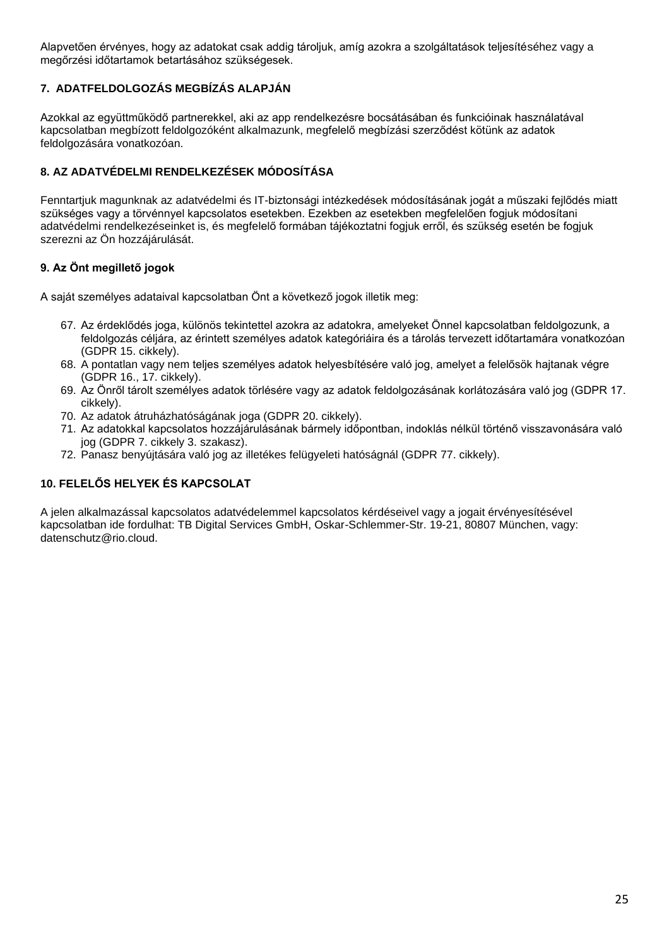Alapvetően érvényes, hogy az adatokat csak addig tároljuk, amíg azokra a szolgáltatások teljesítéséhez vagy a megőrzési időtartamok betartásához szükségesek.

# **7. ADATFELDOLGOZÁS MEGBÍZÁS ALAPJÁN**

Azokkal az együttműködő partnerekkel, aki az app rendelkezésre bocsátásában és funkcióinak használatával kapcsolatban megbízott feldolgozóként alkalmazunk, megfelelő megbízási szerződést kötünk az adatok feldolgozására vonatkozóan.

# **8. AZ ADATVÉDELMI RENDELKEZÉSEK MÓDOSÍTÁSA**

Fenntartjuk magunknak az adatvédelmi és IT-biztonsági intézkedések módosításának jogát a műszaki fejlődés miatt szükséges vagy a törvénnyel kapcsolatos esetekben. Ezekben az esetekben megfelelően fogjuk módosítani adatvédelmi rendelkezéseinket is, és megfelelő formában tájékoztatni fogjuk erről, és szükség esetén be fogjuk szerezni az Ön hozzájárulását.

# **9. Az Önt megillető jogok**

A saját személyes adataival kapcsolatban Önt a következő jogok illetik meg:

- 67. Az érdeklődés joga, különös tekintettel azokra az adatokra, amelyeket Önnel kapcsolatban feldolgozunk, a feldolgozás céljára, az érintett személyes adatok kategóriáira és a tárolás tervezett időtartamára vonatkozóan (GDPR 15. cikkely).
- 68. A pontatlan vagy nem teljes személyes adatok helyesbítésére való jog, amelyet a felelősök hajtanak végre (GDPR 16., 17. cikkely).
- 69. Az Önről tárolt személyes adatok törlésére vagy az adatok feldolgozásának korlátozására való jog (GDPR 17. cikkely).
- 70. Az adatok átruházhatóságának joga (GDPR 20. cikkely).
- 71. Az adatokkal kapcsolatos hozzájárulásának bármely időpontban, indoklás nélkül történő visszavonására való jog (GDPR 7. cikkely 3. szakasz).
- 72. Panasz benyújtására való jog az illetékes felügyeleti hatóságnál (GDPR 77. cikkely).

# **10. FELELŐS HELYEK ÉS KAPCSOLAT**

A jelen alkalmazással kapcsolatos adatvédelemmel kapcsolatos kérdéseivel vagy a jogait érvényesítésével kapcsolatban ide fordulhat: TB Digital Services GmbH, Oskar-Schlemmer-Str. 19-21, 80807 München, vagy: datenschutz@rio.cloud.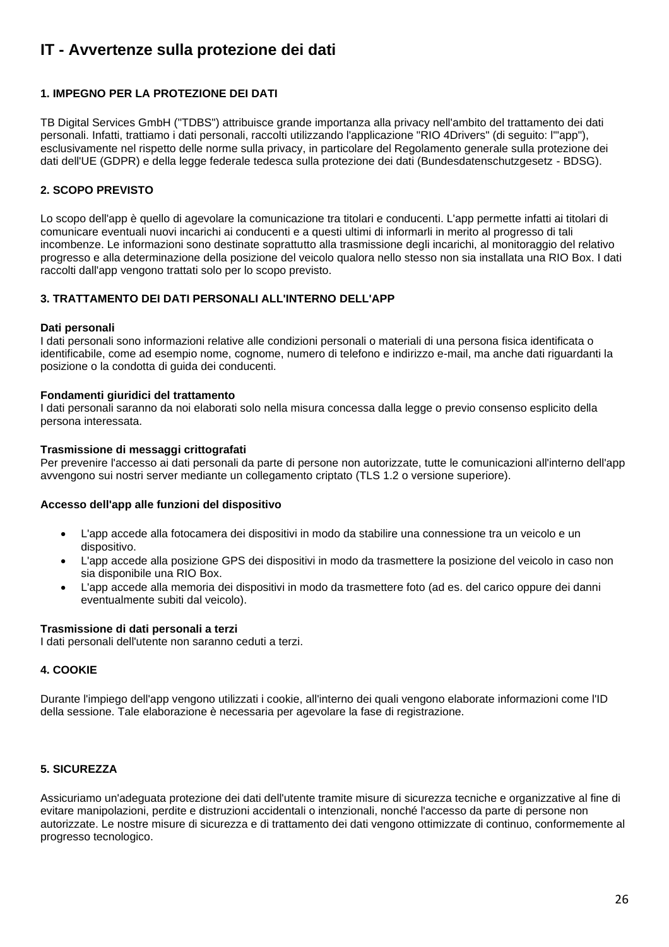# <span id="page-25-0"></span>**IT - Avvertenze sulla protezione dei dati**

## **1. IMPEGNO PER LA PROTEZIONE DEI DATI**

TB Digital Services GmbH ("TDBS") attribuisce grande importanza alla privacy nell'ambito del trattamento dei dati personali. Infatti, trattiamo i dati personali, raccolti utilizzando l'applicazione "RIO 4Drivers" (di seguito: l'"app"), esclusivamente nel rispetto delle norme sulla privacy, in particolare del Regolamento generale sulla protezione dei dati dell'UE (GDPR) e della legge federale tedesca sulla protezione dei dati (Bundesdatenschutzgesetz - BDSG).

# **2. SCOPO PREVISTO**

Lo scopo dell'app è quello di agevolare la comunicazione tra titolari e conducenti. L'app permette infatti ai titolari di comunicare eventuali nuovi incarichi ai conducenti e a questi ultimi di informarli in merito al progresso di tali incombenze. Le informazioni sono destinate soprattutto alla trasmissione degli incarichi, al monitoraggio del relativo progresso e alla determinazione della posizione del veicolo qualora nello stesso non sia installata una RIO Box. I dati raccolti dall'app vengono trattati solo per lo scopo previsto.

## **3. TRATTAMENTO DEI DATI PERSONALI ALL'INTERNO DELL'APP**

#### **Dati personali**

I dati personali sono informazioni relative alle condizioni personali o materiali di una persona fisica identificata o identificabile, come ad esempio nome, cognome, numero di telefono e indirizzo e-mail, ma anche dati riguardanti la posizione o la condotta di guida dei conducenti.

#### **Fondamenti giuridici del trattamento**

I dati personali saranno da noi elaborati solo nella misura concessa dalla legge o previo consenso esplicito della persona interessata.

#### **Trasmissione di messaggi crittografati**

Per prevenire l'accesso ai dati personali da parte di persone non autorizzate, tutte le comunicazioni all'interno dell'app avvengono sui nostri server mediante un collegamento criptato (TLS 1.2 o versione superiore).

#### **Accesso dell'app alle funzioni del dispositivo**

- L'app accede alla fotocamera dei dispositivi in modo da stabilire una connessione tra un veicolo e un dispositivo.
- L'app accede alla posizione GPS dei dispositivi in modo da trasmettere la posizione del veicolo in caso non sia disponibile una RIO Box.
- L'app accede alla memoria dei dispositivi in modo da trasmettere foto (ad es. del carico oppure dei danni eventualmente subiti dal veicolo).

## **Trasmissione di dati personali a terzi**

I dati personali dell'utente non saranno ceduti a terzi.

## **4. COOKIE**

Durante l'impiego dell'app vengono utilizzati i cookie, all'interno dei quali vengono elaborate informazioni come l'ID della sessione. Tale elaborazione è necessaria per agevolare la fase di registrazione.

## **5. SICUREZZA**

Assicuriamo un'adeguata protezione dei dati dell'utente tramite misure di sicurezza tecniche e organizzative al fine di evitare manipolazioni, perdite e distruzioni accidentali o intenzionali, nonché l'accesso da parte di persone non autorizzate. Le nostre misure di sicurezza e di trattamento dei dati vengono ottimizzate di continuo, conformemente al progresso tecnologico.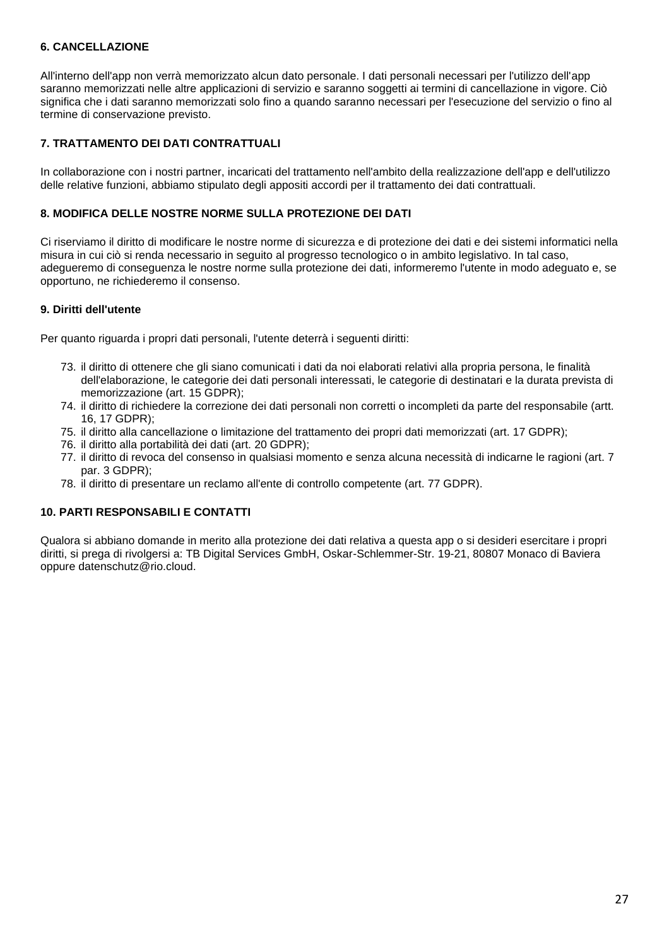## **6. CANCELLAZIONE**

All'interno dell'app non verrà memorizzato alcun dato personale. I dati personali necessari per l'utilizzo dell'app saranno memorizzati nelle altre applicazioni di servizio e saranno soggetti ai termini di cancellazione in vigore. Ciò significa che i dati saranno memorizzati solo fino a quando saranno necessari per l'esecuzione del servizio o fino al termine di conservazione previsto.

## **7. TRATTAMENTO DEI DATI CONTRATTUALI**

In collaborazione con i nostri partner, incaricati del trattamento nell'ambito della realizzazione dell'app e dell'utilizzo delle relative funzioni, abbiamo stipulato degli appositi accordi per il trattamento dei dati contrattuali.

## **8. MODIFICA DELLE NOSTRE NORME SULLA PROTEZIONE DEI DATI**

Ci riserviamo il diritto di modificare le nostre norme di sicurezza e di protezione dei dati e dei sistemi informatici nella misura in cui ciò si renda necessario in seguito al progresso tecnologico o in ambito legislativo. In tal caso, adegueremo di conseguenza le nostre norme sulla protezione dei dati, informeremo l'utente in modo adeguato e, se opportuno, ne richiederemo il consenso.

## **9. Diritti dell'utente**

Per quanto riguarda i propri dati personali, l'utente deterrà i seguenti diritti:

- 73. il diritto di ottenere che gli siano comunicati i dati da noi elaborati relativi alla propria persona, le finalità dell'elaborazione, le categorie dei dati personali interessati, le categorie di destinatari e la durata prevista di memorizzazione (art. 15 GDPR);
- 74. il diritto di richiedere la correzione dei dati personali non corretti o incompleti da parte del responsabile (artt. 16, 17 GDPR);
- 75. il diritto alla cancellazione o limitazione del trattamento dei propri dati memorizzati (art. 17 GDPR);
- 76. il diritto alla portabilità dei dati (art. 20 GDPR);
- 77. il diritto di revoca del consenso in qualsiasi momento e senza alcuna necessità di indicarne le ragioni (art. 7 par. 3 GDPR);
- 78. il diritto di presentare un reclamo all'ente di controllo competente (art. 77 GDPR).

## **10. PARTI RESPONSABILI E CONTATTI**

Qualora si abbiano domande in merito alla protezione dei dati relativa a questa app o si desideri esercitare i propri diritti, si prega di rivolgersi a: TB Digital Services GmbH, Oskar-Schlemmer-Str. 19-21, 80807 Monaco di Baviera oppure datenschutz@rio.cloud.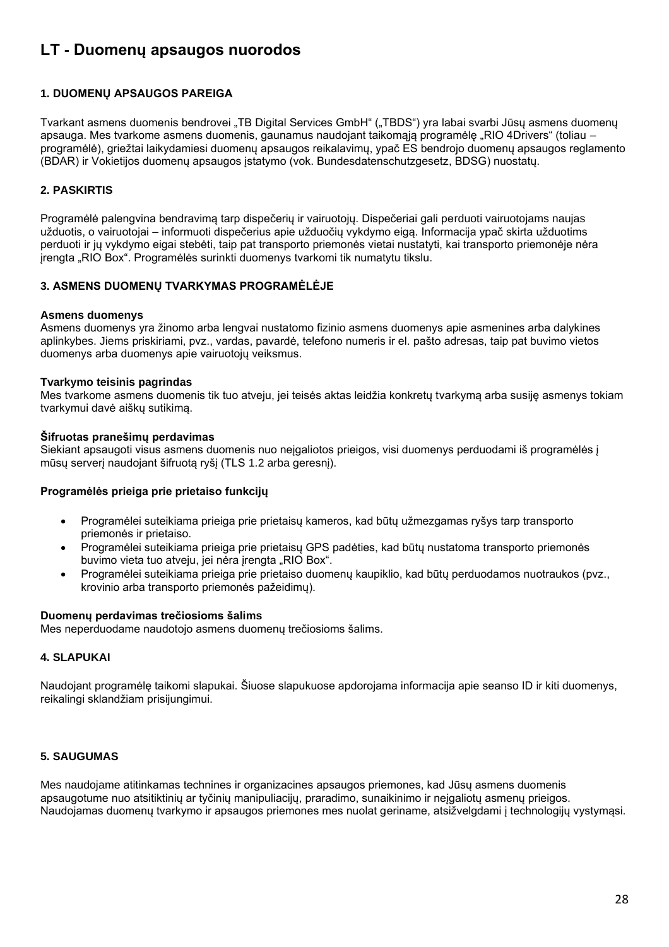# <span id="page-27-0"></span>**LT - Duomenų apsaugos nuorodos**

## **1. DUOMENŲ APSAUGOS PAREIGA**

Tvarkant asmens duomenis bendrovei "TB Digital Services GmbH" ("TBDS") yra labai svarbi Jūsų asmens duomenų apsauga. Mes tvarkome asmens duomenis, gaunamus naudojant taikomąją programėlę "RIO 4Drivers" (toliau – programėlė), griežtai laikydamiesi duomenų apsaugos reikalavimų, ypač ES bendrojo duomenų apsaugos reglamento (BDAR) ir Vokietijos duomenų apsaugos įstatymo (vok. Bundesdatenschutzgesetz, BDSG) nuostatų.

## **2. PASKIRTIS**

Programėlė palengvina bendravimą tarp dispečerių ir vairuotojų. Dispečeriai gali perduoti vairuotojams naujas užduotis, o vairuotojai – informuoti dispečerius apie užduočių vykdymo eigą. Informacija ypač skirta užduotims perduoti ir jų vykdymo eigai stebėti, taip pat transporto priemonės vietai nustatyti, kai transporto priemonėje nėra įrengta "RIO Box". Programėlės surinkti duomenys tvarkomi tik numatytu tikslu.

## **3. ASMENS DUOMENŲ TVARKYMAS PROGRAMĖLĖJE**

#### **Asmens duomenys**

Asmens duomenys yra žinomo arba lengvai nustatomo fizinio asmens duomenys apie asmenines arba dalykines aplinkybes. Jiems priskiriami, pvz., vardas, pavardė, telefono numeris ir el. pašto adresas, taip pat buvimo vietos duomenys arba duomenys apie vairuotojų veiksmus.

## **Tvarkymo teisinis pagrindas**

Mes tvarkome asmens duomenis tik tuo atveju, jei teisės aktas leidžia konkretų tvarkymą arba susiję asmenys tokiam tvarkymui davė aiškų sutikimą.

#### **Šifruotas pranešimų perdavimas**

Siekiant apsaugoti visus asmens duomenis nuo neįgaliotos prieigos, visi duomenys perduodami iš programėlės į mūsų serverį naudojant šifruotą ryšį (TLS 1.2 arba geresnį).

## **Programėlės prieiga prie prietaiso funkcijų**

- Programėlei suteikiama prieiga prie prietaisų kameros, kad būtų užmezgamas ryšys tarp transporto priemonės ir prietaiso.
- Programėlei suteikiama prieiga prie prietaisų GPS padėties, kad būtų nustatoma transporto priemonės buvimo vieta tuo atveju, jei nėra įrengta "RIO Box".
- Programėlei suteikiama prieiga prie prietaiso duomenų kaupiklio, kad būtų perduodamos nuotraukos (pvz., krovinio arba transporto priemonės pažeidimų).

#### **Duomenų perdavimas trečiosioms šalims**

Mes neperduodame naudotojo asmens duomenų trečiosioms šalims.

## **4. SLAPUKAI**

Naudojant programėlę taikomi slapukai. Šiuose slapukuose apdorojama informacija apie seanso ID ir kiti duomenys, reikalingi sklandžiam prisijungimui.

## **5. SAUGUMAS**

Mes naudojame atitinkamas technines ir organizacines apsaugos priemones, kad Jūsų asmens duomenis apsaugotume nuo atsitiktinių ar tyčinių manipuliacijų, praradimo, sunaikinimo ir neįgaliotų asmenų prieigos. Naudojamas duomenų tvarkymo ir apsaugos priemones mes nuolat geriname, atsižvelgdami į technologijų vystymąsi.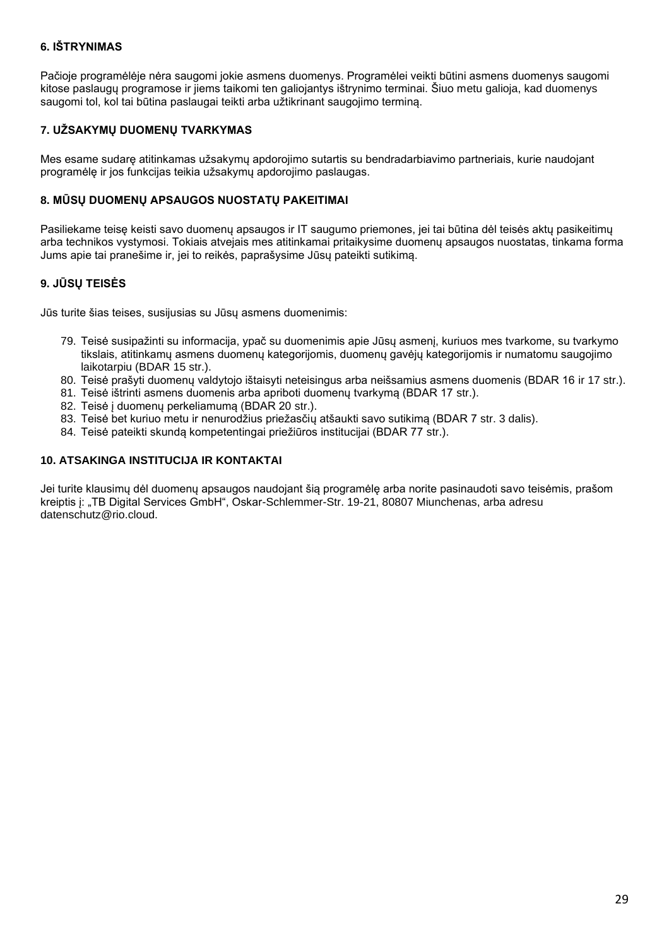# **6. IŠTRYNIMAS**

Pačioje programėlėje nėra saugomi jokie asmens duomenys. Programėlei veikti būtini asmens duomenys saugomi kitose paslaugų programose ir jiems taikomi ten galiojantys ištrynimo terminai. Šiuo metu galioja, kad duomenys saugomi tol, kol tai būtina paslaugai teikti arba užtikrinant saugojimo terminą.

# **7. UŽSAKYMŲ DUOMENŲ TVARKYMAS**

Mes esame sudarę atitinkamas užsakymų apdorojimo sutartis su bendradarbiavimo partneriais, kurie naudojant programėlę ir jos funkcijas teikia užsakymų apdorojimo paslaugas.

## **8. MŪSŲ DUOMENŲ APSAUGOS NUOSTATŲ PAKEITIMAI**

Pasiliekame teisę keisti savo duomenų apsaugos ir IT saugumo priemones, jei tai būtina dėl teisės aktų pasikeitimų arba technikos vystymosi. Tokiais atvejais mes atitinkamai pritaikysime duomenų apsaugos nuostatas, tinkama forma Jums apie tai pranešime ir, jei to reikės, paprašysime Jūsų pateikti sutikimą.

## **9. JŪSŲ TEISĖS**

Jūs turite šias teises, susijusias su Jūsų asmens duomenimis:

- 79. Teisė susipažinti su informacija, ypač su duomenimis apie Jūsų asmenį, kuriuos mes tvarkome, su tvarkymo tikslais, atitinkamų asmens duomenų kategorijomis, duomenų gavėjų kategorijomis ir numatomu saugojimo laikotarpiu (BDAR 15 str.).
- 80. Teisė prašyti duomenų valdytojo ištaisyti neteisingus arba neišsamius asmens duomenis (BDAR 16 ir 17 str.).
- 81. Teisė ištrinti asmens duomenis arba apriboti duomenų tvarkymą (BDAR 17 str.).
- 82. Teisė į duomenų perkeliamumą (BDAR 20 str.).
- 83. Teisė bet kuriuo metu ir nenurodžius priežasčių atšaukti savo sutikimą (BDAR 7 str. 3 dalis).
- 84. Teisė pateikti skundą kompetentingai priežiūros institucijai (BDAR 77 str.).

## **10. ATSAKINGA INSTITUCIJA IR KONTAKTAI**

Jei turite klausimų dėl duomenų apsaugos naudojant šią programėlę arba norite pasinaudoti savo teisėmis, prašom kreiptis j: "TB Digital Services GmbH", Oskar-Schlemmer-Str. 19-21, 80807 Miunchenas, arba adresu datenschutz@rio.cloud.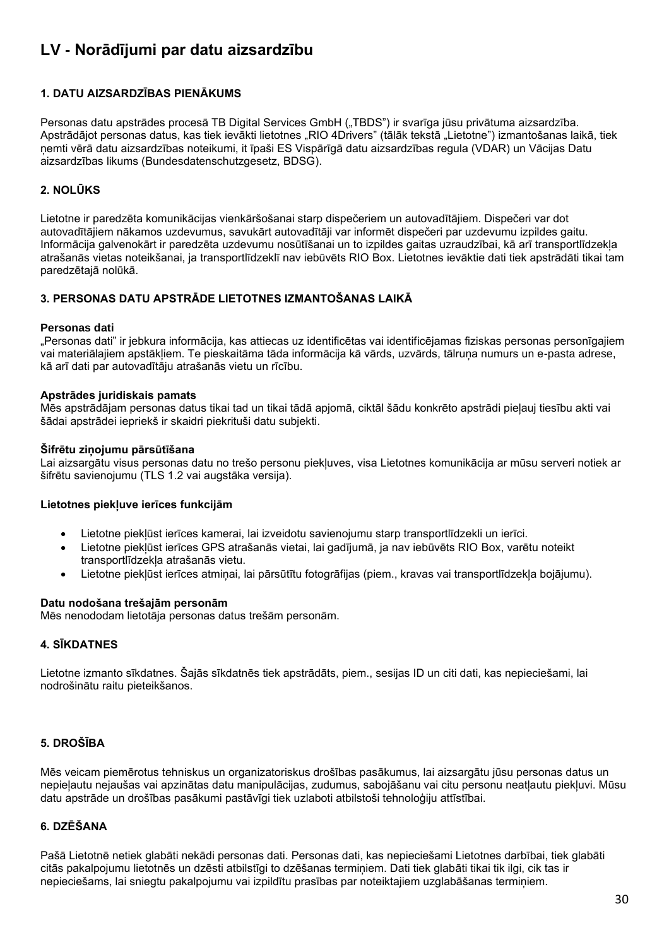# <span id="page-29-0"></span>**LV - Norādījumi par datu aizsardzību**

# **1. DATU AIZSARDZĪBAS PIENĀKUMS**

Personas datu apstrādes procesā TB Digital Services GmbH ("TBDS") ir svarīga jūsu privātuma aizsardzība. Apstrādājot personas datus, kas tiek ievākti lietotnes "RIO 4Drivers" (tālāk tekstā "Lietotne") izmantošanas laikā, tiek ņemti vērā datu aizsardzības noteikumi, it īpaši ES Vispārīgā datu aizsardzības regula (VDAR) un Vācijas Datu aizsardzības likums (Bundesdatenschutzgesetz, BDSG).

# **2. NOLŪKS**

Lietotne ir paredzēta komunikācijas vienkāršošanai starp dispečeriem un autovadītājiem. Dispečeri var dot autovadītājiem nākamos uzdevumus, savukārt autovadītāji var informēt dispečeri par uzdevumu izpildes gaitu. Informācija galvenokārt ir paredzēta uzdevumu nosūtīšanai un to izpildes gaitas uzraudzībai, kā arī transportlīdzekļa atrašanās vietas noteikšanai, ja transportlīdzeklī nav iebūvēts RIO Box. Lietotnes ievāktie dati tiek apstrādāti tikai tam paredzētajā nolūkā.

# **3. PERSONAS DATU APSTRĀDE LIETOTNES IZMANTOŠANAS LAIKĀ**

## **Personas dati**

"Personas dati" ir jebkura informācija, kas attiecas uz identificētas vai identificējamas fiziskas personas personīgajiem vai materiālajiem apstākļiem. Te pieskaitāma tāda informācija kā vārds, uzvārds, tālruņa numurs un e-pasta adrese, kā arī dati par autovadītāju atrašanās vietu un rīcību.

## **Apstrādes juridiskais pamats**

Mēs apstrādājam personas datus tikai tad un tikai tādā apjomā, ciktāl šādu konkrēto apstrādi pieļauj tiesību akti vai šādai apstrādei iepriekš ir skaidri piekrituši datu subjekti.

## **Šifrētu ziņojumu pārsūtīšana**

Lai aizsargātu visus personas datu no trešo personu piekļuves, visa Lietotnes komunikācija ar mūsu serveri notiek ar šifrētu savienojumu (TLS 1.2 vai augstāka versija).

## **Lietotnes piekļuve ierīces funkcijām**

- Lietotne piekļūst ierīces kamerai, lai izveidotu savienojumu starp transportlīdzekli un ierīci.
- Lietotne piekļūst ierīces GPS atrašanās vietai, lai gadījumā, ja nav iebūvēts RIO Box, varētu noteikt transportlīdzekļa atrašanās vietu.
- Lietotne piekļūst ierīces atmiņai, lai pārsūtītu fotogrāfijas (piem., kravas vai transportlīdzekļa bojājumu).

## **Datu nodošana trešajām personām**

Mēs nenododam lietotāja personas datus trešām personām.

## **4. SĪKDATNES**

Lietotne izmanto sīkdatnes. Šajās sīkdatnēs tiek apstrādāts, piem., sesijas ID un citi dati, kas nepieciešami, lai nodrošinātu raitu pieteikšanos.

## **5. DROŠĪBA**

Mēs veicam piemērotus tehniskus un organizatoriskus drošības pasākumus, lai aizsargātu jūsu personas datus un nepieļautu nejaušas vai apzinātas datu manipulācijas, zudumus, sabojāšanu vai citu personu neatļautu piekļuvi. Mūsu datu apstrāde un drošības pasākumi pastāvīgi tiek uzlaboti atbilstoši tehnoloģiju attīstībai.

## **6. DZĒŠANA**

Pašā Lietotnē netiek glabāti nekādi personas dati. Personas dati, kas nepieciešami Lietotnes darbībai, tiek glabāti citās pakalpojumu lietotnēs un dzēsti atbilstīgi to dzēšanas termiņiem. Dati tiek glabāti tikai tik ilgi, cik tas ir nepieciešams, lai sniegtu pakalpojumu vai izpildītu prasības par noteiktajiem uzglabāšanas termiņiem.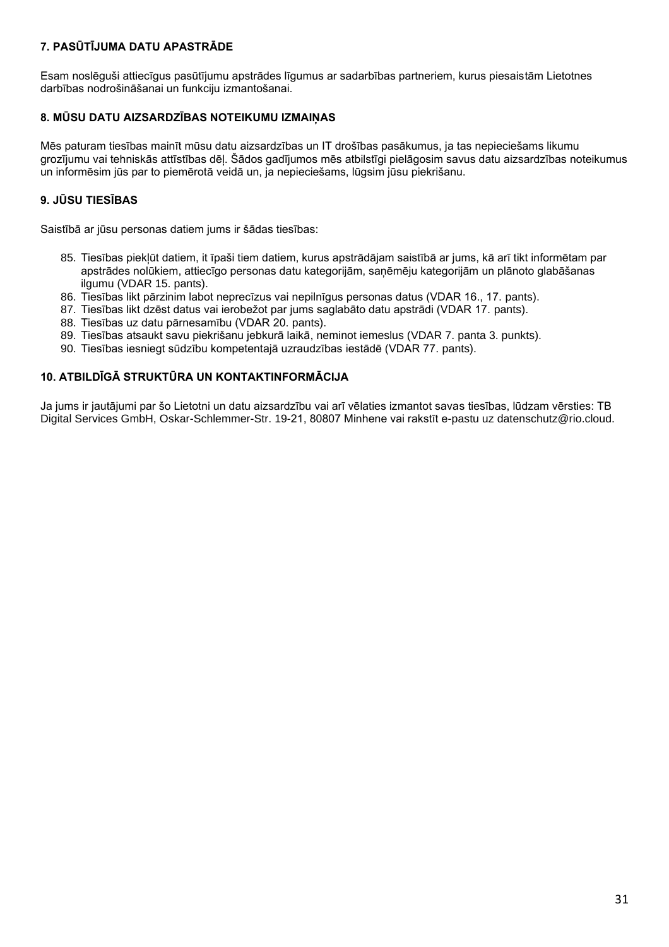# **7. PASŪTĪJUMA DATU APASTRĀDE**

Esam noslēguši attiecīgus pasūtījumu apstrādes līgumus ar sadarbības partneriem, kurus piesaistām Lietotnes darbības nodrošināšanai un funkciju izmantošanai.

# **8. MŪSU DATU AIZSARDZĪBAS NOTEIKUMU IZMAIŅAS**

Mēs paturam tiesības mainīt mūsu datu aizsardzības un IT drošības pasākumus, ja tas nepieciešams likumu grozījumu vai tehniskās attīstības dēļ. Šādos gadījumos mēs atbilstīgi pielāgosim savus datu aizsardzības noteikumus un informēsim jūs par to piemērotā veidā un, ja nepieciešams, lūgsim jūsu piekrišanu.

# **9. JŪSU TIESĪBAS**

Saistībā ar jūsu personas datiem jums ir šādas tiesības:

- 85. Tiesības piekļūt datiem, it īpaši tiem datiem, kurus apstrādājam saistībā ar jums, kā arī tikt informētam par apstrādes nolūkiem, attiecīgo personas datu kategorijām, saņēmēju kategorijām un plānoto glabāšanas ilgumu (VDAR 15. pants).
- 86. Tiesības likt pārzinim labot neprecīzus vai nepilnīgus personas datus (VDAR 16., 17. pants).
- 87. Tiesības likt dzēst datus vai ierobežot par jums saglabāto datu apstrādi (VDAR 17. pants).
- 88. Tiesības uz datu pārnesamību (VDAR 20. pants).
- 89. Tiesības atsaukt savu piekrišanu jebkurā laikā, neminot iemeslus (VDAR 7. panta 3. punkts).
- 90. Tiesības iesniegt sūdzību kompetentajā uzraudzības iestādē (VDAR 77. pants).

## **10. ATBILDĪGĀ STRUKTŪRA UN KONTAKTINFORMĀCIJA**

Ja jums ir jautājumi par šo Lietotni un datu aizsardzību vai arī vēlaties izmantot savas tiesības, lūdzam vērsties: TB Digital Services GmbH, Oskar-Schlemmer-Str. 19-21, 80807 Minhene vai rakstīt e-pastu uz datenschutz@rio.cloud.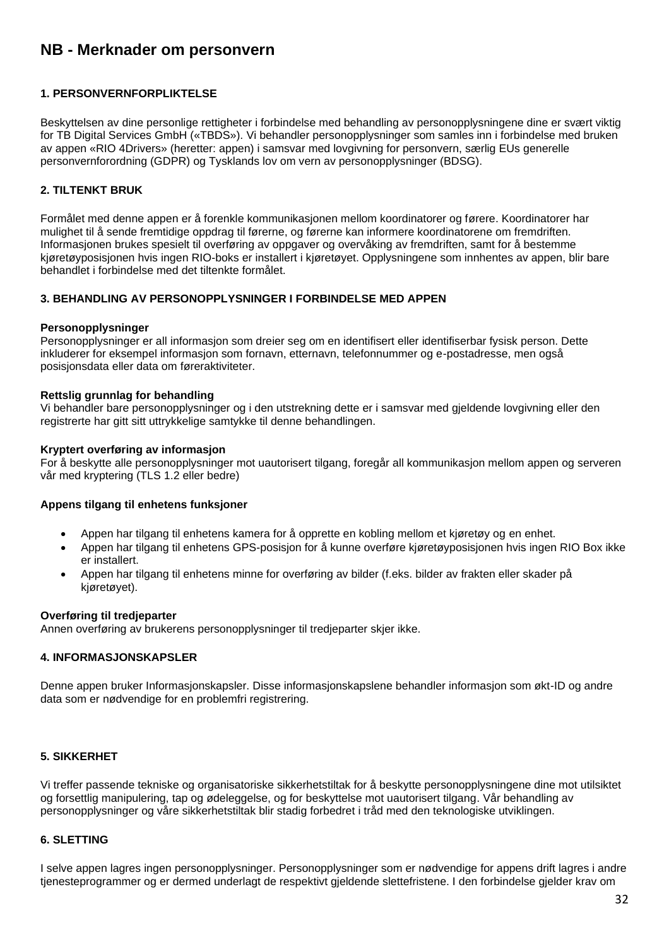# <span id="page-31-0"></span>**NB - Merknader om personvern**

## **1. PERSONVERNFORPLIKTELSE**

Beskyttelsen av dine personlige rettigheter i forbindelse med behandling av personopplysningene dine er svært viktig for TB Digital Services GmbH («TBDS»). Vi behandler personopplysninger som samles inn i forbindelse med bruken av appen «RIO 4Drivers» (heretter: appen) i samsvar med lovgivning for personvern, særlig EUs generelle personvernforordning (GDPR) og Tysklands lov om vern av personopplysninger (BDSG).

## **2. TILTENKT BRUK**

Formålet med denne appen er å forenkle kommunikasjonen mellom koordinatorer og førere. Koordinatorer har mulighet til å sende fremtidige oppdrag til førerne, og førerne kan informere koordinatorene om fremdriften. Informasjonen brukes spesielt til overføring av oppgaver og overvåking av fremdriften, samt for å bestemme kjøretøyposisjonen hvis ingen RIO-boks er installert i kjøretøyet. Opplysningene som innhentes av appen, blir bare behandlet i forbindelse med det tiltenkte formålet.

#### **3. BEHANDLING AV PERSONOPPLYSNINGER I FORBINDELSE MED APPEN**

#### **Personopplysninger**

Personopplysninger er all informasjon som dreier seg om en identifisert eller identifiserbar fysisk person. Dette inkluderer for eksempel informasjon som fornavn, etternavn, telefonnummer og e-postadresse, men også posisjonsdata eller data om føreraktiviteter.

#### **Rettslig grunnlag for behandling**

Vi behandler bare personopplysninger og i den utstrekning dette er i samsvar med gjeldende lovgivning eller den registrerte har gitt sitt uttrykkelige samtykke til denne behandlingen.

#### **Kryptert overføring av informasjon**

For å beskytte alle personopplysninger mot uautorisert tilgang, foregår all kommunikasjon mellom appen og serveren vår med kryptering (TLS 1.2 eller bedre)

#### **Appens tilgang til enhetens funksjoner**

- Appen har tilgang til enhetens kamera for å opprette en kobling mellom et kjøretøy og en enhet.
- Appen har tilgang til enhetens GPS-posisjon for å kunne overføre kjøretøyposisjonen hvis ingen RIO Box ikke er installert.
- Appen har tilgang til enhetens minne for overføring av bilder (f.eks. bilder av frakten eller skader på kjøretøyet).

#### **Overføring til tredjeparter**

Annen overføring av brukerens personopplysninger til tredjeparter skjer ikke.

#### **4. INFORMASJONSKAPSLER**

Denne appen bruker Informasjonskapsler. Disse informasjonskapslene behandler informasjon som økt-ID og andre data som er nødvendige for en problemfri registrering.

## **5. SIKKERHET**

Vi treffer passende tekniske og organisatoriske sikkerhetstiltak for å beskytte personopplysningene dine mot utilsiktet og forsettlig manipulering, tap og ødeleggelse, og for beskyttelse mot uautorisert tilgang. Vår behandling av personopplysninger og våre sikkerhetstiltak blir stadig forbedret i tråd med den teknologiske utviklingen.

#### **6. SLETTING**

I selve appen lagres ingen personopplysninger. Personopplysninger som er nødvendige for appens drift lagres i andre tjenesteprogrammer og er dermed underlagt de respektivt gjeldende slettefristene. I den forbindelse gjelder krav om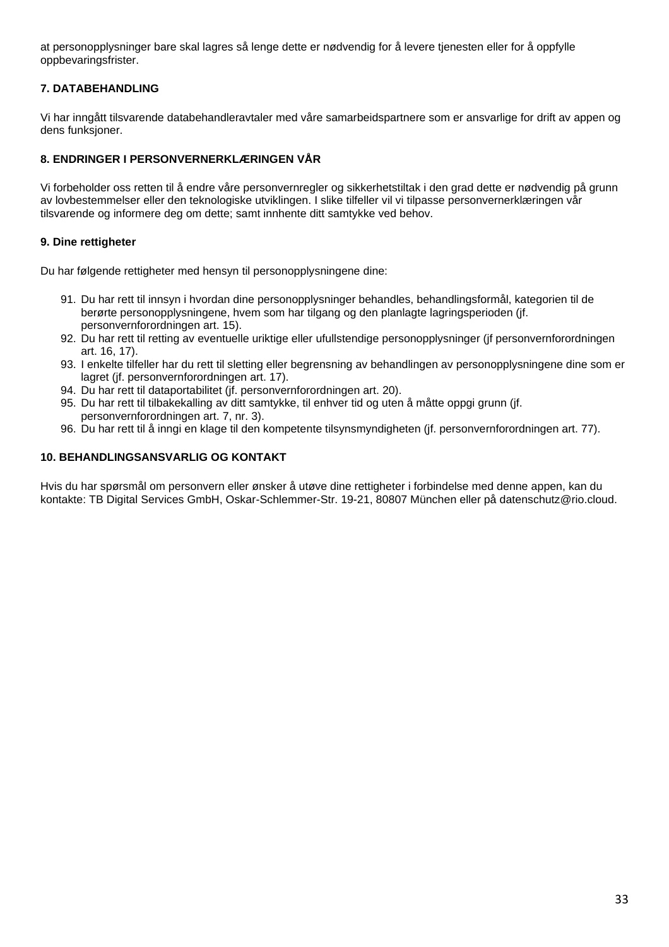at personopplysninger bare skal lagres så lenge dette er nødvendig for å levere tjenesten eller for å oppfylle oppbevaringsfrister.

# **7. DATABEHANDLING**

Vi har inngått tilsvarende databehandleravtaler med våre samarbeidspartnere som er ansvarlige for drift av appen og dens funksjoner.

# **8. ENDRINGER I PERSONVERNERKLÆRINGEN VÅR**

Vi forbeholder oss retten til å endre våre personvernregler og sikkerhetstiltak i den grad dette er nødvendig på grunn av lovbestemmelser eller den teknologiske utviklingen. I slike tilfeller vil vi tilpasse personvernerklæringen vår tilsvarende og informere deg om dette; samt innhente ditt samtykke ved behov.

# **9. Dine rettigheter**

Du har følgende rettigheter med hensyn til personopplysningene dine:

- 91. Du har rett til innsyn i hvordan dine personopplysninger behandles, behandlingsformål, kategorien til de berørte personopplysningene, hvem som har tilgang og den planlagte lagringsperioden (jf. personvernforordningen art. 15).
- 92. Du har rett til retting av eventuelle uriktige eller ufullstendige personopplysninger (jf personvernforordningen art. 16, 17).
- 93. I enkelte tilfeller har du rett til sletting eller begrensning av behandlingen av personopplysningene dine som er lagret (jf. personvernforordningen art. 17).
- 94. Du har rett til dataportabilitet (jf. personvernforordningen art. 20).
- 95. Du har rett til tilbakekalling av ditt samtykke, til enhver tid og uten å måtte oppgi grunn (jf. personvernforordningen art. 7, nr. 3).
- 96. Du har rett til å inngi en klage til den kompetente tilsynsmyndigheten (jf. personvernforordningen art. 77).

## **10. BEHANDLINGSANSVARLIG OG KONTAKT**

Hvis du har spørsmål om personvern eller ønsker å utøve dine rettigheter i forbindelse med denne appen, kan du kontakte: TB Digital Services GmbH, Oskar-Schlemmer-Str. 19-21, 80807 München eller på datenschutz@rio.cloud.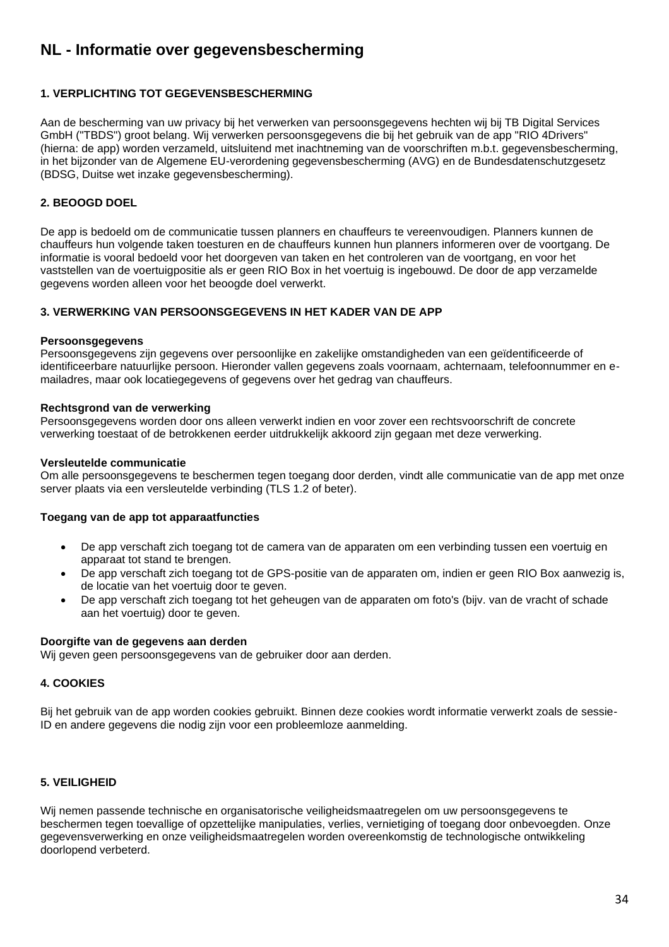# <span id="page-33-0"></span>**NL - Informatie over gegevensbescherming**

## **1. VERPLICHTING TOT GEGEVENSBESCHERMING**

Aan de bescherming van uw privacy bij het verwerken van persoonsgegevens hechten wij bij TB Digital Services GmbH ("TBDS") groot belang. Wij verwerken persoonsgegevens die bij het gebruik van de app "RIO 4Drivers" (hierna: de app) worden verzameld, uitsluitend met inachtneming van de voorschriften m.b.t. gegevensbescherming, in het bijzonder van de Algemene EU-verordening gegevensbescherming (AVG) en de Bundesdatenschutzgesetz (BDSG, Duitse wet inzake gegevensbescherming).

## **2. BEOOGD DOEL**

De app is bedoeld om de communicatie tussen planners en chauffeurs te vereenvoudigen. Planners kunnen de chauffeurs hun volgende taken toesturen en de chauffeurs kunnen hun planners informeren over de voortgang. De informatie is vooral bedoeld voor het doorgeven van taken en het controleren van de voortgang, en voor het vaststellen van de voertuigpositie als er geen RIO Box in het voertuig is ingebouwd. De door de app verzamelde gegevens worden alleen voor het beoogde doel verwerkt.

## **3. VERWERKING VAN PERSOONSGEGEVENS IN HET KADER VAN DE APP**

#### **Persoonsgegevens**

Persoonsgegevens zijn gegevens over persoonlijke en zakelijke omstandigheden van een geïdentificeerde of identificeerbare natuurlijke persoon. Hieronder vallen gegevens zoals voornaam, achternaam, telefoonnummer en emailadres, maar ook locatiegegevens of gegevens over het gedrag van chauffeurs.

#### **Rechtsgrond van de verwerking**

Persoonsgegevens worden door ons alleen verwerkt indien en voor zover een rechtsvoorschrift de concrete verwerking toestaat of de betrokkenen eerder uitdrukkelijk akkoord zijn gegaan met deze verwerking.

#### **Versleutelde communicatie**

Om alle persoonsgegevens te beschermen tegen toegang door derden, vindt alle communicatie van de app met onze server plaats via een versleutelde verbinding (TLS 1.2 of beter).

## **Toegang van de app tot apparaatfuncties**

- De app verschaft zich toegang tot de camera van de apparaten om een verbinding tussen een voertuig en apparaat tot stand te brengen.
- De app verschaft zich toegang tot de GPS-positie van de apparaten om, indien er geen RIO Box aanwezig is, de locatie van het voertuig door te geven.
- De app verschaft zich toegang tot het geheugen van de apparaten om foto's (bijv. van de vracht of schade aan het voertuig) door te geven.

#### **Doorgifte van de gegevens aan derden**

Wij geven geen persoonsgegevens van de gebruiker door aan derden.

## **4. COOKIES**

Bij het gebruik van de app worden cookies gebruikt. Binnen deze cookies wordt informatie verwerkt zoals de sessie-ID en andere gegevens die nodig zijn voor een probleemloze aanmelding.

## **5. VEILIGHEID**

Wij nemen passende technische en organisatorische veiligheidsmaatregelen om uw persoonsgegevens te beschermen tegen toevallige of opzettelijke manipulaties, verlies, vernietiging of toegang door onbevoegden. Onze gegevensverwerking en onze veiligheidsmaatregelen worden overeenkomstig de technologische ontwikkeling doorlopend verbeterd.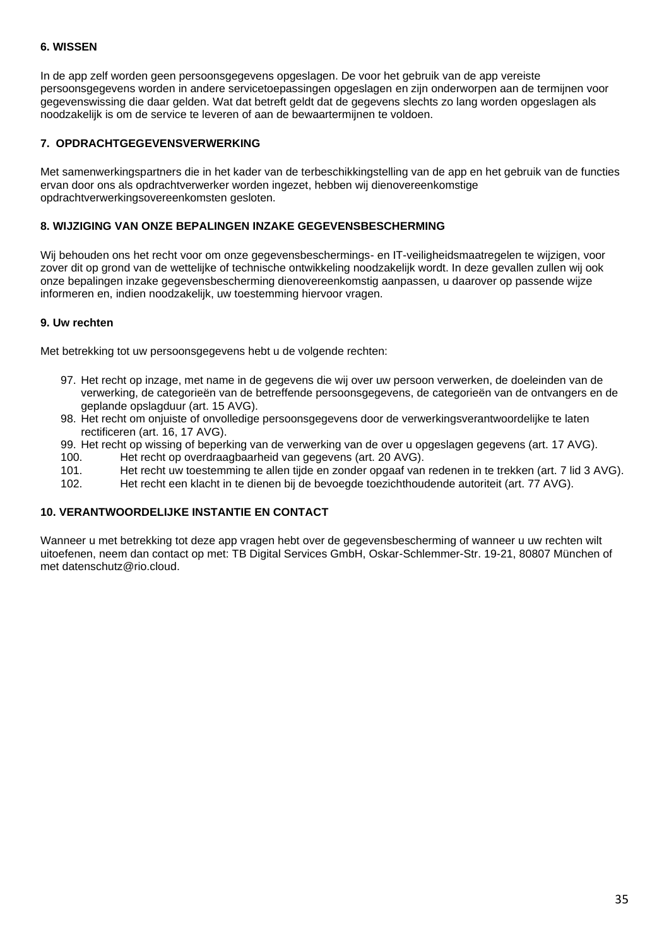## **6. WISSEN**

In de app zelf worden geen persoonsgegevens opgeslagen. De voor het gebruik van de app vereiste persoonsgegevens worden in andere servicetoepassingen opgeslagen en zijn onderworpen aan de termijnen voor gegevenswissing die daar gelden. Wat dat betreft geldt dat de gegevens slechts zo lang worden opgeslagen als noodzakelijk is om de service te leveren of aan de bewaartermijnen te voldoen.

## **7. OPDRACHTGEGEVENSVERWERKING**

Met samenwerkingspartners die in het kader van de terbeschikkingstelling van de app en het gebruik van de functies ervan door ons als opdrachtverwerker worden ingezet, hebben wij dienovereenkomstige opdrachtverwerkingsovereenkomsten gesloten.

#### **8. WIJZIGING VAN ONZE BEPALINGEN INZAKE GEGEVENSBESCHERMING**

Wij behouden ons het recht voor om onze gegevensbeschermings- en IT-veiligheidsmaatregelen te wijzigen, voor zover dit op grond van de wettelijke of technische ontwikkeling noodzakelijk wordt. In deze gevallen zullen wij ook onze bepalingen inzake gegevensbescherming dienovereenkomstig aanpassen, u daarover op passende wijze informeren en, indien noodzakelijk, uw toestemming hiervoor vragen.

#### **9. Uw rechten**

Met betrekking tot uw persoonsgegevens hebt u de volgende rechten:

- 97. Het recht op inzage, met name in de gegevens die wij over uw persoon verwerken, de doeleinden van de verwerking, de categorieën van de betreffende persoonsgegevens, de categorieën van de ontvangers en de geplande opslagduur (art. 15 AVG).
- 98. Het recht om onjuiste of onvolledige persoonsgegevens door de verwerkingsverantwoordelijke te laten rectificeren (art. 16, 17 AVG).
- 99. Het recht op wissing of beperking van de verwerking van de over u opgeslagen gegevens (art. 17 AVG).
- 100. Het recht op overdraagbaarheid van gegevens (art. 20 AVG).
- 101. Het recht uw toestemming te allen tijde en zonder opgaaf van redenen in te trekken (art. 7 lid 3 AVG).
- 102. Het recht een klacht in te dienen bij de bevoegde toezichthoudende autoriteit (art. 77 AVG).

#### **10. VERANTWOORDELIJKE INSTANTIE EN CONTACT**

Wanneer u met betrekking tot deze app vragen hebt over de gegevensbescherming of wanneer u uw rechten wilt uitoefenen, neem dan contact op met: TB Digital Services GmbH, Oskar-Schlemmer-Str. 19-21, 80807 München of met datenschutz@rio.cloud.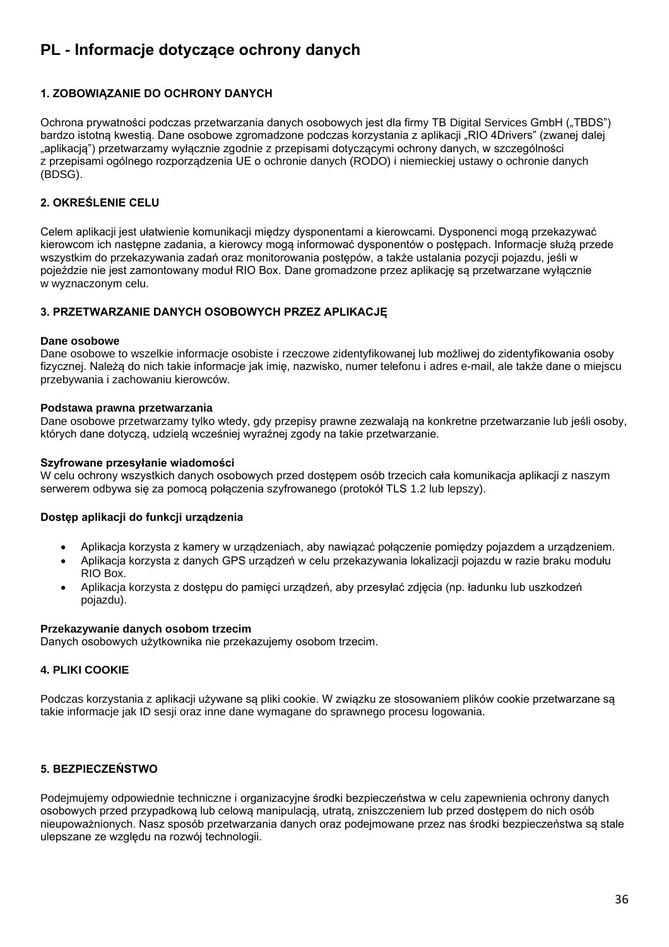# <span id="page-35-0"></span>**PL - Informacje dotyczące ochrony danych**

# **1. ZOBOWIĄZANIE DO OCHRONY DANYCH**

Ochrona prywatności podczas przetwarzania danych osobowych jest dla firmy TB Digital Services GmbH ("TBDS") bardzo istotną kwestią. Dane osobowe zgromadzone podczas korzystania z aplikacji "RIO 4Drivers" (zwanej dalej "aplikacją") przetwarzamy wyłącznie zgodnie z przepisami dotyczącymi ochrony danych, w szczególności z przepisami ogólnego rozporządzenia UE o ochronie danych (RODO) i niemieckiej ustawy o ochronie danych (BDSG).

## **2. OKREŚLENIE CELU**

Celem aplikacji jest ułatwienie komunikacji między dysponentami a kierowcami. Dysponenci mogą przekazywać kierowcom ich następne zadania, a kierowcy mogą informować dysponentów o postępach. Informacje służą przede wszystkim do przekazywania zadań oraz monitorowania postępów, a także ustalania pozycji pojazdu, jeśli w pojeździe nie jest zamontowany moduł RIO Box. Dane gromadzone przez aplikację są przetwarzane wyłącznie w wyznaczonym celu.

## **3. PRZETWARZANIE DANYCH OSOBOWYCH PRZEZ APLIKACJĘ**

#### **Dane osobowe**

Dane osobowe to wszelkie informacje osobiste i rzeczowe zidentyfikowanej lub możliwej do zidentyfikowania osoby fizycznej. Należą do nich takie informacje jak imię, nazwisko, numer telefonu i adres e-mail, ale także dane o miejscu przebywania i zachowaniu kierowców.

## **Podstawa prawna przetwarzania**

Dane osobowe przetwarzamy tylko wtedy, gdy przepisy prawne zezwalają na konkretne przetwarzanie lub jeśli osoby, których dane dotyczą, udzielą wcześniej wyraźnej zgody na takie przetwarzanie.

## **Szyfrowane przesyłanie wiadomości**

W celu ochrony wszystkich danych osobowych przed dostępem osób trzecich cała komunikacja aplikacji z naszym serwerem odbywa się za pomocą połączenia szyfrowanego (protokół TLS 1.2 lub lepszy).

## **Dostęp aplikacji do funkcji urządzenia**

- Aplikacja korzysta z kamery w urządzeniach, aby nawiązać połączenie pomiędzy pojazdem a urządzeniem.
- Aplikacja korzysta z danych GPS urządzeń w celu przekazywania lokalizacji pojazdu w razie braku modułu RIO Box.
- Aplikacja korzysta z dostępu do pamięci urządzeń, aby przesyłać zdjęcia (np. ładunku lub uszkodzeń pojazdu).

#### **Przekazywanie danych osobom trzecim**

Danych osobowych użytkownika nie przekazujemy osobom trzecim.

## **4. PLIKI COOKIE**

Podczas korzystania z aplikacji używane są pliki cookie. W związku ze stosowaniem plików cookie przetwarzane są takie informacje jak ID sesji oraz inne dane wymagane do sprawnego procesu logowania.

## **5. BEZPIECZEŃSTWO**

Podejmujemy odpowiednie techniczne i organizacyjne środki bezpieczeństwa w celu zapewnienia ochrony danych osobowych przed przypadkową lub celową manipulacją, utratą, zniszczeniem lub przed dostępem do nich osób nieupoważnionych. Nasz sposób przetwarzania danych oraz podejmowane przez nas środki bezpieczeństwa są stale ulepszane ze względu na rozwój technologii.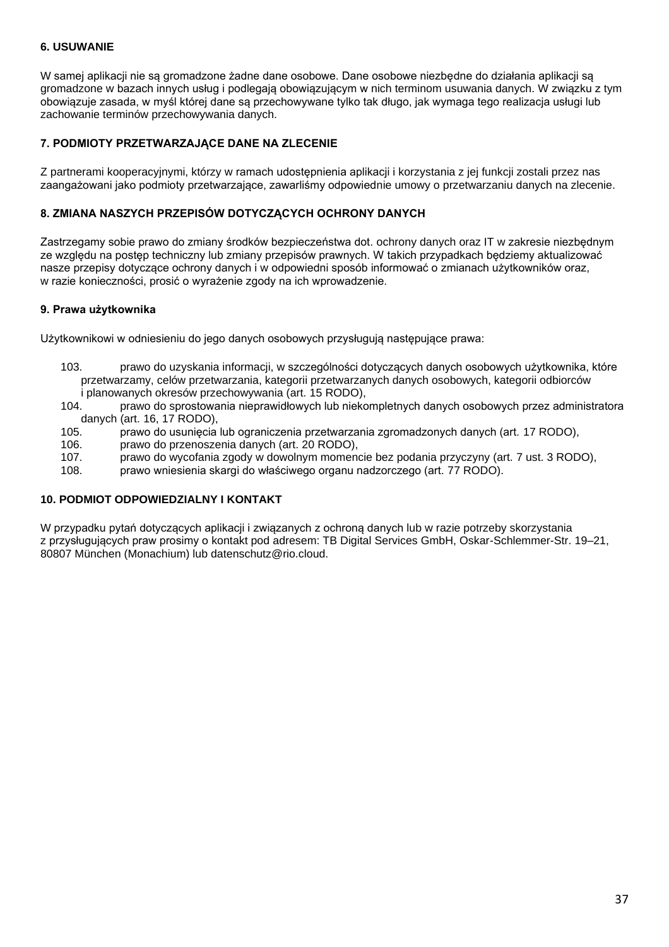## **6. USUWANIE**

W samej aplikacji nie są gromadzone żadne dane osobowe. Dane osobowe niezbędne do działania aplikacji są gromadzone w bazach innych usług i podlegają obowiązującym w nich terminom usuwania danych. W związku z tym obowiązuje zasada, w myśl której dane są przechowywane tylko tak długo, jak wymaga tego realizacja usługi lub zachowanie terminów przechowywania danych.

## **7. PODMIOTY PRZETWARZAJĄCE DANE NA ZLECENIE**

Z partnerami kooperacyjnymi, którzy w ramach udostępnienia aplikacji i korzystania z jej funkcji zostali przez nas zaangażowani jako podmioty przetwarzające, zawarliśmy odpowiednie umowy o przetwarzaniu danych na zlecenie.

## **8. ZMIANA NASZYCH PRZEPISÓW DOTYCZĄCYCH OCHRONY DANYCH**

Zastrzegamy sobie prawo do zmiany środków bezpieczeństwa dot. ochrony danych oraz IT w zakresie niezbędnym ze względu na postęp techniczny lub zmiany przepisów prawnych. W takich przypadkach będziemy aktualizować nasze przepisy dotyczące ochrony danych i w odpowiedni sposób informować o zmianach użytkowników oraz, w razie konieczności, prosić o wyrażenie zgody na ich wprowadzenie.

#### **9. Prawa użytkownika**

Użytkownikowi w odniesieniu do jego danych osobowych przysługują następujące prawa:

- 103. prawo do uzyskania informacji, w szczególności dotyczących danych osobowych użytkownika, które przetwarzamy, celów przetwarzania, kategorii przetwarzanych danych osobowych, kategorii odbiorców i planowanych okresów przechowywania (art. 15 RODO),
- 104. prawo do sprostowania nieprawidłowych lub niekompletnych danych osobowych przez administratora danych (art. 16, 17 RODO),
- 105. prawo do usunięcia lub ograniczenia przetwarzania zgromadzonych danych (art. 17 RODO),
- 106. prawo do przenoszenia danych (art. 20 RODO),
- 107. prawo do wycofania zgody w dowolnym momencie bez podania przyczyny (art. 7 ust. 3 RODO),
- 108. prawo wniesienia skargi do właściwego organu nadzorczego (art. 77 RODO).

## **10. PODMIOT ODPOWIEDZIALNY I KONTAKT**

W przypadku pytań dotyczących aplikacji i związanych z ochroną danych lub w razie potrzeby skorzystania z przysługujących praw prosimy o kontakt pod adresem: TB Digital Services GmbH, Oskar-Schlemmer-Str. 19–21, 80807 München (Monachium) lub datenschutz@rio.cloud.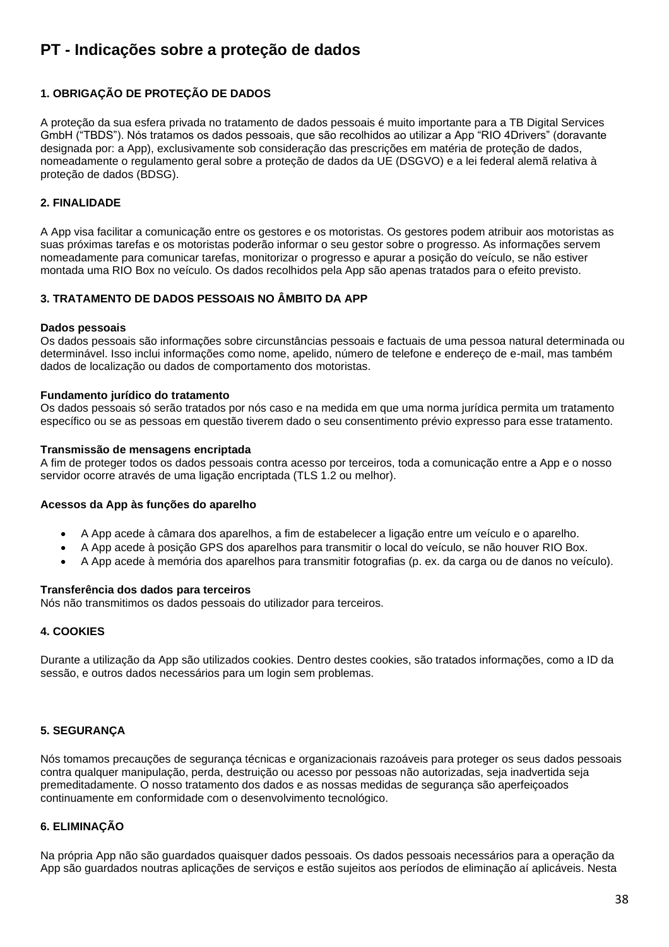# <span id="page-37-0"></span>**PT - Indicações sobre a proteção de dados**

# **1. OBRIGAÇÃO DE PROTEÇÃO DE DADOS**

A proteção da sua esfera privada no tratamento de dados pessoais é muito importante para a TB Digital Services GmbH ("TBDS"). Nós tratamos os dados pessoais, que são recolhidos ao utilizar a App "RIO 4Drivers" (doravante designada por: a App), exclusivamente sob consideração das prescrições em matéria de proteção de dados, nomeadamente o regulamento geral sobre a proteção de dados da UE (DSGVO) e a lei federal alemã relativa à proteção de dados (BDSG).

## **2. FINALIDADE**

A App visa facilitar a comunicação entre os gestores e os motoristas. Os gestores podem atribuir aos motoristas as suas próximas tarefas e os motoristas poderão informar o seu gestor sobre o progresso. As informações servem nomeadamente para comunicar tarefas, monitorizar o progresso e apurar a posição do veículo, se não estiver montada uma RIO Box no veículo. Os dados recolhidos pela App são apenas tratados para o efeito previsto.

## **3. TRATAMENTO DE DADOS PESSOAIS NO ÂMBITO DA APP**

## **Dados pessoais**

Os dados pessoais são informações sobre circunstâncias pessoais e factuais de uma pessoa natural determinada ou determinável. Isso inclui informações como nome, apelido, número de telefone e endereço de e-mail, mas também dados de localização ou dados de comportamento dos motoristas.

#### **Fundamento jurídico do tratamento**

Os dados pessoais só serão tratados por nós caso e na medida em que uma norma jurídica permita um tratamento específico ou se as pessoas em questão tiverem dado o seu consentimento prévio expresso para esse tratamento.

#### **Transmissão de mensagens encriptada**

A fim de proteger todos os dados pessoais contra acesso por terceiros, toda a comunicação entre a App e o nosso servidor ocorre através de uma ligação encriptada (TLS 1.2 ou melhor).

#### **Acessos da App às funções do aparelho**

- A App acede à câmara dos aparelhos, a fim de estabelecer a ligação entre um veículo e o aparelho.
- A App acede à posição GPS dos aparelhos para transmitir o local do veículo, se não houver RIO Box.
- A App acede à memória dos aparelhos para transmitir fotografias (p. ex. da carga ou de danos no veículo).

#### **Transferência dos dados para terceiros**

Nós não transmitimos os dados pessoais do utilizador para terceiros.

## **4. COOKIES**

Durante a utilização da App são utilizados cookies. Dentro destes cookies, são tratados informações, como a ID da sessão, e outros dados necessários para um login sem problemas.

## **5. SEGURANÇA**

Nós tomamos precauções de segurança técnicas e organizacionais razoáveis para proteger os seus dados pessoais contra qualquer manipulação, perda, destruição ou acesso por pessoas não autorizadas, seja inadvertida seja premeditadamente. O nosso tratamento dos dados e as nossas medidas de segurança são aperfeiçoados continuamente em conformidade com o desenvolvimento tecnológico.

## **6. ELIMINAÇÃO**

Na própria App não são guardados quaisquer dados pessoais. Os dados pessoais necessários para a operação da App são guardados noutras aplicações de serviços e estão sujeitos aos períodos de eliminação aí aplicáveis. Nesta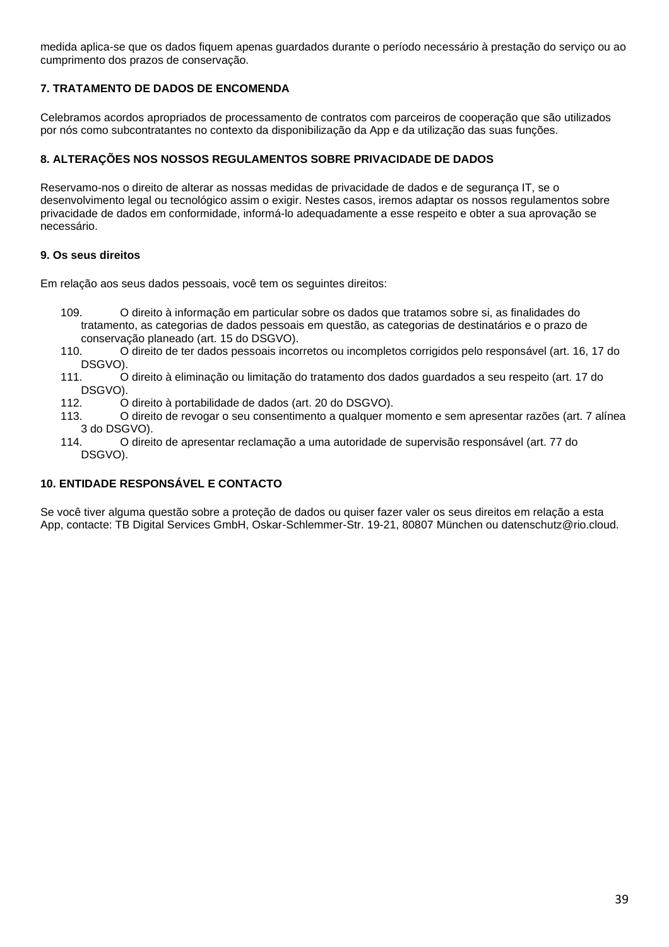medida aplica-se que os dados fiquem apenas guardados durante o período necessário à prestação do serviço ou ao cumprimento dos prazos de conservação.

## **7. TRATAMENTO DE DADOS DE ENCOMENDA**

Celebramos acordos apropriados de processamento de contratos com parceiros de cooperação que são utilizados por nós como subcontratantes no contexto da disponibilização da App e da utilização das suas funções.

## **8. ALTERAÇÕES NOS NOSSOS REGULAMENTOS SOBRE PRIVACIDADE DE DADOS**

Reservamo-nos o direito de alterar as nossas medidas de privacidade de dados e de segurança IT, se o desenvolvimento legal ou tecnológico assim o exigir. Nestes casos, iremos adaptar os nossos regulamentos sobre privacidade de dados em conformidade, informá-lo adequadamente a esse respeito e obter a sua aprovação se necessário.

## **9. Os seus direitos**

Em relação aos seus dados pessoais, você tem os seguintes direitos:

- 109. O direito à informação em particular sobre os dados que tratamos sobre si, as finalidades do tratamento, as categorias de dados pessoais em questão, as categorias de destinatários e o prazo de conservação planeado (art. 15 do DSGVO).<br>110. Conservação de ter dados pessoais inco
- 110. O direito de ter dados pessoais incorretos ou incompletos corrigidos pelo responsável (art. 16, 17 do
- .DSGVO).<br>0 .111 111. O direito à eliminação ou limitação do tratamento dos dados guardados a seu respeito (art. 17 do DSGVO).
- 112. O direito à portabilidade de dados (art. 20 do DSGVO).
- 113. O direito de revogar o seu consentimento a qualquer momento e sem apresentar razões (art. 7 alínea 3 do DSGVO).
- 114. O direito de apresentar reclamação a uma autoridade de supervisão responsável (art. 77 do DSGVO).

## **10. ENTIDADE RESPONSÁVEL E CONTACTO**

Se você tiver alguma questão sobre a proteção de dados ou quiser fazer valer os seus direitos em relação a esta App, contacte: TB Digital Services GmbH, Oskar-Schlemmer-Str. 19-21, 80807 München ou datenschutz@rio.cloud.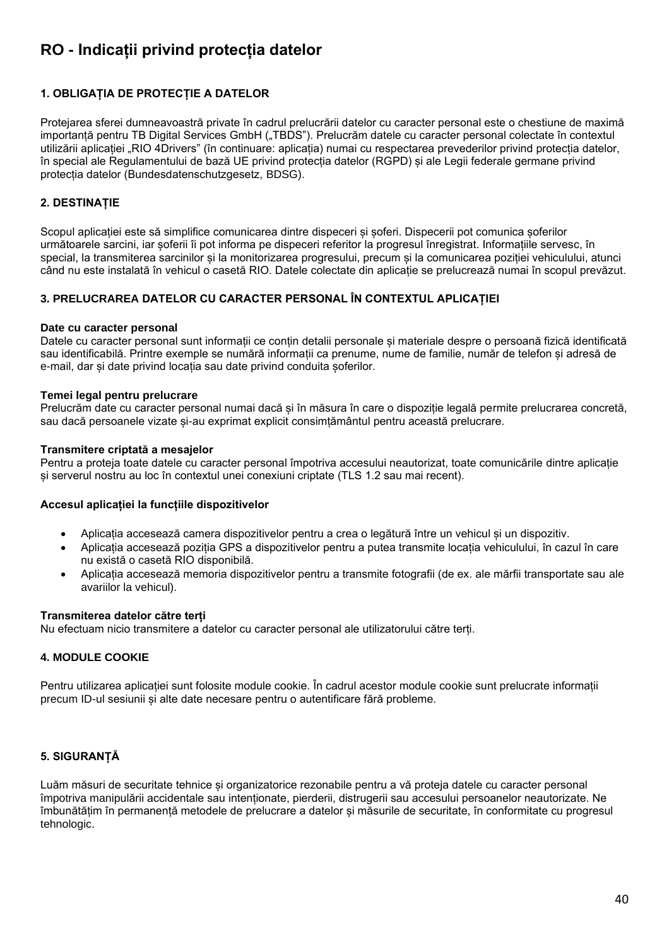# <span id="page-39-0"></span>**RO - Indicații privind protecția datelor**

# **1. OBLIGAȚIA DE PROTECȚIE A DATELOR**

Protejarea sferei dumneavoastră private în cadrul prelucrării datelor cu caracter personal este o chestiune de maximă importantă pentru TB Digital Services GmbH ("TBDS"). Prelucrăm datele cu caracter personal colectate în contextul utilizării aplicației "RIO 4Drivers" (în continuare: aplicația) numai cu respectarea prevederilor privind protecția datelor, în special ale Regulamentului de bază UE privind protecția datelor (RGPD) și ale Legii federale germane privind protecția datelor (Bundesdatenschutzgesetz, BDSG).

## **2. DESTINAȚIE**

Scopul aplicației este să simplifice comunicarea dintre dispeceri și șoferi. Dispecerii pot comunica șoferilor următoarele sarcini, iar șoferii îi pot informa pe dispeceri referitor la progresul înregistrat. Informațiile servesc, în special, la transmiterea sarcinilor și la monitorizarea progresului, precum și la comunicarea poziției vehiculului, atunci când nu este instalată în vehicul o casetă RIO. Datele colectate din aplicație se prelucrează numai în scopul prevăzut.

## **3. PRELUCRAREA DATELOR CU CARACTER PERSONAL ÎN CONTEXTUL APLICAȚIEI**

#### **Date cu caracter personal**

Datele cu caracter personal sunt informații ce conțin detalii personale și materiale despre o persoană fizică identificată sau identificabilă. Printre exemple se numără informații ca prenume, nume de familie, număr de telefon și adresă de e-mail, dar și date privind locația sau date privind conduita șoferilor.

#### **Temei legal pentru prelucrare**

Prelucrăm date cu caracter personal numai dacă și în măsura în care o dispoziție legală permite prelucrarea concretă, sau dacă persoanele vizate și-au exprimat explicit consimțământul pentru această prelucrare.

#### **Transmitere criptată a mesajelor**

Pentru a proteja toate datele cu caracter personal împotriva accesului neautorizat, toate comunicările dintre aplicație și serverul nostru au loc în contextul unei conexiuni criptate (TLS 1.2 sau mai recent).

#### **Accesul aplicației la funcțiile dispozitivelor**

- Aplicația accesează camera dispozitivelor pentru a crea o legătură între un vehicul și un dispozitiv.
- Aplicația accesează poziția GPS a dispozitivelor pentru a putea transmite locația vehiculului, în cazul în care nu există o casetă RIO disponibilă.
- Aplicația accesează memoria dispozitivelor pentru a transmite fotografii (de ex. ale mărfii transportate sau ale avariilor la vehicul).

#### **Transmiterea datelor către terți**

Nu efectuam nicio transmitere a datelor cu caracter personal ale utilizatorului către terți.

## **4. MODULE COOKIE**

Pentru utilizarea aplicației sunt folosite module cookie. În cadrul acestor module cookie sunt prelucrate informații precum ID-ul sesiunii și alte date necesare pentru o autentificare fără probleme.

## **5. SIGURANȚĂ**

Luăm măsuri de securitate tehnice și organizatorice rezonabile pentru a vă proteja datele cu caracter personal împotriva manipulării accidentale sau intenționate, pierderii, distrugerii sau accesului persoanelor neautorizate. Ne îmbunătățim în permanență metodele de prelucrare a datelor și măsurile de securitate, în conformitate cu progresul tehnologic.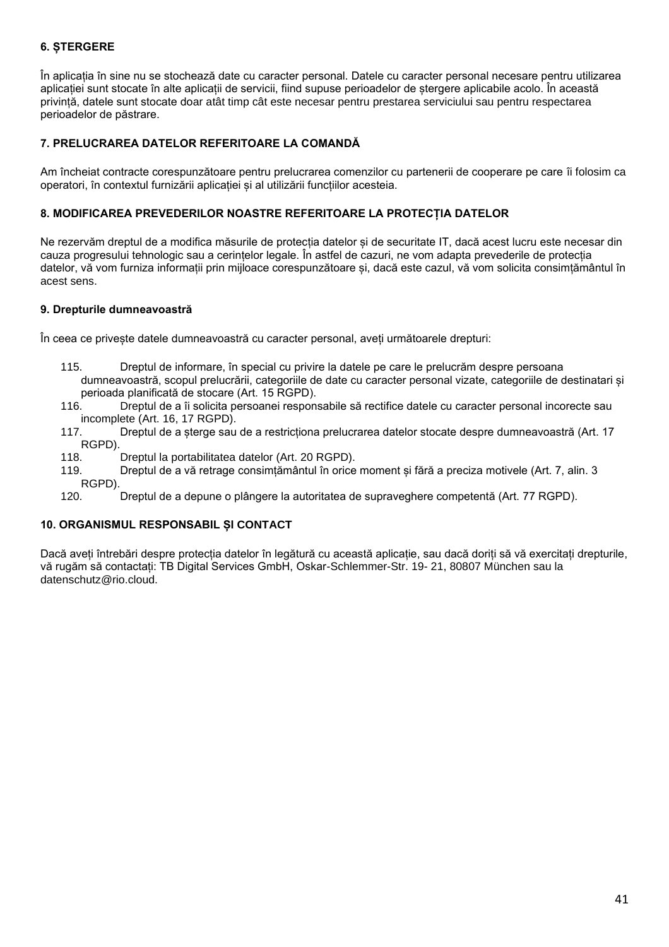# **6. ȘTERGERE**

În aplicația în sine nu se stochează date cu caracter personal. Datele cu caracter personal necesare pentru utilizarea aplicației sunt stocate în alte aplicații de servicii, fiind supuse perioadelor de ștergere aplicabile acolo. În această privință, datele sunt stocate doar atât timp cât este necesar pentru prestarea serviciului sau pentru respectarea perioadelor de păstrare.

## **7. PRELUCRAREA DATELOR REFERITOARE LA COMANDĂ**

Am încheiat contracte corespunzătoare pentru prelucrarea comenzilor cu partenerii de cooperare pe care îi folosim ca operatori, în contextul furnizării aplicației și al utilizării funcțiilor acesteia.

## **8. MODIFICAREA PREVEDERILOR NOASTRE REFERITOARE LA PROTECȚIA DATELOR**

Ne rezervăm dreptul de a modifica măsurile de protecția datelor și de securitate IT, dacă acest lucru este necesar din cauza progresului tehnologic sau a cerințelor legale. În astfel de cazuri, ne vom adapta prevederile de protecția datelor, vă vom furniza informații prin mijloace corespunzătoare și, dacă este cazul, vă vom solicita consimțământul în acest sens.

## **9. Drepturile dumneavoastră**

În ceea ce privește datele dumneavoastră cu caracter personal, aveți următoarele drepturi:

- 115. Dreptul de informare, în special cu privire la datele pe care le prelucrăm despre persoana dumneavoastră, scopul prelucrării, categoriile de date cu caracter personal vizate, categoriile de destinatari și perioada planificată de stocare (Art. 15 RGPD).
- 116. Dreptul de a îi solicita persoanei responsabile să rectifice datele cu caracter personal incorecte sau incomplete (Art. 16, 17 RGPD).
- 117. Dreptul de a șterge sau de a restricționa prelucrarea datelor stocate despre dumneavoastră (Art. 17 RGPD).
- 118. Dreptul la portabilitatea datelor (Art. 20 RGPD).
- 119. Dreptul de a vă retrage consimțământul în orice moment și fără a preciza motivele (Art. 7, alin. 3 RGPD).
- 120. Dreptul de a depune o plângere la autoritatea de supraveghere competentă (Art. 77 RGPD).

## **10. ORGANISMUL RESPONSABIL ȘI CONTACT**

Dacă aveți întrebări despre protecția datelor în legătură cu această aplicație, sau dacă doriți să vă exercitați drepturile, vă rugăm să contactați: TB Digital Services GmbH, Oskar-Schlemmer-Str. 19- 21, 80807 München sau la datenschutz@rio.cloud.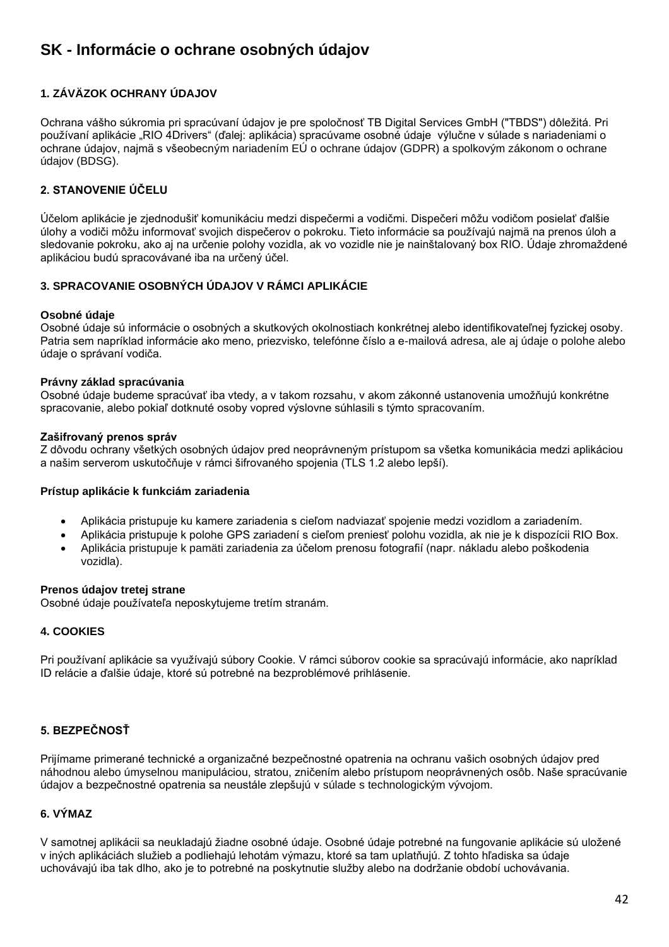# <span id="page-41-0"></span>**SK - Informácie o ochrane osobných údajov**

# **1. ZÁVÄZOK OCHRANY ÚDAJOV**

Ochrana vášho súkromia pri spracúvaní údajov je pre spoločnosť TB Digital Services GmbH ("TBDS") dôležitá. Pri používaní aplikácie "RIO 4Drivers" (ďalej: aplikácia) spracúvame osobné údaje výlučne v súlade s nariadeniami o ochrane údajov, najmä s všeobecným nariadením EÚ o ochrane údajov (GDPR) a spolkovým zákonom o ochrane údajov (BDSG).

# **2. STANOVENIE ÚČELU**

Účelom aplikácie je zjednodušiť komunikáciu medzi dispečermi a vodičmi. Dispečeri môžu vodičom posielať ďalšie úlohy a vodiči môžu informovať svojich dispečerov o pokroku. Tieto informácie sa používajú najmä na prenos úloh a sledovanie pokroku, ako aj na určenie polohy vozidla, ak vo vozidle nie je nainštalovaný box RIO. Údaje zhromaždené aplikáciou budú spracovávané iba na určený účel.

# **3. SPRACOVANIE OSOBNÝCH ÚDAJOV V RÁMCI APLIKÁCIE**

## **Osobné údaje**

Osobné údaje sú informácie o osobných a skutkových okolnostiach konkrétnej alebo identifikovateľnej fyzickej osoby. Patria sem napríklad informácie ako meno, priezvisko, telefónne číslo a e-mailová adresa, ale aj údaje o polohe alebo údaje o správaní vodiča.

#### **Právny základ spracúvania**

Osobné údaje budeme spracúvať iba vtedy, a v takom rozsahu, v akom zákonné ustanovenia umožňujú konkrétne spracovanie, alebo pokiaľ dotknuté osoby vopred výslovne súhlasili s týmto spracovaním.

#### **Zašifrovaný prenos správ**

Z dôvodu ochrany všetkých osobných údajov pred neoprávneným prístupom sa všetka komunikácia medzi aplikáciou a našim serverom uskutočňuje v rámci šifrovaného spojenia (TLS 1.2 alebo lepší).

## **Prístup aplikácie k funkciám zariadenia**

- Aplikácia pristupuje ku kamere zariadenia s cieľom nadviazať spojenie medzi vozidlom a zariadením.
- Aplikácia pristupuje k polohe GPS zariadení s cieľom preniesť polohu vozidla, ak nie je k dispozícii RIO Box.
- Aplikácia pristupuje k pamäti zariadenia za účelom prenosu fotografií (napr. nákladu alebo poškodenia vozidla).

#### **Prenos údajov tretej strane**

Osobné údaje používateľa neposkytujeme tretím stranám.

## **4. COOKIES**

Pri používaní aplikácie sa využívajú súbory Cookie. V rámci súborov cookie sa spracúvajú informácie, ako napríklad ID relácie a ďalšie údaje, ktoré sú potrebné na bezproblémové prihlásenie.

# **5. BEZPEČNOSŤ**

Prijímame primerané technické a organizačné bezpečnostné opatrenia na ochranu vašich osobných údajov pred náhodnou alebo úmyselnou manipuláciou, stratou, zničením alebo prístupom neoprávnených osôb. Naše spracúvanie údajov a bezpečnostné opatrenia sa neustále zlepšujú v súlade s technologickým vývojom.

## **6. VÝMAZ**

V samotnej aplikácii sa neukladajú žiadne osobné údaje. Osobné údaje potrebné na fungovanie aplikácie sú uložené v iných aplikáciách služieb a podliehajú lehotám výmazu, ktoré sa tam uplatňujú. Z tohto hľadiska sa údaje uchovávajú iba tak dlho, ako je to potrebné na poskytnutie služby alebo na dodržanie období uchovávania.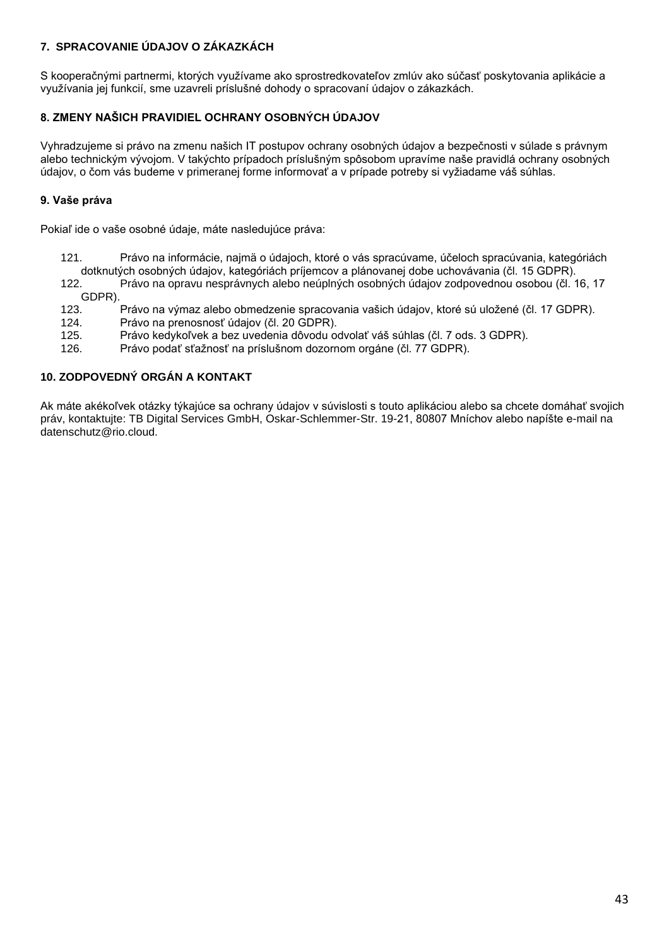# **7. SPRACOVANIE ÚDAJOV O ZÁKAZKÁCH**

S kooperačnými partnermi, ktorých využívame ako sprostredkovateľov zmlúv ako súčasť poskytovania aplikácie a využívania jej funkcií, sme uzavreli príslušné dohody o spracovaní údajov o zákazkách.

# **8. ZMENY NAŠICH PRAVIDIEL OCHRANY OSOBNÝCH ÚDAJOV**

Vyhradzujeme si právo na zmenu našich IT postupov ochrany osobných údajov a bezpečnosti v súlade s právnym alebo technickým vývojom. V takýchto prípadoch príslušným spôsobom upravíme naše pravidlá ochrany osobných údajov, o čom vás budeme v primeranej forme informovať a v prípade potreby si vyžiadame váš súhlas.

## **9. Vaše práva**

Pokiaľ ide o vaše osobné údaje, máte nasledujúce práva:

121. Právo na informácie, najmä o údajoch, ktoré o vás spracúvame, účeloch spracúvania, kategóriách dotknutých osobných údajov, kategóriách príjemcov a plánovanej dobe uchovávania (čl. 15 GDPR).

122. Právo na opravu nesprávnych alebo neúplných osobných údajov zodpovednou osobou (čl. 16, 17 GDPR).

- 123. Právo na výmaz alebo obmedzenie spracovania vašich údajov, ktoré sú uložené (čl. 17 GDPR).
- 124. Právo na prenosnosť údajov (čl. 20 GDPR).
- 125. Právo kedykoľvek a bez uvedenia dôvodu odvolať váš súhlas (čl. 7 ods. 3 GDPR).
- 126. Právo podať sťažnosť na príslušnom dozornom orgáne (čl. 77 GDPR).

## **10. ZODPOVEDNÝ ORGÁN A KONTAKT**

Ak máte akékoľvek otázky týkajúce sa ochrany údajov v súvislosti s touto aplikáciou alebo sa chcete domáhať svojich práv, kontaktujte: TB Digital Services GmbH, Oskar-Schlemmer-Str. 19-21, 80807 Mníchov alebo napíšte e-mail na datenschutz@rio.cloud.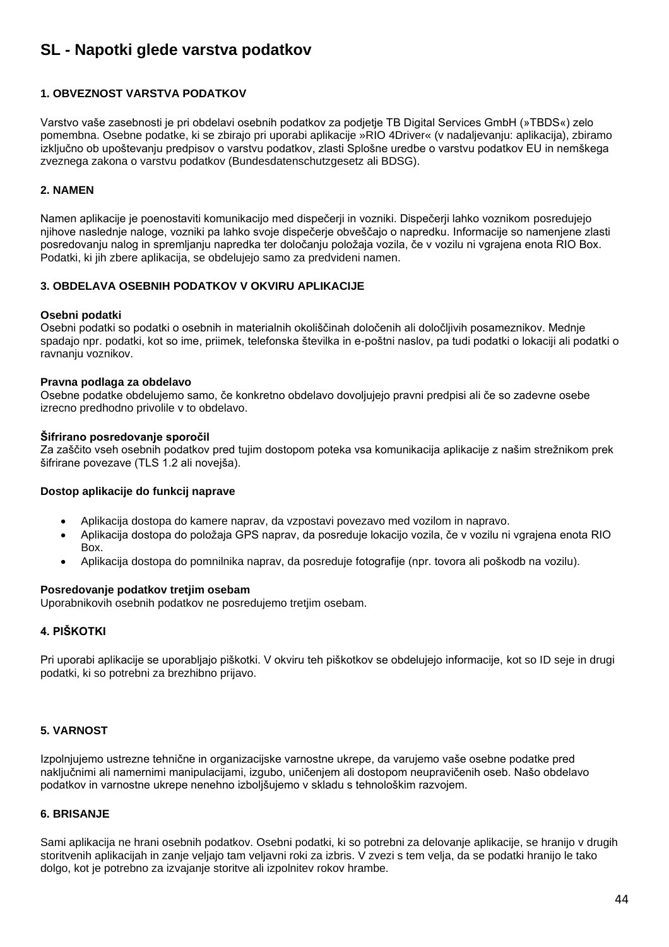# <span id="page-43-0"></span>**SL - Napotki glede varstva podatkov**

## **1. OBVEZNOST VARSTVA PODATKOV**

Varstvo vaše zasebnosti je pri obdelavi osebnih podatkov za podjetje TB Digital Services GmbH (»TBDS«) zelo pomembna. Osebne podatke, ki se zbirajo pri uporabi aplikacije »RIO 4Driver« (v nadaljevanju: aplikacija), zbiramo izključno ob upoštevanju predpisov o varstvu podatkov, zlasti Splošne uredbe o varstvu podatkov EU in nemškega zveznega zakona o varstvu podatkov (Bundesdatenschutzgesetz ali BDSG).

## **2. NAMEN**

Namen aplikacije je poenostaviti komunikacijo med dispečerji in vozniki. Dispečerji lahko voznikom posredujejo njihove naslednje naloge, vozniki pa lahko svoje dispečerje obveščajo o napredku. Informacije so namenjene zlasti posredovanju nalog in spremljanju napredka ter določanju položaja vozila, če v vozilu ni vgrajena enota RIO Box. Podatki, ki jih zbere aplikacija, se obdelujejo samo za predvideni namen.

#### **3. OBDELAVA OSEBNIH PODATKOV V OKVIRU APLIKACIJE**

#### **Osebni podatki**

Osebni podatki so podatki o osebnih in materialnih okoliščinah določenih ali določljivih posameznikov. Mednje spadajo npr. podatki, kot so ime, priimek, telefonska številka in e-poštni naslov, pa tudi podatki o lokaciji ali podatki o ravnanju voznikov.

#### **Pravna podlaga za obdelavo**

Osebne podatke obdelujemo samo, če konkretno obdelavo dovoljujejo pravni predpisi ali če so zadevne osebe izrecno predhodno privolile v to obdelavo.

#### **Šifrirano posredovanje sporočil**

Za zaščito vseh osebnih podatkov pred tujim dostopom poteka vsa komunikacija aplikacije z našim strežnikom prek šifrirane povezave (TLS 1.2 ali novejša).

## **Dostop aplikacije do funkcij naprave**

- Aplikacija dostopa do kamere naprav, da vzpostavi povezavo med vozilom in napravo.
- Aplikacija dostopa do položaja GPS naprav, da posreduje lokacijo vozila, če v vozilu ni vgrajena enota RIO Box.
- Aplikacija dostopa do pomnilnika naprav, da posreduje fotografije (npr. tovora ali poškodb na vozilu).

#### **Posredovanje podatkov tretjim osebam**

Uporabnikovih osebnih podatkov ne posredujemo tretjim osebam.

## **4. PIŠKOTKI**

Pri uporabi aplikacije se uporabljajo piškotki. V okviru teh piškotkov se obdelujejo informacije, kot so ID seje in drugi podatki, ki so potrebni za brezhibno prijavo.

## **5. VARNOST**

Izpolnjujemo ustrezne tehnične in organizacijske varnostne ukrepe, da varujemo vaše osebne podatke pred naključnimi ali namernimi manipulacijami, izgubo, uničenjem ali dostopom neupravičenih oseb. Našo obdelavo podatkov in varnostne ukrepe nenehno izboljšujemo v skladu s tehnološkim razvojem.

## **6. BRISANJE**

Sami aplikacija ne hrani osebnih podatkov. Osebni podatki, ki so potrebni za delovanje aplikacije, se hranijo v drugih storitvenih aplikacijah in zanje veljajo tam veljavni roki za izbris. V zvezi s tem velja, da se podatki hranijo le tako dolgo, kot je potrebno za izvajanje storitve ali izpolnitev rokov hrambe.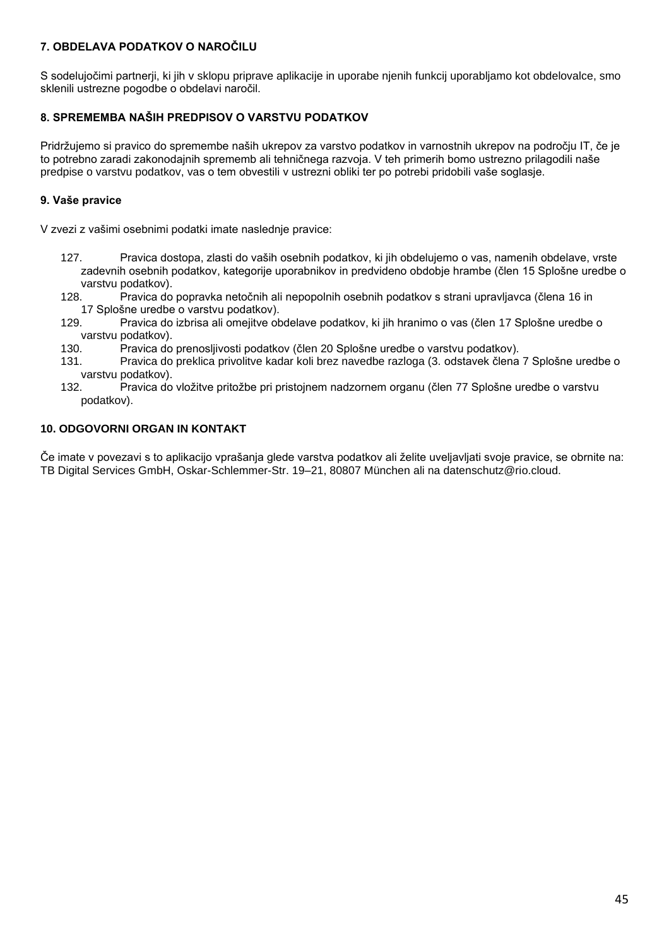# **7. OBDELAVA PODATKOV O NAROČILU**

S sodelujočimi partnerji, ki jih v sklopu priprave aplikacije in uporabe njenih funkcij uporabljamo kot obdelovalce, smo sklenili ustrezne pogodbe o obdelavi naročil.

# **8. SPREMEMBA NAŠIH PREDPISOV O VARSTVU PODATKOV**

Pridržujemo si pravico do spremembe naših ukrepov za varstvo podatkov in varnostnih ukrepov na področju IT, če je to potrebno zaradi zakonodajnih sprememb ali tehničnega razvoja. V teh primerih bomo ustrezno prilagodili naše predpise o varstvu podatkov, vas o tem obvestili v ustrezni obliki ter po potrebi pridobili vaše soglasje.

# **9. Vaše pravice**

V zvezi z vašimi osebnimi podatki imate naslednje pravice:

- 127. Pravica dostopa, zlasti do vaših osebnih podatkov, ki jih obdelujemo o vas, namenih obdelave, vrste zadevnih osebnih podatkov, kategorije uporabnikov in predvideno obdobje hrambe (člen 15 Splošne uredbe o varstvu podatkov).
- 128. Pravica do popravka netočnih ali nepopolnih osebnih podatkov s strani upravljavca (člena 16 in 17 Splošne uredbe o varstvu podatkov).
- 129. Pravica do izbrisa ali omejitve obdelave podatkov, ki jih hranimo o vas (člen 17 Splošne uredbe o varstvu podatkov).
- 130. Pravica do prenosljivosti podatkov (člen 20 Splošne uredbe o varstvu podatkov).
- 131. Pravica do preklica privolitve kadar koli brez navedbe razloga (3. odstavek člena 7 Splošne uredbe o varstvu podatkov).
- 132. Pravica do vložitve pritožbe pri pristojnem nadzornem organu (člen 77 Splošne uredbe o varstvu podatkov).

## **10. ODGOVORNI ORGAN IN KONTAKT**

Če imate v povezavi s to aplikacijo vprašanja glede varstva podatkov ali želite uveljavljati svoje pravice, se obrnite na: TB Digital Services GmbH, Oskar-Schlemmer-Str. 19–21, 80807 München ali na datenschutz@rio.cloud.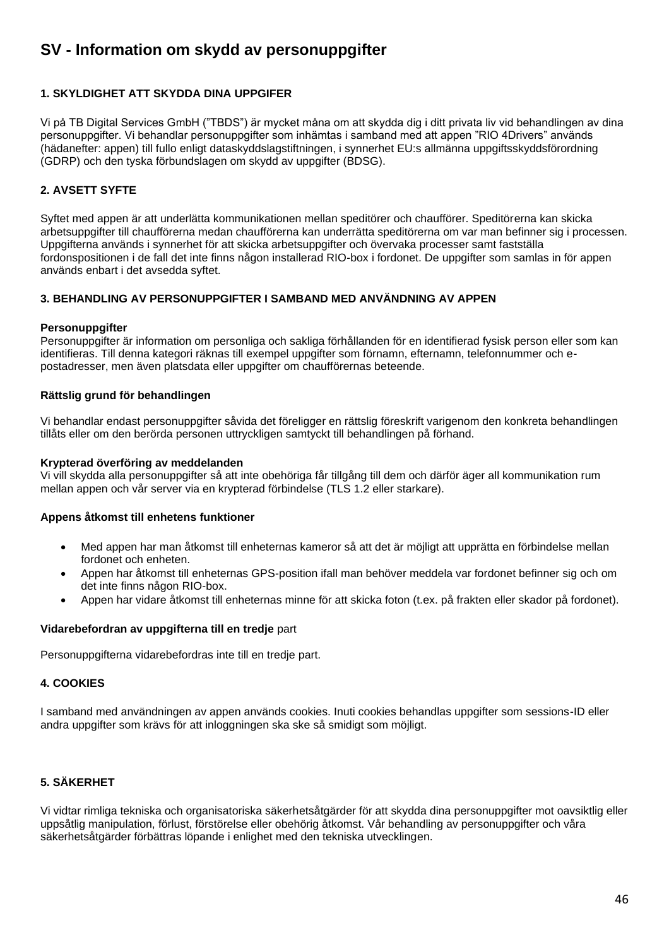# <span id="page-45-0"></span>**SV - Information om skydd av personuppgifter**

# **1. SKYLDIGHET ATT SKYDDA DINA UPPGIFER**

Vi på TB Digital Services GmbH ("TBDS") är mycket måna om att skydda dig i ditt privata liv vid behandlingen av dina personuppgifter. Vi behandlar personuppgifter som inhämtas i samband med att appen "RIO 4Drivers" används (hädanefter: appen) till fullo enligt dataskyddslagstiftningen, i synnerhet EU:s allmänna uppgiftsskyddsförordning (GDRP) och den tyska förbundslagen om skydd av uppgifter (BDSG).

# **2. AVSETT SYFTE**

Syftet med appen är att underlätta kommunikationen mellan speditörer och chaufförer. Speditörerna kan skicka arbetsuppgifter till chaufförerna medan chaufförerna kan underrätta speditörerna om var man befinner sig i processen. Uppgifterna används i synnerhet för att skicka arbetsuppgifter och övervaka processer samt fastställa fordonspositionen i de fall det inte finns någon installerad RIO-box i fordonet. De uppgifter som samlas in för appen används enbart i det avsedda syftet.

## **3. BEHANDLING AV PERSONUPPGIFTER I SAMBAND MED ANVÄNDNING AV APPEN**

#### **Personuppgifter**

Personuppgifter är information om personliga och sakliga förhållanden för en identifierad fysisk person eller som kan identifieras. Till denna kategori räknas till exempel uppgifter som förnamn, efternamn, telefonnummer och epostadresser, men även platsdata eller uppgifter om chaufförernas beteende.

#### **Rättslig grund för behandlingen**

Vi behandlar endast personuppgifter såvida det föreligger en rättslig föreskrift varigenom den konkreta behandlingen tillåts eller om den berörda personen uttryckligen samtyckt till behandlingen på förhand.

#### **Krypterad överföring av meddelanden**

Vi vill skydda alla personuppgifter så att inte obehöriga får tillgång till dem och därför äger all kommunikation rum mellan appen och vår server via en krypterad förbindelse (TLS 1.2 eller starkare).

#### **Appens åtkomst till enhetens funktioner**

- Med appen har man åtkomst till enheternas kameror så att det är möjligt att upprätta en förbindelse mellan fordonet och enheten.
- Appen har åtkomst till enheternas GPS-position ifall man behöver meddela var fordonet befinner sig och om det inte finns någon RIO-box.
- Appen har vidare åtkomst till enheternas minne för att skicka foton (t.ex. på frakten eller skador på fordonet).

#### **Vidarebefordran av uppgifterna till en tredje** part

Personuppgifterna vidarebefordras inte till en tredje part.

#### **4. COOKIES**

I samband med användningen av appen används cookies. Inuti cookies behandlas uppgifter som sessions-ID eller andra uppgifter som krävs för att inloggningen ska ske så smidigt som möjligt.

## **5. SÄKERHET**

Vi vidtar rimliga tekniska och organisatoriska säkerhetsåtgärder för att skydda dina personuppgifter mot oavsiktlig eller uppsåtlig manipulation, förlust, förstörelse eller obehörig åtkomst. Vår behandling av personuppgifter och våra säkerhetsåtgärder förbättras löpande i enlighet med den tekniska utvecklingen.